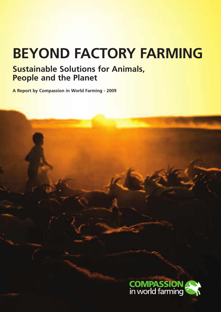# **BEYOND FACTORY FARMING**

# **Sustainable Solutions for Animals, People and the Planet**

**A Report by Compassion in World Farming - 2009**

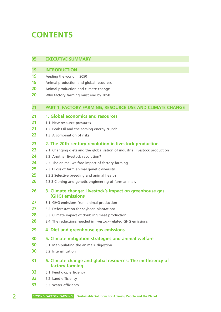# **CONTENTS**

| 05                                     | <b>EXECUTIVE SUMMARY</b>                                                                                                                                                                                                                                                                                                                                                             |
|----------------------------------------|--------------------------------------------------------------------------------------------------------------------------------------------------------------------------------------------------------------------------------------------------------------------------------------------------------------------------------------------------------------------------------------|
| 19<br>19<br>19<br>20<br>20             | <b>INTRODUCTION</b><br>Feeding the world in 2050<br>Animal production and global resources<br>Animal production and climate change<br>Why factory farming must end by 2050                                                                                                                                                                                                           |
| 21                                     | PART 1. FACTORY FARMING, RESOURCE USE AND CLIMATE CHANGE                                                                                                                                                                                                                                                                                                                             |
| 21<br>21<br>21<br>22                   | 1. Global economics and resources<br>1.1 New resource pressures<br>1.2 Peak Oil and the coming energy crunch<br>1.3 A combination of risks                                                                                                                                                                                                                                           |
| 23<br>23<br>24<br>24<br>25<br>25<br>26 | 2. The 20th-century revolution in livestock production<br>2.1 Changing diets and the globalisation of industrial livestock production<br>2.2 Another livestock revolution?<br>2.3 The animal welfare impact of factory farming<br>2.3.1 Loss of farm animal genetic diversity<br>2.3.2 Selective breeding and animal health<br>2.3.3 Cloning and genetic engineering of farm animals |
| 26                                     | 3. Climate change: Livestock's impact on greenhouse gas<br>(GHG) emissions                                                                                                                                                                                                                                                                                                           |
| 27<br>27<br>28<br>28                   | 3.1 GHG emissions from animal production<br>3.2 Deforestation for soybean plantations<br>3.3 Climate impact of doubling meat production<br>3.4 The reductions needed in livestock-related GHG emissions                                                                                                                                                                              |
| 29                                     | 4. Diet and greenhouse gas emissions                                                                                                                                                                                                                                                                                                                                                 |
| 30<br>30<br>30                         | 5. Climate mitigation strategies and animal welfare<br>5.1 Manipulating the animals' digestion<br>5.2 Intensification                                                                                                                                                                                                                                                                |
| 31                                     | 6. Climate change and global resources: The inefficiency of<br>factory farming                                                                                                                                                                                                                                                                                                       |
| 32                                     | 6.1 Feed crop efficiency                                                                                                                                                                                                                                                                                                                                                             |
| 33<br>33                               | 6.2 Land efficiency<br>6.3 Water efficiency                                                                                                                                                                                                                                                                                                                                          |
|                                        |                                                                                                                                                                                                                                                                                                                                                                                      |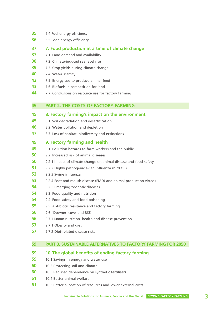- 6.4 Fuel energy efficiency
- 6.5 Food energy efficiency

#### **37 7. Food production at a time of climate change**

- 7.1 Land demand and availability
- 7.2 Climate-induced sea level rise
- 7.3 Crop yields during climate change
- 7.4 Water scarcity
- 7.5 Energy use to produce animal feed
- 7.6 Biofuels in competition for land
- 7.7 Conclusions on resource use for factory farming

### **45 PART 2. THE COSTS OF FACTORY FARMING**

#### **8. Factory farming's impact on the environment**

- 8.1 Soil degradation and desertification
- 8.2 Water pollution and depletion
- 8.3 Loss of habitat, biodiversity and extinctions

### **49 9. Factory farming and health**

- 9.1 Pollution hazards to farm workers and the public
- 9.2 Increased risk of animal diseases
- 9.2.1 Impact of climate change on animal disease and food safety
- 9.2.2 Highly pathogenic avian influenza (bird flu)
- 9.2.3 Swine influenza
- 9.2.4 Foot and mouth disease (FMD) and animal production viruses
- 9.2.5 Emerging zoonotic diseases
- 9.3 Food quality and nutrition
- 9.4 Food safety and food poisoning
- 9.5 Antibiotic resistance and factory farming
- 9.6 'Downer' cows and BSE
- 9.7 Human nutrition, health and disease prevention
- 9.7.1 Obesity and diet
- 9.7.2 Diet-related disease risks

# **59 PART 3. SUSTAINABLE ALTERNATIVES TO FACTORY FARMING FOR 2050**

### **10.The global benefits of ending factory farming**

- 10.1 Savings in energy and water use
- 10.2 Protecting soil and climate
- 10.3 Reduced dependence on synthetic fertilisers
- 10.4 Better animal welfare
- 10.5 Better allocation of resources and lower external costs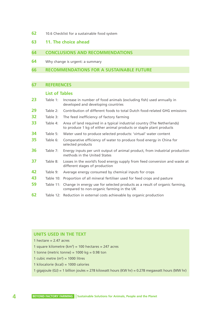**62** 10.6 Checklist for a sustainable food system

# **63 11. The choice ahead**

# **64 CONCLUSIONS AND RECOMMENDATIONS**

**64** Why change is urgent: a summary

#### **66 RECOMMENDATIONS FOR A SUSTAINABLE FUTURE**

# **67 REFERENCES**

# **List of Tables**

| 23 | Table 1:  | Increase in number of food animals (excluding fish) used annually in<br>developed and developing countries                                    |
|----|-----------|-----------------------------------------------------------------------------------------------------------------------------------------------|
| 29 | Table 2:  | Contribution of different foods to total Dutch food-related GHG emissions                                                                     |
| 32 | Table 3:  | The feed inefficiency of factory farming                                                                                                      |
| 33 | Table 4:  | Area of land required in a typical industrial country (The Netherlands)<br>to produce 1 kg of either animal products or staple plant products |
| 34 | Table 5:  | Water used to produce selected products: 'virtual' water content                                                                              |
| 35 | Table 6:  | Comparative efficiency of water to produce food energy in China for<br>selected products                                                      |
| 36 | Table 7:  | Energy inputs per unit output of animal product, from industrial production<br>methods in the United States                                   |
| 37 | Table 8:  | Losses in the world's food energy supply from feed conversion and waste at<br>different stages of production                                  |
| 42 | Table 9:  | Average energy consumed by chemical inputs for crops                                                                                          |
| 43 | Table 10: | Proportion of all mineral fertiliser used for feed crops and pasture                                                                          |
| 59 |           | Table 11: Change in energy use for selected products as a result of organic farming,<br>compared to non-organic farming in the UK             |
| 62 |           | Table 12: Reduction in external costs achievable by organic production                                                                        |

# **UNITS USED IN THE TEXT**

- 1 hectare  $= 2.47$  acres
- 1 square kilometre (km**<sup>2</sup>** ) = 100 hectares = 247 acres
- 1 tonne (metric tonne) =  $1000$  kg =  $0.98$  ton
- 1 cubic metre  $(m^3) = 1000$  litres
- 1 kilocalorie (kcal) = 1000 calories
- 1 gigajoule (GJ) = 1 billion joules = 278 kilowatt hours (KW hr) = 0.278 megawatt hours (MW hr)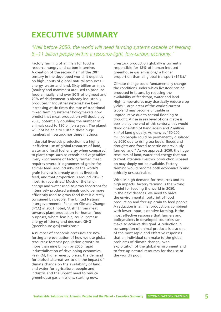# **EXECUTIVE SUMMARY**

*'Well before 2050, the world will need farming systems capable of feeding 8 –11 billion people within a resource-light, low-carbon economy. '* 

Factory farming of animals for food is resource-hungry and carbon-intensive. A creation of the second half of the 20th century in the developed world, it depends on high inputs of global natural resources – energy, water and land. Sixty billion animals (poultry and mammals) are used to produce food annually<sup>1</sup> and over 50% of pigmeat and 70% of chickenmeat is already industrially produced.<sup>2, 3</sup> Industrial systems have been increasing at six times the rate of traditional mixed farming systems.4 Policymakers now predict that meat production will double by 2050, potentially doubling the number of animals used to 120 billion a year. The planet will not be able to sustain these huge numbers of livestock nor these methods.

Industrial livestock production is a highly inefficient use of global resources of land, water and fossil fuel energy when compared to plant crops such as cereals and vegetables. Every kilogramme of factory farmed meat requires several kilogrammes of grains for animal feed. Around 40% of the world's grain harvest is already used as livestock feed, and that proportion is around 70% in most rich countries.<sup>5</sup> Much of the land, energy and water used to grow feedcrops for intensively produced animals could be more efficiently used to grow food that is directly consumed by people. The United Nations Intergovernmental Panel on Climate Change (IPCC) in 2001 noted, 'A shift from meat towards plant production for human food purposes, where feasible, could increase energy efficiency and decrease GHG [greenhouse gas] emissions.'6

A number of economic pressures are now forcing a re-evaluation of how we use global resources: forecast population growth to more than nine billion by 2050, rapid industrialisation of developing economies, Peak Oil, higher energy prices, the demand for biofuel alternatives to oil, the impact of climate change on the availability of land and water for agriculture, people and industry, and the urgent need to reduce greenhouse gas emissions, starting now.

Livestock production globally is currently responsible for 18% of human-induced greenhouse gas emissions,<sup>2</sup> a higher proportion than all global transport (14%).<sup>7</sup>

Climate change could fundamentally change the conditions under which livestock can be produced in future, by reducing the availability of feedcrops, water and land. High temperatures may drastically reduce crop yields.9 Large areas of the world's current cropland may become unusable or unproductive due to coastal flooding or drought. A rise in sea level of one metre is possible by the end of this century; this would flood one-fifth of Bangladesh and 2 million km2 of land globally. As many as 150-200 million people could be permanently displaced by 2050 due to rising sea levels, floods and droughts and forced to settle on previously farmed land.10 As we approach 2050, the huge resources of land, water and energy that our current intensive livestock production is based on may simply not be available. Factory farming would become both economically and ethically unsustainable.

With its high demand for resources and its high impacts, factory farming is the wrong model for feeding the world in 2050. In the next decades, we need to halve the environmental footprint of food production and free-up grain to feed people. A reduction in animal production, combined with lower-input, extensive farming, is the most effective response that farmers and policymakers in developed countries can make to achieve this goal. A reduction in consumption of animal products is also one of the most rapid and effective responses that an individual can make to the global problems of climate change, overexploitation of the global environment and to free up natural resources for the use of the world's poor.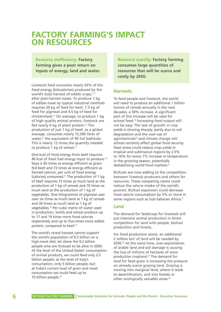# **FACTORY FARMING'S IMPACT ON RESOURCES**

**Resource inefficiency: Factory farming gives a poor return on inputs of energy, land and water.** 

Livestock feed consumes nearly 43% of the food energy (kilocalories) produced by the world's total harvest of edible crops,<sup>5, 11</sup> after post-harvest losses. To produce 1 kg of edible meat by typical industrial methods requires 20 kg of feed for beef, 7.3 kg of feed for pigmeat and 4.5 kg of feed for chickenmeat.11 On average, to produce 1 kg of high quality animal protein, livestock are fed nearly 6 kg of plant protein.<sup>12</sup> The production of just 1 kg of beef, as a global average, consumes nearly 15,500 litres of water, <sup>13</sup> the equivalent of 90 full bathtubs. This is nearly 12 times the quantity needed to produce 1 kg of wheat.<sup>13</sup>

One kcal of food energy from beef requires 40 kcal of fossil fuel energy input to produce.<sup>14</sup> Soya is 65 times as energy efficient as grainfed beef and 73 times as energy efficient as farmed salmon, per unit of food energy (calories) consumed.15 The production of 1 kg of beef requires 15 times as much land as the production of 1 kg of cereals and 70 times as much land as the production of 1 kg of vegetables. One kilogramme of pigmeat uses over six times as much land as 1 kg of cereals and 30 times as much land as 1 kg of vegetables.16 Per cubic metre of water used in production, lentils and wheat produce up to 17 and 19 times more food calories respectively and up to five times more edible protein, compared to beef.<sup>17</sup>

The world's cereal harvest cannot support the world's population of 6.5 billion on a high-meat diet, let alone the 9.2 billion people who are forecast to be alive in 2050. At the level of the United States' consumption of animal products, we could feed only 2.5 billion people; at the level of Italy's consumption, only 5 billion people; but at India's current level of grain and meat consumption we could feed up to 10 billion people.<sup>18</sup>

**Resource scarcity: Factory farming consumes large quantities of resources that will be scarce and costly by 2050.** 

#### **Harvests**

To feed people and livestock, the world will need to produce an additional 1 billion tonnes of cereals annually in the next decades, a 50% increase. A significant part of this increase will be used for animal feed.19 Increasing food output will not be easy. The rate of growth in crop yields is slowing sharply, partly due to soil degradation and the over-use of agrichemicals<sup>20</sup> and climate change will almost certainly affect global food security. Heat stress could reduce crop yields in tropical and subtropical regions by 2.5% to 16% for every 1ºC increase in temperature in the growing season, potentially destabilising world food markets.9

Biofuels are now adding to the competition between livestock producers and others for resources. These competing claims could reduce the calorie intake of the world's poorest. Biofuel expansion could decrease food calorie consumption by 5% or more in some regions such as Sub-Saharan Africa.<sup>21</sup>

### **Land**

The demand for feedcrops for livestock will put intensive animal production in direct competition for land with people, biofuel production and forests.

For food production alone, an additional 2 million km<sup>2</sup> of land will be needed by 2030.<sup>22</sup> At the same time, over-exploitation of arable land and soil damage is causing the loss of millions of hectares of onceproductive cropland.23 The demand for land for feed grain is increasing the pressure on already scarce grazing land. Grazing is moving into marginal land, where it leads to desertification, and into forests or other ecologically valuable areas.<sup>24</sup>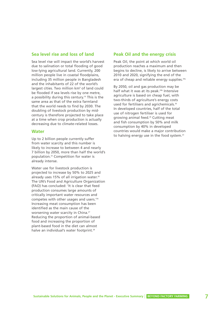#### **Sea level rise and loss of land**

Sea level rise will impact the world's harvest due to salination or total flooding of good low-lying agricultural land. Currently, 200 million people live in coastal floodplains, including 35 million people in Bangladesh and the inhabitants of 22 of the world's largest cities. Two million km**<sup>2</sup>** of land could be flooded if sea levels rise by one metre, a possibility during this century.<sup>10</sup> This is the same area as that of the extra farmland that the world needs to find by 2030. The doubling of livestock production by midcentury is therefore projected to take place at a time when crop production is actually decreasing due to climate-related losses.

#### **Water**

Up to 2 billion people currently suffer from water scarcity and this number is likely to increase to between 4 and nearly 7 billion by 2050, more than half the world's population.25 Competition for water is already intense.

Water use for livestock production is projected to increase by 50% to 2025 and already uses 15% of all irrigation water.<sup>26</sup> The UN's Food and Agriculture Organization (FAO) has concluded: 'It is clear that feed production consumes large amounts of critically important water resources and competes with other usages and users.'26 Increasing meat consumption has been identified as the main cause of the worsening water scarcity in China.<sup>27</sup> Reducing the proportion of animal-based food and increasing the proportion of plant-based food in the diet can almost halve an individual's water footprint.<sup>28</sup>

# **Peak Oil and the energy crisis**

Peak Oil, the point at which world oil production reaches a maximum and then begins to decline, is likely to arrive between 2010 and 2020, signifying the end of the era of cheap and reliable energy supplies.29a

By 2050, oil and gas production may be half what it was at its peak.<sup>29b</sup> Intensive agriculture is based on cheap fuel, with two-thirds of agriculture's energy costs used for fertilisers and agrichemicals.<sup>30</sup> In developed countries, half of the total use of nitrogen fertiliser is used for growing animal feed.26 Cutting meat and fish consumption by 50% and milk consumption by 40% in developed countries would make a major contribution to halving energy use in the food system.<sup>23</sup>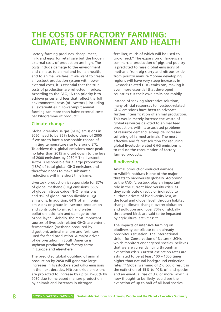# **THE COSTS OF FACTORY FARMING: CLIMATE, ENVIRONMENT AND HEALTH**

Factory farming produces 'cheap' meat, milk and eggs for retail sale but the hidden external costs of production are high. The costs include damage to the environment and climate, to animal and human health, and to animal welfare. If we want to create a livestock production system with lower external costs, it is essential that the true costs of production are reflected in prices. According to the FAO, 'A top priority is to achieve prices and fees that reflect the full environmental costs [of livestock], including all externalities.'31 Lower-input animal farming can more than halve external costs per kilogramme of product.<sup>52</sup>

# **Climate change**

Global greenhouse gas (GHG) emissions in 2050 need to be 85% below those of 2000 if we are to have a reasonable chance of limiting temperature rise to around 2ºC. To achieve this, global emissions must peak no later than 2015 and get down to the level of 2000 emissions by 2030.<sup>32</sup> The livestock sector is responsible for a large proportion (18%) of total global GHG emissions and therefore needs to make substantial reductions within a short timeframe.

Livestock production is responsible for 37% of global methane (CH $_4$ ) emissions, 65% of global nitrous oxide (N<sub>2</sub>O) emissions and 9% of global carbon dioxide  $(CO<sub>2</sub>)$ emissions. In addition, 64% of ammonia emissions originate in livestock production and contribute to air, soil and water pollution, acid rain and damage to the ozone layer.<sup>2</sup> Globally, the most important sources of livestock-related GHGs are enteric fermentation (methane produced by digestion), animal manure and fertilisers used for feed production. A major driver of deforestation in South America is soybean production for factory farms in Europe and elsewhere.

The predicted global doubling of animal production by 2050 will generate large increases in livestock-related GHG emissions in the next decades. Nitrous oxide emissions are projected to increase by up to 35-60% by 2030 due to increased manure production by animals and increases in nitrogen

fertiliser, much of which will be used to grow feed.<sup>33</sup> The expansion of large-scale commercial production of pigs and poultry is predicted to raise global emissions of methane from pig slurry and nitrous oxide from poultry manure.<sup>34</sup> Some developing regions will have very steep increases in livestock-related GHG emissions, making it even more essential that developed countries cut their own emissions rapidly.

Instead of seeking alternative solutions, many official responses to livestock-related GHG emissions have been to advocate further intensification of animal production. This would merely increase the waste of global resources devoted to animal feed production, with its associated problems of resource demand, alongside increased suffering of farmed animals. The most effective and fairest solution for reducing global livestock-related GHG emissions is to reduce the consumption of factory farmed products.

# **Biodiversity**

Animal production-induced damage to wildlife habitats is one of the major threats to biodiversity globally. According to the FAO, 'Livestock play an important role in the current biodiversity crisis, as they contribute directly or indirectly to all these drivers of biodiversity loss, at the local and global level' through habitat change, climate change, overexploitation and pollution and 'over 70% of globally threatened birds are said to be impacted by agricultural activities'.<sup>35a</sup>

The impacts of intensive farming on biodiversity contribute to an already precipitous situation. The International Union for Conservation of Nature (IUCN), which monitors endangered species, believes that we are currently living through an extinction crisis. Current extinction rates are estimated to be at least 100 – 1000 times higher than natural background extinction rates.35b Global warming of 2ºC could result in the extinction of 15% to 40% of land species and an eventual rise of 3ºC or more, which is now thought to be likely, could see the extinction of up to half of all land species.<sup>1</sup>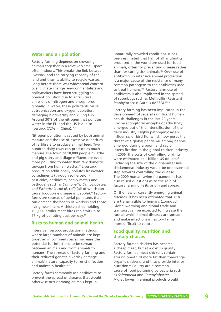#### **Water and air pollution**

Factory farming depends on crowding animals together in a relatively small space, often indoors. This breaks the link between livestock and the carrying capacity of the land and thus its ability to recycle wastes. Long before there was widespread concern over climate change, environmentalists and policymakers have been struggling to prevent pollution due to agricultural emissions of nitrogen and phosphorus globally. In water, these pollutants cause eutrophication and oxygen depletion, damaging biodiversity and killing fish. Around 30% of the nitrogen that pollutes water in the EU and the US is due to livestock (72% in China).<sup>26, 37</sup>

Nitrogen pollution is caused by both animal manure and the use of excessive quantities of fertilisers to produce animal feed. Two hundred dairy cows can produce as much manure as a town of 10,000 people.<sup>38</sup> Cattle and pig slurry and silage effluent are even more polluting to water than raw domestic sewage from human wastes.<sup>39</sup> Livestock production additionally pollutes freshwater by sediments (through soil erosion), pesticides, antibiotics, heavy metals and pathogens such as *Salmonella, Campylobacter and Escherichia coli (E. coli)* (all of which can cause foodborne disease in people).<sup>26</sup> Factory farms are sources of aerial pollutants that can damage the health of workers and those living near them. A chicken shed holding 100,000 broiler meat birds can emit up to 77 kg of polluting dust per day.<sup>40</sup>

### **Risks to human and animal health**

Intensive livestock production methods, where large numbers of animals are kept together in confined spaces, increase the potential for infections to be spread between animals and from animals to humans. The stresses of factory farming and their reduced genetic diversity damage animals' natural capacity to resist infection and maintain health.<sup>41a-c</sup>

Factory farms commonly use antibiotics to prevent the spread of diseases that would otherwise occur among animals kept in

unnaturally crowded conditions. It has been estimated that half of all antibiotics produced in the world are used for food animals, often for preventing disease rather than for curing sick animals.45a Over-use of antibiotics in intensive animal production is a major cause of the resistance of many common pathogens to the antibiotics used to treat humans.<sup>45b</sup> Factory farm use of antibiotics is also implicated in the spread of superbugs such as Methicillin-Resistant Staphylococcus Aureus (MRSA). 46a-b

Factory farming has been implicated in the development of several significant human health challenges in the last 20 years. Bovine spongiform encephalopathy (BSE) emerged out of the intensification of the dairy industry. Highly pathogenic avian influenza, or bird flu, which now poses the threat of a global pandemic among people, emerged during a boom and rapid intensification in the global chicken industry. In 2006, the costs of controlling bird flu were estimated at 1 billion US dollars.<sup>43</sup> Reducing the size of the global-intensive chickenmeat industry would be one essential step towards controlling the disease. The 2009 human swine flu pandemic has also raised questions as to the role of factory farming in its origin and spread.

Of the new or currently emerging animal diseases, it has been estimated that 73% are transmissible to humans (zoonotic).<sup>42</sup> Global warming and global trade and transport can be expected to increase the rate at which animal diseases are spread and make infections in factory farms more difficult to control.

# **Food quality, nutrition and dietary choices**

Factory farmed chicken has become a cheap meat, but at a cost in quality. Factory farmed meat chickens contain around one-third more fat than free-range organic chickens, and thus provide inferior nutrition.44 Poultry are a common cause of food poisoning by bacteria such as *Salmonella* and *Campylobacter*. A diet lower in animal products would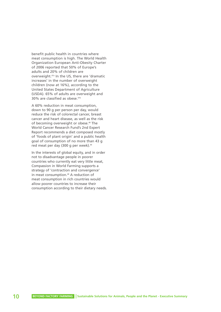benefit public health in countries where meat consumption is high. The World Health Organization European Anti-Obesity Charter of 2006 reported that 50% of Europe's adults and 20% of children are overweight.47a In the US, there are 'dramatic increases' in the number of overweight children (now at 16%), according to the United States Department of Agriculture (USDA). 65% of adults are overweight and 30% are classified as obese.<sup>47b</sup>

A 60% reduction in meat consumption, down to 90 g per person per day, would reduce the risk of colorectal cancer, breast cancer and heart disease, as well as the risk of becoming overweight or obese.<sup>48</sup> The World Cancer Research Fund's 2nd Expert Report recommends a diet composed mostly of 'foods of plant origin' and a public health goal of consumption of no more than 43 g red meat per day (300 g per week).<sup>49</sup>

In the interests of global equity, and in order not to disadvantage people in poorer countries who currently eat very little meat, Compassion in World Farming supports a strategy of 'contraction and convergence' in meat consumption.<sup>48</sup> A reduction of meat consumption in rich countries would allow poorer countries to increase their consumption according to their dietary needs.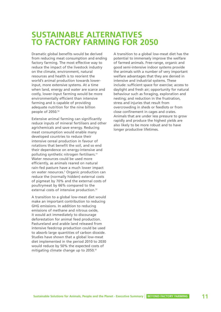# **SUSTAINABLE ALTERNATIVES TO FACTORY FARMING FOR 2050**

Dramatic global benefits would be derived from reducing meat consumption and ending factory farming. The most effective way to reduce the impact of the livestock industry on the climate, environment, natural resources and health is to reorient the world's animal production towards lowerinput, more extensive systems. At a time when land, energy and water are scarce and costly, lower-input farming would be more environmentally efficient than intensive farming and is capable of providing adequate nutrition for the nine billion people of 2050.<sup>50</sup>

Extensive animal farming can significantly reduce inputs of mineral fertilisers and other agrichemicals and save energy. Reducing meat consumption would enable many developed countries to reduce their intensive cereal production in favour of rotations that benefit the soil, and so end their dependence on energy-intensive and polluting synthetic nitrogen fertilisers.<sup>51</sup> Water resources could be used more efficiently, as animals reared on natural rain-fed pasture have a much lower impact on water resources.<sup>5</sup> Organic production can reduce the (normally hidden) external costs of pigmeat by 70% and the external costs of poultrymeat by 66% compared to the external costs of intensive production.<sup>52</sup>

A transition to a global low-meat diet would make an important contribution to reducing GHG emissions. In addition to reducing emissions of methane and nitrous oxide, it would act immediately to discourage deforestation for animal feed production. Pastureland and arable land released from intensive feedcrop production could be used to absorb large quantities of carbon dioxide. Studies have shown that a global low-meat diet implemented in the period 2010 to 2030 would reduce by 50% the expected costs of mitigating climate change up to 2050.<sup>53</sup>

A transition to a global low-meat diet has the potential to immensely improve the welfare of farmed animals. Free-range, organic and good semi-intensive indoor systems provide the animals with a number of very important welfare advantages that they are denied in intensive and industrial systems. These include: sufficient space for exercise; access to daylight and fresh air; opportunity for natural behaviour such as foraging, exploration and nesting; and reduction in the frustration, stress and injuries that result from overcrowding in sheds or feedlots or from close confinement in cages and crates. Animals that are under less pressure to grow rapidly and produce the highest yields are also likely to be more robust and to have longer productive lifetimes.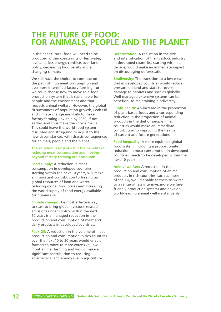# **THE FUTURE OF FOOD: FOR ANIMALS, PEOPLE AND THE PLANET**

In the near future, food will need to be produced within constraints of less water, less land, less energy, conflicts over land policy, decreasing biodiversity and a changing climate.

We still have the choice: to continue on the path of high meat consumption and evermore intensified factory farming - or we could choose now to move to a food production system that is sustainable for people and the environment and that respects animal welfare. However, the global circumstances of population growth, Peak Oil and climate change are likely to make factory farming unviable by 2050, if not earlier, and thus make the choice for us. This could leave the world food system disrupted and struggling to adjust to the new circumstances, with drastic consequences for animals, people and the planet.

#### **The situation is urgent – but the benefits of reducing meat consumption and moving beyond factory farming are profound:**

**Food supply:** A reduction in meat consumption in developed countries, starting within the next 10 years, will make an important contribution to freeing up global resources of land and water, reducing global food prices and increasing the world supply of food energy available for human use.

**Climate change:** The most effective way to start to bring global livestock-related emissions under control within the next 10 years is a managed reduction in the production and consumption of meat and dairy products in developed countries.

**Peak Oil:** A reduction in the volume of meat production and consumption in rich countries over the next 10 to 20 years would enable farmers to move to more extensive, lowinput animal farming and would make a significant contribution to reducing agrichemical and energy use in agriculture.

**Deforestation:** A reduction in the size and intensification of the livestock industry in developed countries, starting within a decade, would make an immediate impact on discouraging deforestation.

**Biodiversity:** The transition to a low meat diet in developed countries would reduce pressure on land and start to reverse damage to habitats and species globally. Well-managed extensive systems can be beneficial to maintaining biodiversity.

**Public health:** An increase in the proportion of plant-based foods and a corresponding reduction in the proportion of animal products in the diet of people in rich countries would make an immediate contribution to improving the health of current and future generations.

**Food inequality:** A more equitable global food system, including a proportionate reduction in meat consumption in developed countries, needs to be developed within the next 10 years.

**Animal welfare:** A reduction in the production and consumption of animal products in rich countries, such as those of the EU, would enable farmers to switch to a range of less intensive, more welfarefriendly production systems and develop world-leading animal welfare standards.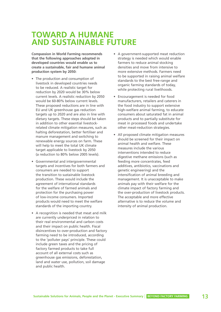# **TOWARD A HUMANE AND SUSTAINABLE FUTURE**

**Compassion in World Farming recommends that the following approaches adopted in developed countries would enable us to create a sustainable, fair and humane animal production system by 2050:**

- The production and consumption of livestock in developed countries needs to be reduced. A realistic target for reduction by 2020 would be 30% below current levels. A realistic reduction by 2050 would be 60-80% below current levels. These proposed reductions are in line with EU and UK greenhouse gas reduction targets up to 2020 and are also in line with dietary targets. These steps should be taken in addition to other essential livestockrelated climate mitigation measures, such as halting deforestation, better fertiliser and manure management and switching to renewable energy sources on farm. These will help to meet the total UK climate target applicable to livestock by 2050 (a reduction to 80% below 2005 levels).
- Governmental and intergovernmental targets and incentives for both farmers and consumers are needed to support the transition to sustainable livestock production. These would include the agreement of international standards for the welfare of farmed animals and protection for the purchasing power of low-income consumers. Imported products would need to meet the welfare standards of the importing country.
- A recognition is needed that meat and milk are currently underpriced in relation to their real environmental and carbon costs and their impact on public health. Fiscal disincentives to over-production and factory farming need to be introduced, according to the 'polluter pays' principle. These could include green taxes and the pricing of factory farmed products to take full account of all external costs such as greenhouse gas emissions, deforestation, land and water use, pollution, soil damage and public health.
- A government-supported meat reduction strategy is needed which would enable farmers to reduce animal stocking densities and move from intensive to more extensive methods. Farmers need to be supported in raising animal welfare standards to the best free-range and organic farming standards of today, while protecting rural livelihoods.
- Encouragement is needed for food manufacturers, retailers and caterers in the food industry to support extensive high-welfare animal farming, to educate consumers about saturated fat in animal products and to partially substitute for meat in processed foods and undertake other meat-reduction strategies.
- All proposed climate mitigation measures should be screened for their impact on animal health and welfare. These measures include the various interventions intended to reduce digestive methane emissions (such as feeding more concentrates, feed additives, antibiotics, vaccinations and genetic engineering) and the intensification of animal breeding and management. It is unacceptable to make animals pay with their welfare for the climate impact of factory farming and the over-production of livestock products. The acceptable and more effective alternative is to reduce the volume and intensity of animal production.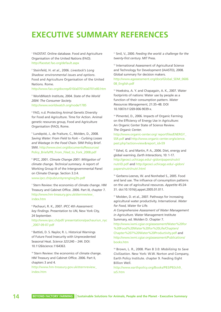# **EXECUTIVE SUMMARY REFERENCES**

<sup>1</sup> FAOSTAT. Online database. Food and Agriculture Organisation of the United Nations (FAO). http://faostat.fao.org/default.aspx

<sup>2</sup> Steinfeld, H. *et al.*, 2006. *Livestock's Long Shadow: environmental issues and options*. Food and Agriculture Organisation of the United Nations. Rome.

http://www.fao.org/docrep/010/a0701e/a0701e00.htm

<sup>3</sup> WorldWatch Institute, 2004. *State of the World 2004: The Consumer Society*. http://www.worldwatch.org/node/1785

<sup>4</sup> FAO, n.d. Protecting Animal Genetic Diversity for Food and Agriculture. Time for Action. Animal genetic resources group, Food and Agriculture Organisation (FAO), Rome.

<sup>5</sup> Lundqvist, J., de Fraiture, C., Molden, D., 2008. *Saving Water: From Field to Fork – Curbing Losses and Wastage in the Food Chain*. SIWI Policy Brief. SIWI. http://www.siwi.org/documents/Resources/ Policy\_Briefs/PB\_From\_Filed\_to\_Fork\_2008.pdf

<sup>6</sup> IPCC, 2001. *Climate Change 2001: Mitigation of climate change. Technical summary*. A report of Working Group III of the Intergovernmental Panel on Climate Change. Section 3.3.4. www.ipcc.ch/pub/un/syreng/wg3ts.pdf

<sup>7</sup> Stern Review: the economics of climate change. HM Treasury and Cabinet Office. 2006. Part III, chapter 7. http://www.hm-treasury.gov.uk/sternreview\_ index.htm

<sup>8</sup> Pachauri, R. K., 2007. *IPCC 4th Assessment: key findings*. Presentation to UN, New York City, 24 September.

http://www.ipcc.ch/pdf/ presentations/pachauriun\_nyc \_2007-09-07.pdf

<sup>9</sup> Battisti, D. S. Naylor, R. L. Historical Warnings of Future Food Insecurity with Unprecedented Seasonal Heat. *Science 323*:240 – 244. DOI: 10.1126/science.1164363.

<sup>10</sup> Stern Review: the economics of climate change. HM Treasury and Cabinet Office. 2006. Part II, chapters 3 and 4.

http://www.hm-treasury.gov.uk/sternreview\_ index.htm

<sup>11</sup> Smil, V., 2000. *Feeding the world: a challenge for the twenty-first century*. MIT Press.

<sup>12</sup> International Assessment of Agricultural Science and Technology for Development (IAASTD), 2008. Global summary for decision makers. http://www.agassessment.org/docs/Global\_SDM\_0606 08\_English.pdf

<sup>13</sup> Hoekstra, A. Y. and Chapagain, A. K., 2007. Water footprints of nations: Water use by people as a function of their consumption pattern. *Water Resources Management*, 21:35–48. DOI 10.1007/s11269-006-9039-x.

<sup>14</sup> Pimentel, D., 2006. Impacts of Organic Farming on the Efficiency of Energy Use in Agriculture: An Organic Center State of Science Review. *The Organic Center*.

http://www.organic-center.org/ reportfiles/ENERGY\_ SSR.pdf and http://www.organic-center.org/science. pest.php?action=view&report\_id=59

<sup>15</sup> Eshel, G. and Martin, P. A., 2006. Diet, energy and global warming. *Earth Interactions*, 10: 1-17. http://geosci.uchicago.edu/~gidon/papers/nutri/ nutriEI.pdf and http://geosci.uchicago.edu/~gidon/ papers/nutri/nutri.html

<sup>16</sup> Gerbens-Leenes, W. and Nonhebel S., 2005. Food and land use. The influence of consumption patterns on the use of agricultural resources. *Appetite* 45:24- 31. doi:10.1016/j.appet.2005.01.011.

<sup>17</sup> Molden, D. et al., 2007. Pathways for increasing agricultural water productivity. International. *Water for Food, Water for Life.* 

*A Comprehensive Assessment of Water Management in Agriculture*. Water Management Institute Summary, ed. Molden D. Chapter 7.

http://www.iwmi.cgiar.org/assessment/Water%20for %20Food%20Water%20for%20Life/Chapters/ Chapter%207%20Water%20Productivity.pdf and http://www.iwmi.cgiar.org/assessment/Publications/ books.htm

<sup>18</sup> Brown, L. R., 2008. Plan B 3.0: *Mobilizing to Save Civilization*. New York: W.W. Norton and Company, Earth Policy Institute. chapter 9. Feeding Eight Billion Well.

http://www.earthpolicy.org/Books/PB3/PB3ch9\_ ss5.htm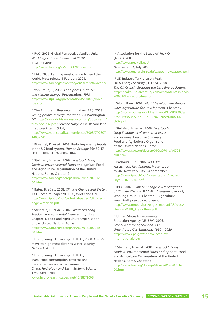<sup>19</sup> FAO, 2006. Global Perspective Studies Unit. *World agriculture: towards 2030/2050*. Interim report. http://www.fao.org/es/esd/AT2050web.pdf

<sup>20</sup> FAO, 2009. Farming must change to feed the world. Press release 4 February 2009. http://www.fao.org/news/story/en/item/9962/icode/

<sup>21</sup> von Braun, J., 2008. *Food prices, biofuels and climate change*. Presentation. IFPRI. http://www.ifpri.org/presentations/200802jvbbio fuels.pdf

<sup>22</sup> The Rights and Resources Initiative (RRI), 2008. *Seeing people through the trees*. RRI Washington DC. http://www.rightsandresources.org/documents/ files/doc\_737.pdf ; *Science Daily*, 2008. Record land grab predicted. 15 July.

http://www.sciencedaily.com/releases/2008/07/0807 14092746.htm

<sup>23</sup> Pimentel, D. *et al.*, 2008. Reducing energy inputs in the US food system. *Human Ecology* 36:459-471. DOI 10.1007/s10745-008-9184-3.

<sup>24</sup> Steinfeld, H. *et al.*, 2006. *Livestock's Long Shadow: environmental issues and options*. Food and Agriculture Organisation of the United Nations. Rome. Chapter 2.

http://www.fao.org/docrep/010/a0701e/a0701e 00.htm

<sup>25</sup> Bates, B. *et al.*, 2008. *Climate Change and Water*. IPCC Technical paper VI. IPCC, WMO and UNEP. http://www.ipcc.ch/pdf/technical-papers/climatech ange-water-en.pdf

<sup>26</sup> Steinfeld, H. *et al.*, 2006. *Livestock's Long Shadow: environmental issues and options*. Chapter 4. Food and Agriculture Organisation of the United Nations. Rome. http://www.fao.org/docrep/010/a0701e/a0701e 00.htm

<sup>27</sup> Liu, J., Yang, H., Saveniji, H. H. G., 2008. China's move to high-meat diet hits water security. *Nature* 454:397.

<sup>28</sup> Liu, J., Yang, H., Saveniji, H. H. G., 2008. Food consumption patterns and their effect on water requirement in China. *Hydrology and Earth Systems Science* 12:887-898. 2008.

www.hydrol-earth-syst-sci.net/12/887/2008

<sup>29a</sup> Association for the Study of Peak Oil (ASPO), 2008. http://www.peakoil.net/ *Newsletter 91*, July 2008. http://www.energiekrise.de/e/aspo\_news/aspo.html

29b UK Industry Taskforce on Peak Oil & Energy Security (ITPOES), 2008. *The Oil Crunch. Securing the UK's Energy Future*. http://peakoil.solarcentury.com/wpcontent/uploads/ 2008/10/oil-report-final.pdf

<sup>30</sup> World Bank, 2007. *World Development Report 2008. Agriculture for Development*. Chapter 2. http://siteresources.worldbank.org/INTWDR2008/ Resources/27950871192112387976/WDR08\_04\_ ch02.pdf

<sup>31</sup> Steinfeld, H. *et al.*, 2006. *Livestock's Long Shadow: environmental issues and options*. Executive Summary. Food and Agriculture Organisation of the United Nations. Rome. http://www.fao.org/docrep/010/a0701e/a0701 e00.htm

<sup>32</sup> Pachauri, R. K., 2007. *IPCC 4th Assessment: key findings*. Presentation to UN, New York City, 24 September. http://www.ipcc.ch/pdf/presentations/pachauriun \_nyc\_2007-09-07.pdf

<sup>33</sup> IPCC, 2007. *Climate Change 2007: Mitigation of Climate Change*. IPCC 4th Assessment report, Working Group III. Chapter 8, Agriculture. Final Draft pre-copy edit version. http://www.mnp.nl/ipcc/pages\_media/FAR4docs/ chapters/CH8\_Agriculture.pdf

34 United States Environmental Protection Agency (US-EPA), 2006. *Global Anthropogenic non- CO2 Greenhouse Gas Emissions: 1990 – 2020*. http://www.epa.gov/nonco2/econinv/ international.html

35a Steinfeld, H. *et al.*, 2006. *Livestock's Long Shadow: environmental issues and options*. Food and Agriculture Organisation of the United Nations. Rome. Chapter 5. http://www.fao.org/docrep/010/a0701e/a0701e 00.htm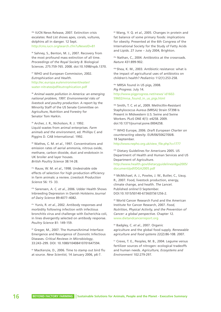35b IUCN News Release, 2007. Extinction crisis escalates: Red List shows apes, corals, vultures, dolphins all in danger. 12 Sept. http://cms.iucn.org/search.cfm?uNewsID=81

<sup>36</sup> Sahney, S., Benton, M. J., 2007. Recovery from the most profound mass extinction of all time. *Proceedings of the Royal Society B*. Biological Sciences. 275:759-765. 2008. doi:10.1098/rspb.1370.

<sup>37</sup> WHO and European Commission, 2002. *Eutrophication and Health*. http://ec.europa.eu/environment/water/ water-nitrates/pdf/eutrophication.pdf

<sup>38</sup> *Animal waste pollution in America: an emerging national problem, 1997. Environmental risks of livestock and poultry production*. A report by the Minority Staff of the US Senate Committee on Agriculture, Nutrition and Forestry for Senator Tom Harkin.

<sup>39</sup> Archer, J. R., Nicholson, R. J. 1992. Liquid wastes from animal enterprises. *Farm animals and the environment*, ed. Phillips C and Piggins D. CAB International. 1992.

<sup>40</sup> Wathes, C. M. *et al.*, 1997. Concentrations and emission rates of aerial ammonia, nitrous oxide, methane, carbon dioxide, dust and endotoxin in UK broiler and layer houses. *British Poultry Science* 38:14-28.

41a Rauw, W. M. *et al.*, 1998. Undesirable side effects of selection for high production efficiency in farm animals: a review. *Livestock Production Science* 56: 15- 33.

41b Sørensen, A. C. *et al.*, 2006. Udder Health Shows Inbreeding Depression in Danish Holsteins *Journal of Dairy Science* 89:4077–4082.

41c Yunis, R. *et al.*, 2002. Antibody responses and morbidity following infection with infectious bronchitis virus and challenge with Escherichia coli, in lines divergently selected on antibody response. *Poultry Science* 81: 149-159.

<sup>42</sup> Greger, M., 2007. The Human/Animal Interface: Emergence and Resurgence of Zoonotic Infectious Diseases. *Critical Reviews in Microbiology*, 33:243–299. DOI: 10.1080/10408410701647594.

<sup>43</sup> MacKenzie, D., 2006. Time to stamp out bird flu at source. *New Scientist*, 14 January 2006, p6-7.

<sup>44</sup> Wang, Y. Q. *et al.*, 2005. Changes in protein and fat balance of some primary foods: implications for obesity. Presented at the 6th Congress of the International Society for the Study of Fatty Acids and Lipids. 27 June – July 2004, Brighton.

45a Nathan, C., 2004. Antibiotics at the crossroads. *Nature* 431:899-902.

45b Shea, K. M., 2003. Antibiotic resistance: what is the impact of agricultural uses of antibiotics on children's health? *Pediatrics* 112(1):253-258.

46a MRSA found in US pigs, 2008. *Pig Progress*. July 14. http://www.pigprogress.net/news/ id1602- 59602/mrsa\_found\_in\_us\_pigs.html

46b Smith, T. C. *et al*., 2009. Methicillin-Resistant Staphylococcus Aureus (MRSA) Strain ST398 Is Present in Midwestern U.S. Swine and Swine Workers. PLoS ONE 4(1): e4258. 2009. doi:10.1371/journal.pone.0004258.

47a WHO Europe, 2006. *Draft European Charter on counteracting obesity*. EUR/06/5062700/8. 18 September.

http://www.nepho.org.uk/view\_file.php?c=1777

47b Dietary Guidelines for Americans 2005. US Department of Health and Human Services and US Department of Agriculture.

http://www.health.gov/dietaryguidelines/dga2005/ document/pdf/DGA2005.pdf

<sup>48</sup> McMichael, A. J., Powles, J. W., Butler, C., Uauy, R., 2007. Food, livestock production, energy, climate change, and health. *The Lancet*. Published online13 September. DOI:10.1015/S0140-6736(07)61256-2.

<sup>49</sup> World Cancer Research Fund and the American Institute for Cancer Research, 2007. *Food, Nutrition, Physical Activity, and the Prevention of Cancer: a global perspective*. Chapter 12. www.dietandcancerreport.org

<sup>50</sup> Badgley, C. *et al*., 2007. Organic agriculture and the global food supply. *Renewable agriculture and food systems* 22(2):86-108. 2007.

<sup>51</sup> Crews, T. E., Peoples, M. B., 2004. Legume versus fertilizer sources of nitrogen: ecological tradeoffs and human needs. *Agriculture, Ecosystems and Environment* 102:279-297.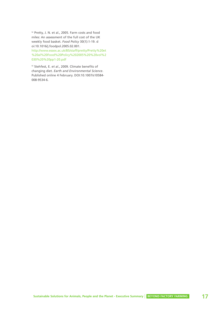<sup>52</sup> Pretty, J. N. et al., 2005. Farm costs and food miles: An assessment of the full cost of the UK weekly food basket. *Food Policy* 30(1):1-19. d oi:10.1016/j.foodpol.2005.02.001. http://www.essex.ac.uk/BS/staff/pretty/Pretty%20et %20al%20Food%20Policy%202005%20%20vol%2 030%20%20pp1-20.pdf

<sup>53</sup> Stehfest, E. *et al*., 2009. Climate benefits of changing diet. *Earth and Environmental Science*. Published online 4 February. DOI:10.1007/s10584- 008-9534-6.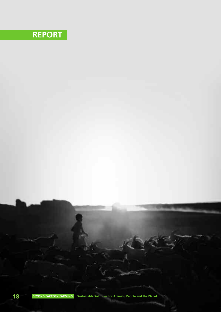# **REPORT**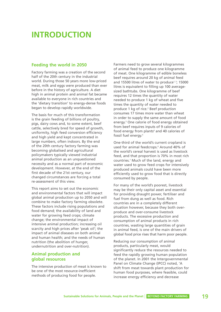# **INTRODUCTION**

### **Feeding the world in 2050**

Factory farming was a creation of the second half of the 20th century in the industrial world. During those 50 years more low-priced meat, milk and eggs were produced than ever before in the history of agriculture. A diet high in animal protein and animal fat became available to everyone in rich countries and the 'dietary transition' to energy-dense foods began to develop rapidly worldwide.

The basis for much of this transformation is the grain feeding of billions of poultry, pigs, dairy cows and, to some extent, beef cattle, selectively bred for speed of growth, uniformity, high feed conversion efficiency and high yield and kept concentrated in large numbers, often indoors. By the end of the 20th century factory farming was becoming globalised and agricultural policymakers typically viewed industrial animal production as an unquestioned necessity and as a normal part of economic development. However, at the end of the first decade of the 21st century, our changed circumstances are forcing a total re-assessment of this view.

This report aims to set out the economic and environmental factors that will impact global animal production up to 2050 and will combine to make factory farming obsolete. These factors include rising populations and food demand; the availability of land and water for growing feed crops; climate change; the environmental impact of intensive animal production; increasing oil scarcity and high prices after 'peak oil'; the impact of animal diseases on both animal and human health; and the needs of human nutrition (the abolition of hunger, undernutrition and over-nutrition).

### **Animal production and global resources**

The intensive production of meat is known to be one of the most resource-inefficient methods of producing food for people.

Farmers need to grow several kilogrammes of animal feed to produce one kilogramme of meat. One kilogramme of edible boneless beef requires around 20 kg of animal feed and 15500 litres of water to produce<sup>1, 2</sup>; 15000 litres is equivalent to filling up 100 averagesized bathtubs. One kilogramme of beef requires 12 times the quantity of water needed to produce 1 kg of wheat and five times the quantity of water needed to produce 1 kg of rice.2 Beef production consumes 17 times more water than wheat in order to supply the same amount of food energy.3 One calorie of food energy obtained from beef requires inputs of 9 calories of food energy from plants<sup>4</sup> and 40 calories of fossil fuel energy.<sup>5</sup>

One-third of the world's current cropland is used for animal feedcrops.<sup>6</sup> Around 40% of the world's cereal harvest is used as livestock feed, and that proportion is 70% in most rich countries.7 Much of the land, energy and water used to grow feed crops for intensively produced animals could have been more efficiently used to grow food that is directly consumed by people.

For many of the world's poorest, livestock may be their only capital asset and essential for providing draught power, fertiliser and fuel from dung as well as food. Rich countries are in a completely different situation however, because they both overproduce and over-consume livestock products. The excessive production and consumption of animal products in rich countries, wasting large quantities of grain in animal feed, is one of the main drivers of global food price rises that harm poor people.

Reducing our consumption of animal products, particularly meat, would significantly reduce the resources needed to feed the rapidly growing human population of the planet. In 2001 the Intergovernmental Panel on Climate Change (IPCC) noted, 'A shift from meat towards plant production for human food purposes, where feasible, could increase energy efficiency and decrease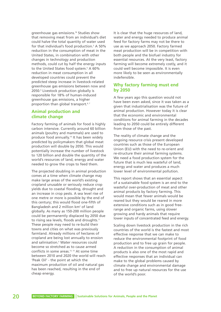greenhouse gas emissions.'8 Studies show that removing meat from an individual's diet could halve the total quantity of water used for that individual's food production.<sup>3</sup> A 50% reduction in the consumption of meat in the United States, in combination with other changes in technology and production methods, could cut by half the energy inputs to the United States food system.<sup>5</sup> A 60% reduction in meat consumption in all developed countries could prevent the predicted steep increase in livestock-related greenhouse gas emissions between now and 2050.9 Livestock production globally is responsible for 18% of human-induced greenhouse gas emissions, a higher proportion than global transport.<sup>6,7</sup>

# **Animal production and climate change**

Factory farming of animals for food is highly carbon intensive. Currently around 60 billion animals (poultry and mammals) are used to produce food annually.10 It has been widely predicted by policymakers that global meat production will double by 2050. This would potentially increase the number of livestock to 120 billion and double the quantity of the world's resources of land, energy and water needed to grow the crops to feed them.

The projected doubling in animal production comes at a time when climate change may make large areas of the world's existing cropland unusable or seriously reduce crop yields due to coastal flooding, drought and an increase in crop pests. A sea level rise of one metre or more is possible by the end of this century; this would flood one-fifth of Bangladesh and 2 million km<sup>2</sup> of land globally. As many as 150-200 million people could be permanently displaced by 2050 due to rising sea levels, floods and droughts.<sup>11</sup> These people may need to re-build their towns and cities on what was previously farmland. Already millions of hectares of cropland are being lost annually to erosion and salinisation.<sup>5</sup> Water resources could become so stretched as to cause armed conflicts in some areas.12, 13 At some time between 2010 and 2020 the world will reach 'Peak Oil' - the point at which the maximum production of oil and natural gas has been reached, resulting in the end of cheap energy.

It is clear that the huge resources of land, water and energy needed to produce animal feed for factory farms may not be there to use as we approach 2050. Factory farmed meat production will be in competition with both people and the biofuel industry for essential resources. At the very least, factory farming will become extremely costly, and it could well become impossible. It is even more likely to be seen as environmentally indefensible.

# **Why factory farming must end by 2050**

A few years ago this question would not have been even asked, since it was taken as a given that industrialisation was the future of animal production. However today it is clear that the economic and environmental conditions for animal farming in the decades leading to 2050 could be entirely different from those of the past.

The reality of climate change and the ongoing resource crisis present developed countries such as those of the European Union (EU) with the need to re-orient and re-structure their animal farming systems. We need a food production system for the future that is much less wasteful of land, energy and water and produces a much lower level of environmental pollution.

This report shows that an essential aspect of a sustainable food system is an end to the wasteful over-production of meat and other animal products by factory farming. This would mean that fewer animals would be reared but they would be reared in more extensive conditions such as in good freerange and organic farms, using slower growing and hardy animals that require lower inputs of concentrated feed and energy.

Scaling down livestock production in the rich countries of the world is the fastest and most effective response that we can make to reduce the environmental footprint of food production and to free up grain for people. A reduction in the consumption of animal products is also one of the most rapid and effective responses that an individual can make to the global problems caused by climate change and environmental damage and to free up natural resources for the use of the world's poor.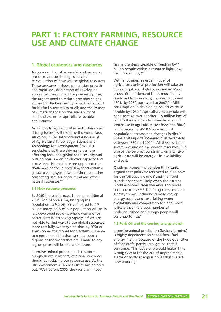# **PART 1: FACTORY FARMING, RESOURCE USE AND CLIMATE CHANGE**

# **1. Global economics and resources**

Today a number of economic and resource pressures are combining to force a re-evaluation of how we use global resources. These pressures include: population growth and rapid industrialisation of developing economies; peak oil and high energy prices; the urgent need to reduce greenhouse gas emissions; the biodiversity crisis; the demand for biofuel alternatives to oil; and the impact of climate change on the availability of land and water for agriculture, people and industry.

According to agricultural experts, these 'new driving forces', will redefine the world food situation.<sup>14,15</sup> The International Assessment of Agricultural Knowledge, Science and Technology for Development (IAASTD) concludes that these driving forces 'are affecting local and global food security and putting pressure on productive capacity and ecosystems. Hence there are unprecedented challenges ahead in providing food within a global trading system where there are other competing uses for agricultural and other natural resources.'14

#### **1.1 New resource pressures**

By 2050 there is forecast to be an additional 2.5 billion people alive, bringing the population to 9.2 billion, compared to 6.7 billion today. 86% of our population will be in less developed regions, where demand for better diets is increasing rapidly.<sup>16</sup> If we are not able to find ways to use global resources more carefully, we may find that by 2050 or even sooner the global food system is unable to meet demand; in that case the poorer regions of the world that are unable to pay higher prices will be the worst losers.

Intensive animal production is resourcehungry in every respect, at a time when we should be reducing our resource use. As the UK Government's Cabinet Office has pointed out, 'Well before 2050, the world will need

farming systems capable of feeding 8–11 billion people within a resource-light, lowcarbon economy.'17

With a 'business as usual' model of agriculture, animal production will take an increasing share of global resources. Meat production, if demand is not modified, is predicted to increase by between 70% and 160% by 2050 compared to 2007.<sup>7, 18</sup> Milk consumption in developing countries could double by 2030.18 Agriculture as a whole will need to take over another 2–5 million km2 of land in the next two to three decades.<sup>19, 20</sup> Water use in agriculture (for food and fibre) will increase by 70-90% as a result of population increase and changes in diet.14 China's oil imports increased over seven-fold between 1996 and 2006.<sup>21</sup> All these will put severe pressure on the world's resources. But one of the severest constraints on intensive agriculture will be energy – its availability and cost.

Chatham House, the London think-tank, argued that policymakers need to plan now for the 'oil supply crunch' and the 'food crunch' that seem likely when the current world economic recession ends and prices continue to rise.22, 23 The 'long-term resource scarcity trends' including climate change, energy supply and cost, falling water availability and competition for land make it likely that the global number of undernourished and hungry people will continue to rise.<sup>23</sup>

#### **1.2 Peak Oil and the coming energy crunch**

Intensive animal production (factory farming) is highly dependent on cheap fossil fuel energy, mainly because of the huge quantities of feedstuffs, particularly grains, that it consumes. This fact alone would make it the wrong system for the era of unpredictable, scarce or costly energy supplies that we are now entering.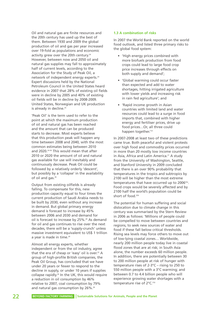Oil and natural gas are finite resources and the 20th century has used up the best of them. Between 1930 and 2009 the global production of oil and gas per year increased over 19-fold as populations and economic activity grew over the 20th century.<sup>24</sup> However, between now and 2050 oil and natural gas supplies may fall to approximately half of current levels, according to the Association for the Study of Peak Oil, a network of independent energy experts.<sup>24</sup> Expert discussions held by the National Petroleum Council in the United States heard evidence in 2007 that 28% of existing oil fields were in decline by 2005 and 40% of existing oil fields will be in decline by 2008-2009. United States, Norwegian and UK production is already in decline.<sup>25</sup>

'Peak Oil' is the term used to refer to the point at which the maximum production of oil and natural gas has been reached and the amount that can be produced starts to decrease. Most experts believe that this production peak will happen any time between 2008 and 2040, with the most common estimates being between 2010 and 2020.<sup>24-30</sup> This would mean that after 2010 or 2020 the amount of oil and natural gas available for use will inevitably and continuously decrease. Peak Oil could be followed by a relatively orderly 'descent', but possibly by a 'collapse' in the availability of oil and gas.<sup>26</sup>

Output from existing oilfields is already falling. To compensate for this, new production capacity equal to four times the current production of Saudi Arabia needs to be built by 2030, even without any increase in demand. But global primary energy demand is forecast to increase by 45% between 2006 and 2030 and demand for oil is forecast to increase by 25%.<sup>29</sup> As demand for oil and gas continues to rise over the next decades, there will be a 'supply-crunch' unless massive investment equivalent to US\$ 1 trillion a year is made in time.<sup>29</sup>

Almost all energy experts, whether independent or from the oil industry, agree that the era of cheap or 'easy' oil is over. $22$  A group of high-profile British companies, the Peak Oil Group, has concluded that we have under 20 years or fewer to respond to the decline in supply, or under 10 years if supplies collapse rapidly.<sup>26</sup> In the UK, this would require a reduction in oil consumption by 46% relative to 2007, coal consumption by 79% and natural gas consumption by 26%.<sup>26</sup>

#### **1.3 A combination of risks**

In 2007 the World Bank reported on the world food outlook, and listed three primary risks to the global food system:

- 'High energy prices combined with more biofuels production from food crops could lead to large food crop price increases through effects on both supply and demand';
- 'Global warming could occur faster than expected and add to water shortages, hitting irrigated agriculture with lower yields and increasing risk in rain fed agriculture'; and
- 'Rapid income growth in Asian countries with limited land and water resources could lead to a surge in food imports that, combined with higher energy and fertiliser prices, drive up food prices…Or, all three could happen together.<sup>'31</sup>

In 2007-2008 at least two of these predictions came true. Both peaceful and violent protests over high food and commodity prices occurred in more than 20 mostly low income countries in Asia, Africa and Latin America.<sup>21</sup> A study from the University of Washington, Seattle, and Stanford University in 2009 concluded that there is an over 90% probability that temperatures in the tropics and subtropics by 2100 will be higher than the most extreme temperatures that have occurred up to 200632a. Food crops would be severely affected and by 2100 half the world's population could be short of food.<sup>32b</sup>

The potential for human suffering and social dislocation due to climate change in this century was summarised by the Stern Review in 2006 as follows: 'Millions of people could be compelled to move between countries and regions, to seek new sources of water and food if these fall below critical thresholds. Rising sea levels may force others to move out of low-lying coastal zones… Worldwide, nearly 200 million people today live in coastal flood zones that are at risk; in South Asia alone, the number exceeds 60 million people. In addition, there are potentially between 30 to 200 million people at risk of hunger with temperature rises of 2-3°C – rising to 250 to 550 million people with a 3°C warming; and between 0.7 to 4.4 billion people who will experience growing water shortages with a temperature rise of 2°C.'33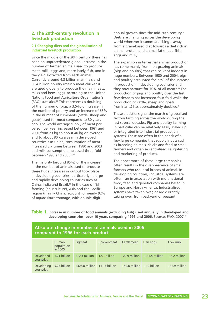# **2. The 20th-century revolution in livestock production**

#### **2.1 Changing diets and the globalisation of industrial livestock production**

Since the middle of the 20th century there has been an unprecedented global increase in the number of farmed animals used to produce meat, milk, eggs and, more lately, fish, and in the yield extracted from each animal. Currently around 4.3 billion mammals and 58.4 billion poultry (mainly meat chickens) are used globally to produce the main meats, milks and hens' eggs, according to the United Nations Food and Agriculture Organisation's (FAO) statistics.10 This represents a doubling of the number of pigs, a 3.5-fold increase in the number of poultry and an increase of 65% in the number of ruminants (cattle, sheep and goats) used for meat compared to 30 years ago. The world average supply of meat per person per year increased between 1961 and 2000 from 23 kg to about 40 kg on average and to about 80 kg a year in developed countries.34 In China, consumption of meat increased 3.7 times between 1980 and 2003 and milk consumption increased three-fold between 1990 and 2005.3,35

The majority (around 85%) of the increase in the number of animals used to produce these huge increases in output took place in developing countries, particularly in large and rapidly developing countries such as China, India and Brazil.<sup>10</sup> In the case of fish farming (aquaculture), Asia and the Pacific region (mainly China) account for nearly 92% of aquaculture tonnage, with double-digit

annual growth since the mid-20th century.<sup>36</sup> Diets are changing across the developing world wherever incomes are rising – away from a grain-based diet towards a diet rich in animal protein and animal fat (meat, fish, eggs and milk).

The expansion in terrestrial animal production has come mainly from non-grazing animals (pigs and poultry) that can be kept indoors in huge numbers. Between 1980 and 2004, pigs and poultry accounted for 77% of the increase in production in developing countries and they now account for 70% of all meat.6,34 The production of pigs and poultry over the last few decades has increased four-fold while the production of cattle, sheep and goats (ruminants) has approximately doubled.6

These statistics signal the march of globalised factory farming across the world during the last several decades. Pig and poultry farming in particular can be relatively easily scaled up or integrated into industrial production systems. These are often in the hands of a few large companies that supply inputs such as breeding animals, chicks and feed to small farmers and organise centralised slaughtering and marketing of products.

The appearance of these large companies often results in the disappearance of small farmers who use local breeds of animal. In developing countries, industrial systems are often run in association with multinational food, feed and genetics companies based in Europe and North America. Industrialised systems have taken over, or are currently taking over, from backyard or peasant

**Table 1. Increase in number of food animals (excluding fish) used annually in developed and developing countries, over 10 years comparing 1996 and 2006.** Source: FAO, 200710

| Absolute change in number of animals used in 2006<br>compared to 1996 for each product |                                       |                                  |                        |                                |                                  |                 |
|----------------------------------------------------------------------------------------|---------------------------------------|----------------------------------|------------------------|--------------------------------|----------------------------------|-----------------|
|                                                                                        | <b>Human</b><br>population<br>in 2005 | Pigmeat                          | Chickenmeat Cattlemeat |                                | Hen eggs                         | Cow milk        |
| Developed<br>countries                                                                 | 1.21 billion                          | $+10.3$ million                  | $+2.1$ billion         |                                | $-22.9$ million $+135.4$ million | -16.2 million   |
| Developing<br>countries                                                                | 5.25 billion                          | $+305.8$ million $+11.5$ billion |                        | $+52.8$ million $+1.2$ billion |                                  | $+32.9$ million |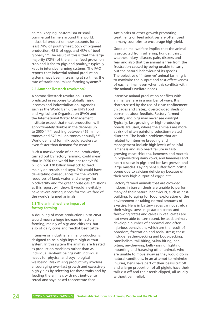animal keeping, pastoralism or small commercial farmers around the world. Industrial production now accounts for at least 74% of poultrymeat, 55% of pigmeat production, 68% of eggs and 43% of beef globally.6, 37 The result of this is that the large majority (72%) of the animal feed grown on cropland is fed to pigs and poultry, $34$  typically kept in intensive farming systems. The FAO reports that industrial animal production systems have been increasing at six times the rate of traditional mixed farming systems.<sup>38</sup>

#### **2.2 Another livestock revolution?**

A second 'livestock revolution' is now predicted in response to globally rising incomes and industrialisation. Agencies such as the World Bank, the UN's Food and Agriculture Organisation (FAO) and the International Water Management Institute expect that meat production will approximately double in the decades up to 2050,<sup>7, 18, 39</sup> reaching between 465 million tonnes and 570 million tonnes annually.<sup>7, 40</sup> World demand for milk could accelerate even faster than demand for meat<sup>40</sup>

Such a massive scale of animal production, carried out by factory farming, could mean that in 2050 the world has not today's 60 billion but 120 billion livestock to feed, mainly on cereals and soya. This could have devastating consequences for the world's resources of land, water and energy, for biodiversity and for greenhouse gas emissions, as this report will show. It would inevitably have severe consequences for the welfare of the world's farmed animals.

#### **2.3 The animal welfare impact of factory farming**

A doubling of meat production up to 2050 would mean a huge increase in factory farming, mainly of pigs and chickens, but also of dairy cows and feedlot beef cattle.

Intensive or industrial animal production is designed to be a high-input, high-output system. In this system the animals are treated as production machines rather than as individual sentient beings with individual needs for physical and psychological wellbeing. Maximising productivity involves encouraging over-fast growth and excessively high yields by selecting for these traits and by feeding the animals with nutrient-dense cereal and soya based concentrate feed.

Antibiotics or other growth promoting treatments or feed additives are often used in many countries to encourage high yield.

Good animal welfare implies that the animal is protected from suffering, hunger, thirst, weather, injury, disease, pain, distress and fear and also that the animal is free from the frustration caused by being unable to carry out the natural behaviour of its species. The objective of 'intensive' animal farming is to maximise the output and cost-effectiveness of each animal, even when this conflicts with the animal's welfare needs.

Intensive animal production conflicts with animal welfare in a number of ways. It is characterised by the use of close confinement (in cages and crates), overcrowded sheds or barren outdoor feedlots. Factory farmed poultry and pigs may never see daylight. Typically, fast-growing or high-producing breeds are used, where the animals are more at risk of often painful production-related disorders. The health problems that are related to intensive breeding and management include high levels of painful lameness and also heart failure in fastgrowing meat chickens, lameness and mastitis in high-yielding dairy cows, and lameness and heart disease in pigs bred for fast growth and large muscles. Laying hens suffer from brittle bones due to calcium deficiency because of their very high output of eggs.<sup>41, 42a-g</sup>

Factory farmed animals that are crowded indoors in barren sheds are unable to perform many of their natural behaviours, such as nestbuilding, foraging for food, exploration of the environment or taking normal amounts of exercise. Hens in battery cages cannot stretch their wings, sows in gestation crates and farrowing crates and calves in veal crates are not even able to turn round. Instead, animals develop a number of abnormal and often injurious behaviours, which are the result of boredom, frustration and social stress; these include feather-pecking and body-pecking, cannibalism, tail-biting, vulva-biting, barbiting, air-chewing, belly-nosing, fighting, mounting and harassing other animals who are unable to move away as they would do in natural conditions. In an attempt to minimise injuries, hens have part of their beaks cut off and a large proportion of all piglets have their tails cut off and their teeth clipped, all usually without pain relief.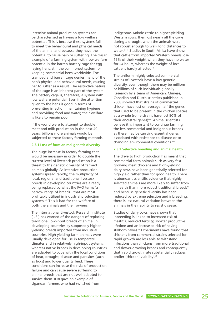Intensive animal production systems can be characterised as having a low welfare potential. This is because these systems fail to meet the behavioural and physical needs of the animal and because they have the potential to cause pain or suffering. The classic example of a farming system with low welfare potential is the barren battery cage for egg laying hens, still the commonest system for keeping commercial hens worldwide. The cramped and barren cage denies many of the hen's physical and behavioural needs, causing her to suffer as a result. The restrictive nature of the cage is an inherent part of the system. The battery cage is, therefore, a system with low welfare potential. Even if the attention given to the hens is good in terms of preventing infection, maintaining hygiene and providing food and water, their welfare is likely to remain poor.

If the world were to attempt to double meat and milk production in the next 40 years, billions more animals would be subjected to these factory farming methods.

#### **2.3.1 Loss of farm animal genetic diversity**

The huge increase in factory farming that would be necessary in order to double the current level of livestock production is a threat to the genetic diversity of farmed animals globally. As intensive production systems spread rapidly, the multiplicity of local, regional and traditional livestock breeds in developing countries are already being replaced by what the FAO terms 'a narrow range of breeds…that are most profitably utilised in industrial production systems.'43 This is bad for the welfare of both the animals and their owners.

The International Livestock Research Institute (ILRI) has warned of the dangers of replacing traditional low-input breeds of animal in developing countries by supposedly higheryielding breeds imported from industrial countries. High-yielding farm animals were usually developed for use in temperate climates and in relatively high-input systems, whereas native breeds in developing countries are adapted to cope with the local conditions of heat, drought, disease and parasites (such as ticks) and lower quality feed. These conditions can increase the risks of production failure and can cause severe suffering to animal breeds that are not well adapted to survive them. ILRI gave an example of Ugandan farmers who had switched from

indigenous Ankole cattle to higher-yielding Western cows, then lost nearly all the cows during a drought when the animals were not robust enough to walk long distances to water.43, 44 Studies in South Africa have shown that cattle from imported Western breeds lose 15% of their weight when they have no water for 24 hours, whereas the weight of local cattle is hardly affected.<sup>45</sup>

The uniform, highly-selected commercial strains of livestock have a low genetic diversity, even though there may be millions or billions of such individuals globally. Research by a team of American, Chinese, Canadian and Dutch scientists published in 2008 showed that strains of commercial chicken have lost on average half the genes that used to be present in the chicken species as a whole (some strains have lost 90% of their ancestral genes)46a. Animal scientists believe it is important to continue farming the less commercial and indigenous breeds as these may be carrying essential genes associated with resistance to disease or to changing environmental conditions.46b

#### **2.3.2 Selective breeding and animal health**

The drive to high production has meant that commercial farm animals such as very fastgrowing meat chickens and high-yielding dairy cows have been genetically selected for high yield rather than for good health. There is abundant scientific evidence that highly selected animals are more likely to suffer from ill health than more robust traditional breeds<sup>47</sup> and because genetic diversity has been reduced by extreme selection and inbreeding, there is less natural variation between the animals in their ability to resist disease.

Studies of dairy cows have shown that inbreeding is linked to increased risk of mastitis, reduced fertility, shorter productive lifetime and an increased risk of having stillborn calves.48 Experiments have found that chickens from commercial strains selected for rapid growth are less able to withstand infections than chickens from more traditional and slower-growing breeds and consequently that 'rapid growth rate substantially reduces broiler [chicken] viability'.49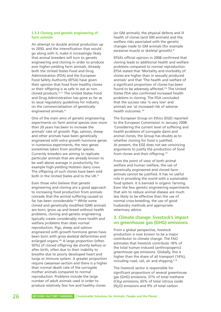#### **2.3.3 Cloning and genetic engineering of farm animals**

An attempt to double animal production up to 2050, and the intensification that would go along with it, make it increasingly likely that animal breeders will turn to genetic engineering and cloning in order to produce ever higher-yielding farm animals. Already both the United States Food and Drug Administration (FDA) and the European Food Safety Authority (EFSA) have given their opinion that food from healthy clones or their offspring is as safe to eat as noncloned products.50, 51 The United States Food and Drug Administration has gone so far as to issue regulatory guidelines for industry on the commercialisation of genetically engineered animals.<sup>52</sup>

One of the main aims of genetic engineering experiments on farm animal species over more than 20 years has been to increase the animals' rate of growth. Pigs, salmon, sheep and other animals have been genetically engineered with extra growth hormone genes in numerous experiments, the new genes sometimes taken from another species. Currently breeders are aiming to replicate particular animals that are already known to be well above average in productivity, for example high-yielding Holstein dairy cows. The offspring of such clones have been sold both in the United States and to the UK.<sup>53</sup>

Even those who believe that genetic engineering and cloning are a good approach to increasing food production from animals concede that the animal suffering caused so far has been considerable.<sup>54a</sup> While some cloned and genetically modified (GM) animals are born, grow up and breed without health problems, cloning and genetic engineering typically create considerably more health and welfare problems than does normal reproduction. Pigs, sheep and salmon engineered with growth hormone genes have been born with gross skeletal deformities and enlarged organs.<sup>54b</sup> A large proportion (often 50%) of cloned offspring die shortly before or after birth, often due to their inability to breathe due to poorly developed heart and lungs or immune system. A greater proportion require caesarean section and there is a higher than normal death rate of the surrogate mother animals compared to normal reproduction. Problems include the large number of adult animals used in order to produce relatively few live and healthy clones

(or GM animals), the physical defects and ill health of clones (and GM animals) and the welfare risks associated with the genetic changes made to GM animals (for example excessive muscle or skeletal growth).<sup>55</sup>

EFSA's official opinion in 2008 confirmed that cloning leads to additional health and welfare problems compared to normal reproduction. EFSA stated that 'Mortality and morbidity of clones are higher than in sexually produced animals' and that 'The health and welfare of a significant proportion of clones has been found to be adversely affected.'50 The United States FDA also confirmed increased health problems in cloning. The FDA concluded that the success rate 'is very low' and animals are 'at increased risk of adverse health outcomes.'56

The European Group on Ethics (EGE) reported to the European Commission in January 2008: 'Considering the current level of suffering and health problems of surrogate dams and animal clones, the Group has doubts as to whether cloning for food is justified. At present, the EGE does not see convincing arguments to justify the production of food from clones and their offspring.<sup>'57</sup>

From the point of view of both animal welfare and human welfare, the use of genetically engineered and cloned farm animals cannot be justified. It has no useful role in providing the world with a sustainable food system. It is banned in organic farming. Even the few genetic engineering experiments that aim to reduce animal disease are much less likely to be effective than the use of normal cross-breeding, the use of good husbandry methods and appropriate veterinary advice.

### **3. Climate change: livestock's impact on greenhouse gas (GHG) emissions**

From a global perspective, livestock production is now known to be a major contributor to climate change. The FAO estimates that livestock contribute 18% of the total human-induced (anthropogenic) greenhouse gas emissions. Globally, this is higher than the share of all transport (14%), including road, rail, air and shipping.<sup>6, 58</sup>

The livestock sector is responsible for significant proportions of several greenhouse gas (GHG) emissions: 37% of total methane (CH4) emissions, 65% of total nitrous oxide (N2O) emissions and 9% of total carbon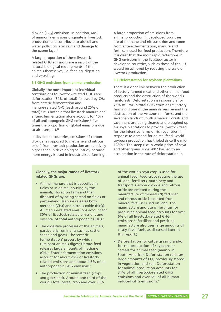dioxide (CO<sub>2</sub>) emissions. In addition,  $64\%$ of ammonia emissions originate in livestock production and contribute to air, soil and water pollution, acid rain and damage to the ozone layer.<sup>6</sup>

A large proportion of these livestockrelated GHG emissions are a result of the natural biological requirements of the animals themselves, i.e. feeding, digesting and excreting.

#### **3.1 GHG emissions from animal production**

Globally, the most important individual contributions to livestock-related GHGs are deforestation (34% of total) followed by CH4 from enteric fermentation and manure-related N<sub>2</sub>O (each around 25% of total).6 It is notable that livestock manure and enteric fermentation alone account for 10% of all anthropogenic GHG emissions.<sup>6</sup> five times the proportion of global emissions due to air transport.<sup>58</sup>

In developed countries, emissions of carbon dioxide (as opposed to methane and nitrous oxide) from livestock production are relatively higher than in developing countries, because more energy is used in industrialised farming.

A large proportion of emissions from animal production in developed countries are of methane and nitrous oxide and come from enteric fermentation, manure and fertilisers used for feed production. Therefore it is clear that the most rapid reductions in GHG emissions in the livestock sector in developed countries, such as those of the EU, would be achieved by reducing the scale of livestock production.

#### **3.2 Deforestation for soybean plantations**

There is a clear link between the production of factory farmed meat and other animal food products and the destruction of the world's rainforests. Deforestation is responsible for 75% of Brazil's total GHG emissions.<sup>59</sup> Factorv farming is one of the main drivers behind the destruction of the Amazon rainforest and the savannah lands of South America. Forests and savannahs are being cleared and ploughed up for soya plantations to provide livestock feed for the intensive farms of rich countries. In response to demand for animal feed, world soybean production has tripled since the mid-1980s.<sup>60</sup> The steep rise in world prices of soya and other grains since 2007 has led to an acceleration in the rate of deforestation in

#### **Globally, the major causes of livestockrelated GHGs are:**

- Animal manure that is deposited in fields or in animal housing by the animals, stored on farm and then disposed of by being spread on fields or pastureland. Manure releases both methane (CH<sub>4</sub>) and nitrous oxide (N<sub>2</sub>O). All manure-related emissions account for 30% of livestock-related emissions and over 5% of total anthropogenic GHGs.<sup>6</sup>
- The digestive processes of the animals, particularly ruminants such as cattle, sheep and goats. The 'enteric fermentation' process by which ruminant animals digest fibrous feed releases large amounts of methane (CH4). Enteric fermentation emissions account for about 25% of livestockrelated emissions and about 4.5% of all anthropogenic GHG emissions.<sup>6</sup>
- The production of animal feed (crops and grassland). Around one-third of the world's total cereal crop and over 90%

of the world's soya crop is used for animal feed. Feed crops require the use of land, fertilisers, machinery and transport. Carbon dioxide and nitrous oxide are emitted during the manufacture of mineral (N) fertiliser and nitrous oxide is emitted from mineral fertiliser used on land. The manufacture and use of fertiliser for producing animal feed accounts for over 6% of all livestock-related GHG emissions.<sup>6</sup> (Fertiliser and pesticide manufacture also uses large amounts of costly fossil fuels, as discussed later in this report.)

• Deforestation for cattle grazing and/or for the production of soybeans or cereals for animal feed (mainly in South America). Deforestation releases large amounts of CO<sub>2</sub> previously stored in vegetation and soil. Deforestation for animal production accounts for 34% of all livestock-related GHG emissions and over 6% of all humaninduced GHG emissions.<sup>6</sup>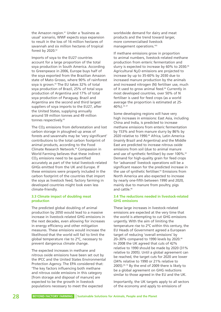the Amazon region.<sup>61</sup> Under a 'business as usual' scenario, WWF expects soya expansion to result in the loss of 16 million hectares of savannah and six million hectares of tropical forest by 2020.<sup>62</sup>

Imports of soya to the EU27 countries account for a large proportion of the total soya production in South America. According to Greenpeace in 2006, Europe buys half of the soya exported from the Brazilian Amazon state of Mato Grosso, where 90% of rainforest soya is grown.<sup>59</sup> The EU takes 32% of total soya production of Brazil, 25% of total soya production of Argentina and 17% of total soya production of Paraguay. Brazil and Argentina are the second and third largest suppliers of soya imports to the EU27, after the United States, supplying annually around 59 million tonnes and 49 million tonnes respectively.<sup>63</sup>

The CO<sub>2</sub> emissions from deforestation and lost carbon storage in ploughed up areas of forests and savannahs may be 'very significant' contributions to the total carbon footprint of animal products, according to the Food Climate Research Network.64 Compassion in World Farming believes that these indirect CO<sub>2</sub> emissions need to be quantified accurately as part of the total livestock-related GHGs emitted from the UK and Europe. If these emissions were properly included in the carbon footprint of the countries that import the soya as livestock feed, factory farming in developed countries might look even less climate-friendly.

#### **3.3 Climate impact of doubling meat production**

The predicted global doubling of animal production by 2050 would lead to a massive increase in livestock-related GHG emissions in the next decades, even allowing for increases in energy efficiency and other mitigation measures. These emissions would increase the likelihood that the world will fail to limit the global temperature rise to 2ºC, necessary to prevent dangerous climate change.

The expected increases in methane and nitrous oxide emissions have been set out by the IPCC and the United States Environmental Protection Agency. The EPA considered that: 'The key factors influencing both methane and nitrous oxide emissions in this category [from storage and disposal of manure] are expected to be the growth in livestock populations necessary to meet the expected

worldwide demand for dairy and meat products and the trend toward larger, more commercialised livestock management operations.<sup>'65</sup>

If methane emissions grow in proportion to animal numbers, livestock-related methane production from enteric fermentation and slurry is expected to increase by 60% to 2030.<sup>66</sup> Agricultural N2O emissions are projected to increase by up to 35-60% by 2030 due to increased manure production by the animals and increased nitrogen (N) fertiliser use, much of it used to grow animal feed.<sup>66</sup> Currently in most developed countries, over 50% of N fertiliser is used for feed crops (as a world average the proportion is estimated at 25- 40%).34, 67

Some developing regions will have very high increases in emissions: East Asia, including China and India, is predicted to increase methane emissions from enteric fermentation by 153% and from manure slurry by 86% by 2020 relative to 1990.<sup>66</sup> Africa, Latin America (mainly Brazil and Argentina) and the Middle East are predicted to increase nitrous oxide emissions from soil (due to animal manure and use of synthetic fertiliser) by over 100%.<sup>65</sup> Demand for high-quality grain for feed crops for 'advanced' livestock operations will be a significant reason for the predicted increase in the use of synthetic fertiliser.<sup>65</sup> Emissions from North America are also expected to increase by nearly one-fifth between 1990 and 2020, mainly due to manure from poultry, pigs and cattle  $66$ 

#### **3.4 The reductions needed in livestock-related GHG emissions**

These large increases in livestock-related emissions are expected at the very time that the world is attempting to cut GHG emissions urgently. With the aim of limiting the temperature rise to 2ºC within this century, the EU Heads of Government agreed a European target of reducing 'overall emissions' by 20-30% compared to 1990 levels by 2020.<sup>68</sup> In 2008 the UK agreed that cuts of 42% relative to 1990 should be made by 2020 (31% relative to 2005). Until a global agreement can be reached, the target cuts for 2020 are lower (34% relative to 1990 or 21% relative to 2005).69, 70 By the end of 2009 there is likely to be a global agreement on GHG reductions similar to those agreed in the EU and the UK.

Importantly, the UK targets apply to all sectors of the economy and apply to emissions of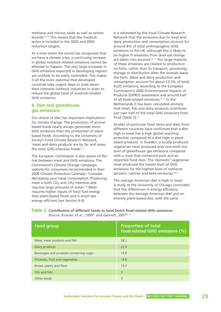methane and nitrous oxide as well as carbon dioxide.69, 70 This means that the livestock sector is included in the 2020 and 2050 reduction targets.

At a time when the world has recognised that we have a climate crisis, a continuing increase in global livestock-related emissions cannot be allowed to happen. The very large increases in GHG emissions expected in developing regions are unlikely to be easily controlled. This makes it all the more essential that developed countries take urgent steps to scale down their intensive livestock industries in order to reduce the global total of livestock-related GHG emissions.

### **4. Diet and greenhouse gas emissions**

Our choice of diet has important implications for climate change. The production of animalbased foods nearly always generates more GHG emissions than the production of plantbased foods. According to the University of Surrey's Food Climate Research Network, 'meat and dairy products are by far and away the most GHG-intensive foods'.<sup>71</sup>

The European Commission is also aware of the link between meat and GHG emissions. The Commission's Climate Change Campaign website for consumers recommended in their 2008 Climate Protection Calendar: 'Consider decreasing your meat consumption. Producing meat is both  $CO<sub>2</sub>$  and CH<sub>4</sub> intensive and requires large amounts of water.'72 Meat requires higher inputs of fossil fuel energy than plant-based foods and is much less energy efficient (see Section 6.4).

It is estimated by the Food Climate Research Network that the emissions due to meat and dairy production and consumption account for around 8% of total anthropogenic GHG emissions in the UK, although this is likely to be higher if emissions from land-use change are taken into account.<sup>64, 73</sup> The large majority of these emissions are related to production on-farm, rather than to transport, processing, storage or distribution after the animals leave the farm. Meat and dairy production and consumption account for about 13.5% of total EU25 emissions, according to the European Commission's 2006 Environmental Impacts of Products (EIPRO) assessment and around half of all food-related emissions.<sup>73, 74</sup> In the Netherlands it has been calculated similarly that meat, fish and dairy products contribute just over half of the total GHG emissions from food (Table 2).<sup>75</sup>

Studies of particular food items and diets from different countries have confirmed that a diet high in meat has a high global warming potential, compared to a diet high in plantbased products. In Sweden, a locally produced vegetarian meal produced only one-ninth the level of greenhouse gas emissions compared with a meal that contained pork and an imported food item. The 'domestic' vegetarian meal produced the lowest level of GHG emissions for the highest level of nutrients (protein, calories and beta-carotene).76a-b

The average American diet is high in meat. A study at the University of Chicago concluded that the differences in energy efficiency between the average American diet and an entirely plant-based diet, with the same

**Table 2. Contribution of different foods to total Dutch food-related GHG emissions.** Source: Kramer *et al.*, 1999<sup>75</sup> and Garnett, 2007<sup>64, 73</sup>

| <b>Food group</b>                       | <b>Proportion of total</b><br>food-related GHG emissions (%) |
|-----------------------------------------|--------------------------------------------------------------|
| Meat, meat products and fish            | 28.2                                                         |
| Dairy products                          | 22.9                                                         |
| Beverages and products containing sugar | 14.9                                                         |
| Potatoes, fruit and vegetables          | 14.6                                                         |
| Bread, pastry and flour                 | 13.3                                                         |
| Oils and fats                           | 3                                                            |
| Other foods                             | 3                                                            |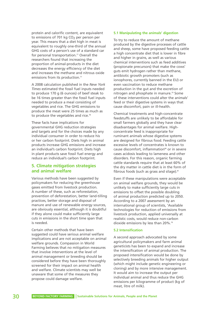protein and calorific content, are equivalent to emissions of 701 kg CO<sub>2</sub> per person per year. This means that a diet high in meat is equivalent to roughly one-third of the annual GHG costs of a person's use of a standard car for personal transportation.<sup>77</sup> Overall the researchers found that increasing the proportion of animal-products in the diet decreases the energy efficiency of the diet and increases the methane and nitrous oxide emissions from its production<sup>77</sup>

A 2008 calculation published in the *New York Times* estimated the fossil fuel inputs needed to produce 170 g (6 ounces) of beef steak to be 16 times greater than the fossil fuel inputs needed to produce a meal consisting of vegetables and rice. The GHG emissions to produce the meat were 25 times as much as to produce the vegetables and rice.<sup>78</sup>

These facts have implications for governmental GHG reduction strategies and targets and for the choices made by any individual consumer in order to reduce his or her carbon footprint. Diets high in animal products increase GHG emissions and increase an individual's carbon footprint. Diets high in plant products save fossil fuel energy and reduce an individual's carbon footprint.

# **5. Climate mitigation strategies and animal welfare**

Various methods have been suggested by policymakers for reducing the greenhouse gases emitted from livestock production. A number of these, such as reforestation, prevention of deforestation, better land-tilling practices, better storage and disposal of manure and use of renewable energy sources, are obviously essential, although it is doubtful if they alone could make sufficiently large cuts in emissions in the short time span that is needed.

Certain other methods that have been suggested could have serious animal welfare implications and are not acceptable on animal welfare grounds. Compassion in World Farming believes that no mitigation measures that involve interventions at the level of animal management or breeding should be considered before they have been thoroughly screened for their impact on animal health and welfare. Climate scientists may well be unaware that some of the measures they propose could damage welfare.

#### **5.1 Manipulating the animals' digestion**

To try to reduce the amount of methane produced by the digestive processes of cattle and sheep, some have proposed feeding cattle a high concentrate diet that is lower in fibre and higher in grains, as well as various chemical interventions such as feed additives (propionate precursors) that make the cows' guts emit hydrogen rather than methane, antibiotic growth promoters (such as ionophores, currently banned in the EU) or even vaccination to reduce methane production in the gut and the excretion of nitrogen and phosphate in manure.<sup>79</sup> Some of these interventions could alter the animals' feed or their digestive systems in ways that cause discomfort, pain or ill-health.

Chemical treatments and high-concentrate feedstuffs are unlikely to be affordable for small farmers globally and they have clear disadvantages for animal welfare. Highconcentrate feed is inappropriate for ruminant animals whose digestive systems are designed for fibrous food. Feeding cattle excessive levels of concentrates is known to cause discomfort, inflammation<sup>80</sup> or in severe cases acidosis leading to lameness and other disorders. For this reason, organic farming cattle standards require that at least 60% of the dry matter in cattle diet is in the form of fibrous foods (such as grass and silage).<sup>81</sup>

Even if these manipulations were acceptable on animal welfare grounds, they would be unlikely to make sufficiently large cuts in emissions to offset the possible doubling of animal production predicted up to 2050. According to a 2007 assessment by an international group of scientists, 'Available technologies for reduction of emissions from livestock production, applied universally at realistic costs, would reduce non-carbon dioxide emissions by less than 20%.'9

#### **5.2 Intensification**

A second approach advocated by some agricultural policymakers and farm animal geneticists has been to expand and increase the intensification of animal production. The proposed intensification would be done by selectively breeding animals for higher output (which might include genetic engineering or cloning) and by more intensive management. It would aim to increase the output per individual animal and thus reduce the GHG emissions per kilogramme of product (kg of meat, litre of milk).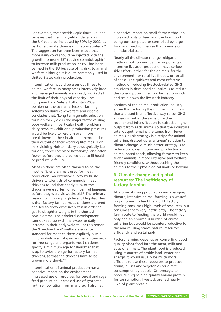For example, the Scottish Agricultural College believes that the milk yield of dairy cows in the UK could be increased by 30% by 2022, as part of a climate change mitigation strategy.<sup>79</sup> The suggestion has even been made that more dairy cows should be injected with the growth hormone BST (bovine somatotrophin) to increase milk production.<sup>79, 82</sup> BST has been banned in the EU because of its risks to animal welfare, although it is quite commonly used in United States dairy production.

Intensification would be a serious threat to animal welfare. In many cases intensively bred and managed animals are already worked at the limit of their physical capacity. The European Food Safety Authority's 2009 opinion on the overall effects of farming systems on dairy cow welfare and disease concludes that: 'Long term genetic selection for high milk yield is the major factor causing poor welfare, in particular health problems, in dairy cows'.207 Additional production pressures would be likely to result in even more breakdowns in their health and hence reduce their output or their working lifetimes. High milk-yielding Holstein dairy cows typically last for only three complete lactations,<sup>83</sup> and often fewer, before they are culled due to ill health or productive failure.

Meat chickens are often claimed to be the most 'efficient' animals used for meat production. An extensive survey by Bristol University scientists of commercial meat chickens found that nearly 30% of the chickens were suffering from painful lameness before they were six weeks old.<sup>41</sup> The primary reason for this very high level of leg disorders is that factory farmed meat chickens are bred and fed to grow excessively fast in order to get to slaughter weight in the shortest possible time. Their skeletal development cannot keep up with the excessive daily increase in their body weight. For this reason, the 'Freedom Food' welfare assurance standard for meat chickens explicitly puts a limit on daily weight gain and legal standards for free-range and organic meat chickens specify a minimum age for slaughter that is up to twice the age for factory farmed chickens, so that the chickens have to be grown more slowly.<sup>84a-c</sup>

Intensification of animal production has a negative impact on the environment (increased use of resources for cereal and soya feed production, increased use of synthetic fertiliser, pollution from manure). It also has

a negative impact on small farmers through increased costs of feed and the likelihood of being out-competed or controlled by large food and feed companies that operate on an industrial scale.

Nearly all the climate change mitigation methods put forward by the proponents of intensive livestock production have serious side effects, either for the animals, for the environment, for rural livelihoods, or for all of these. The quickest and most effective method of reducing livestock-related GHG emissions in developed countries is to reduce the consumption of factory farmed products and scale down the livestock industry.

Sections of the animal production industry agree that reducing the number of animals that are used is an effective way to cut GHG emissions, but at the same time they recommend intensification to extract a higher output from each animal so that the industry's total output remains the same, from fewer animals.79 This strategy is a recipe for animal suffering, dressed up as a 'green' solution to climate change. A much better strategy is to reduce our consumption and production of animal-based foods, allowing farmers to keep fewer animals in more extensive and welfarefriendly conditions, without pushing the animals to their physiological limits or beyond.

# **6. Climate change and global resources: The inefficiency of factory farming**

At a time of rising population and changing climate, intensive animal farming is a wasteful way of trying to feed the world. Factory farming consumes high levels of resources, but consumes them very inefficiently. The factory farm route to feeding the world would not only add an enormous burden of animal suffering but would be counterproductive to the aim of using scarce natural resources efficiently and sustainably.

Factory farming depends on converting good quality plant food into the meat, milk and eggs of animals. The plant food is produced using resources of arable land, water and energy. It would usually be much more efficient to use these resources to produce grains, pulses and vegetables for direct consumption by people. On average, to produce 1 kg of high quality animal protein for consumption, livestock are fed nearly 6 kg of plant protein.5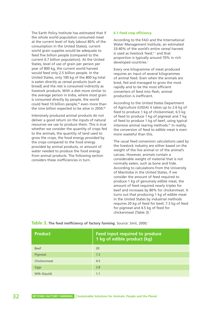The Earth Policy Institute has estimated that if the whole world population consumed meat at the current level of Italy (about 80% of the consumption in the United States), current world grain supplies would be adequate to feed five billion people (compared to the current 6.7 billion population). At the United States, level of use of grain per person per year of 800 kg, the current world harvest would feed only 2.5 billion people. In the United States, only 100 kg of the 800 kg total is eaten directly as cereal products (such as bread) and the rest is consumed indirectly as livestock products. With a diet more similar to the average person in India, where most grain is consumed directly by people, the world could feed 10 billion people,<sup>85</sup> even more than the nine billion expected to be alive in 2050.<sup>86</sup>

Intensively produced animal products do not deliver a good return on the inputs of natural resources we use to produce them. This is true whether we consider the quantity of crops fed to the animals, the quantity of land used to grow the crops, the food energy provided by the crops compared to the food energy provided by animal products, or amount of water needed to produce the food energy from animal products. The following section considers these inefficiencies in turn.

#### **6.1 Feed crop efficiency**

According to the FAO and the International Water Management Institute, an estimated 33-40% of the world's entire cereal harvest is used as livestock feed. $6, 7$  and that proportion is typically around 70% in rich developed countries.<sup>7</sup>

Every one kilogramme of meat produced requires an input of several kilogrammes of animal feed. Even when the animals are bred, fed and managed to grow the most rapidly and to be the most efficient converters of feed into flesh, animal production is inefficient.

According to the United States Department of Agriculture (USDA) it takes up to 2.6 kg of feed to produce 1 kg of chickenmeat, 6.5 kg of feed to produce 1 kg of pigmeat and 7 kg of feed to produce 1 kg of beef, using typical intensive animal rearing methods.<sup>87</sup> In reality, the conversion of feed to edible meat is even more wasteful than this.

The usual feed conversion calculations used by the livestock industry are either based on the weight of the live animal or of the animal's carcass. However, animals contain a considerable weight of material that is not normally eaten, such as bone and hide. According to calculations from the University of Manitoba in the United States, if we consider the amount of feed required to produce 1 kg of genuinely edible meat, the amount of feed required nearly triples for beef and increases by 80% for chickenmeat. It turns out that producing 1 kg of edible meat in the United States by industrial methods requires 20 kg of feed for beef, 7.3 kg of feed for pigmeat and 4.5 kg of feed for chickenmeat (Table 3).<sup>1</sup>

| <b>Product</b> | <b>Feed input required to produce</b><br>1 kg of edible product (kg) |
|----------------|----------------------------------------------------------------------|
| <b>Beef</b>    | 20                                                                   |
| Pigmeat        | 7.3                                                                  |
| Chickenmeat    | 4.5                                                                  |
| Eggs           | 2.8                                                                  |
| Milk (liquid)  | 1.1                                                                  |

**Table 3. The feed inefficiency of factory farming.** Source: Smil, 2000.<sup>1</sup>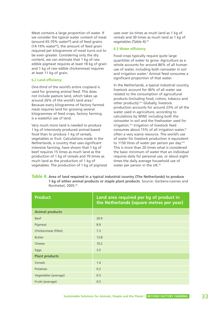Meat contains a large proportion of water. If we consider the typical water content of meat (around 65-70% water<sup>88</sup>) and of feed grains (14-19% water<sup>89</sup>), the amount of feed grain required per kilogramme of meat turns out to be even greater. Considering only the dry content, we can estimate that 1 kg of raw edible pigmeat requires at least 18 kg of grain and 1 kg of raw edible chickenmeat requires at least 11 kg of grain.

#### **6.2 Land efficiency**

One-third of the world's entire cropland is used for growing animal feed. This does not include pasture land, which takes up around 26% of the world's land area.<sup>6</sup> Because every kilogramme of factory farmed meat requires land for growing several kilogrammes of feed crops, factory farming is a wasteful use of land.

Very much more land is needed to produce 1 kg of intensively-produced animal-based food than to produce 1 kg of cereals, vegetables or fruit. Calculations made in the Netherlands, a country that uses significant intensive farming, have shown that 1 kg of beef requires 15 times as much land as the production of 1 kg of cereals and 70 times as much land as the production of 1 kg of vegetables. The production of 1 kg of pigmeat

uses over six times as much land as 1 kg of cereals and 30 times as much land as 1 kg of vegetables (Table 4).<sup>90</sup>

#### **6.3 Water efficiency**

Food crops typically require quite large quantities of water to grow. Agriculture as a whole accounts for around 86% of all human use of water, including both rainwater in soil and irrigation water.<sup>2</sup> Animal feed consumes a significant proportion of that water.

In the Netherlands, a typical industrial country, livestock account for 46% of all water use related to the consumption of agricultural products (including food, cotton, tobacco and other products).91a Globally, livestock production accounts for around 23% of all the water used in agriculture, according to calculations by WWF, including both the rainwater in soil and the freshwater used for irrigation.91b Irrigation of livestock feed consumes about 15% of all irrigation water,<sup>92</sup> often a very scarce resource. The world's use of water for livestock production is equivalent to 1150 litres of water per person per day.<sup>91b</sup> This is more than 20 times what is considered the basic minimum of water that an individual requires daily for personal use, or about eight times the daily average household use of water per person in the UK.<sup>93</sup>

**Table 4. Area of land required in a typical industrial country (The Netherlands) to produce 1 kg of either animal products or staple plant products**. Source: Gerbens-Leenes and Nonhebel, 2005.90

| <b>Product</b>         | Land area required per kg of product in<br>the Netherlands (square metres per year) |
|------------------------|-------------------------------------------------------------------------------------|
| <b>Animal products</b> |                                                                                     |
| <b>Beef</b>            | 20.9                                                                                |
| Pigmeat                | 8.9                                                                                 |
| Chickenmeat (fillet)   | 7.3                                                                                 |
| <b>Butter</b>          | 13.8                                                                                |
| Cheese                 | 10.2                                                                                |
| Eggs                   | 3.5                                                                                 |
| <b>Plant products</b>  |                                                                                     |
| Cereals                | 1.4                                                                                 |
| Potatoes               | 0.2                                                                                 |
| Vegetables (average)   | 0.3                                                                                 |
| Fruits (average)       | 0.5                                                                                 |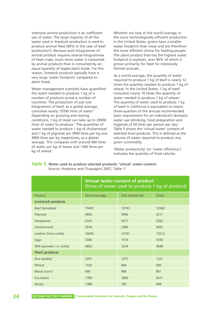Intensive animal production is an inefficient use of water. The large majority of all the water used in livestock production is used to produce animal feed (90% in the case of beef production<sup>2</sup>). Because each kilogramme of animal product requires several kilogrammes of feed crops, much more water is consumed by animal products than is consumed by an equal quantity of staple plant foods. For this reason, livestock products typically have a very large 'water footprint' compared to plant foods.

Water management scientists have quantified the water needed to produce 1 kg of a number of products across a number of countries. The production of just one kilogramme of beef, as a global average, consumes nearly 15500 litres of water.<sup>2</sup> Depending on growing and rearing conditions, 1 kg of meat can take up to 20000 litres of water to produce.<sup>7</sup> The quantities of water needed to produce 1 kg of chickenmeat and 1 kg of pigmeat are 3900 litres per kg and 4900 litres per kg respectively, as a global average. This compares with around 900 litres of water per kg of maize and 1300 litres per kg of wheat.<sup>2</sup>

Whether we look at the world average or the more technologically efficient production in the United States, grains have a smaller water footprint than meat and are therefore the more efficient choice for feeding people. The plant product that has the highest water footprint is soybean, over 90% of which is grown primarily for feed for intensively farmed animals.

As a world average, the quantity of water required to produce 1 kg of beef is nearly 12 times the quantity needed to produce 1 kg of wheat. In the United States, 1 kg of beef consumes nearly 16 times the quantity of water needed to produce 1 kg of wheat.<sup>2</sup> The quantity of water used to produce 1 kg of beef in California is equivalent to nearly three-quarters of the annual recommended basic requirement for an individual's domestic water use (drinking, food preparation and hygiene) of 50 litres per person per day.<sup>3</sup> Table 5 shows the 'virtual water' content of selected food products. This is defined as the volume of water required to produce any given commodity.

'Water productivity' (or 'water efficiency') indicates the quantity of food calories

|                            | Virtual water content of product<br>(litres of water used to produce 1 kg of product) |                         |       |
|----------------------------|---------------------------------------------------------------------------------------|-------------------------|-------|
| Product                    | World average                                                                         | <b>USA</b> (industrial) | China |
| <b>Livestock products</b>  |                                                                                       |                         |       |
| Beef (boneless)            | 15497                                                                                 | 13193                   | 12560 |
| Pigmeat                    | 4856                                                                                  | 3946                    | 2211  |
| Sheepmeat                  | 6143                                                                                  | 5977                    | 5202  |
| Chickenmeat                | 3918                                                                                  | 2389                    | 3652  |
| Leather (from cattle)      | 16656                                                                                 | 14191                   | 13513 |
| <b>Eggs</b>                | 3340                                                                                  | 1510                    | 3550  |
| Milk (powder, i.e. solids) | 4602                                                                                  | 3234                    | 4648  |
| <b>Plant products</b>      |                                                                                       |                         |       |
| Rice (paddy)               | 2291                                                                                  | 1275                    | 1321  |
| Wheat                      | 1334                                                                                  | 849                     | 690   |
| Maize (corn)               | 909                                                                                   | 489                     | 801   |
| Soy beans                  | 1789                                                                                  | 1869                    | 2617  |
| <b>Barley</b>              | 1388                                                                                  | 702                     | 848   |

#### **Table 5. Water used to produce selected products: 'virtual' water content.**  Source: Hoekstra and Chapagain 2007, Table 12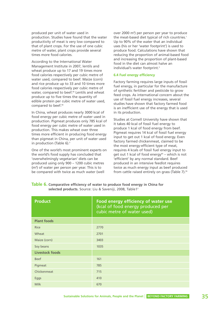produced per unit of water used in production. Studies have found that the water productivity of meat is very low compared to that of plant crops. For the use of one cubic metre of water, plant crops provide several times more food calories.

According to the International Water Management Institute in 2007, lentils and wheat produce up to 17 and 19 times more food calories respectively per cubic metre of water used, compared to beef. Maize (corn) and rice produce up to 33 and 10 times more food calories respectively per cubic metre of water, compared to beef.<sup>94</sup> Lentils and wheat produce up to five times the quantity of edible protein per cubic metre of water used, compared to beef.94

In China, wheat produces nearly 3000 kcal of food energy per cubic metre of water used in production. Pigmeat produces only 785 kcal of food energy per cubic metre of water used in production. This makes wheat over three times more efficient in producing food energy than pigmeat in China, per unit of water used in production (Table 6).<sup>3</sup>

One of the world's most prominent experts on the world's food supply has concluded that 'overwhelmingly vegetarian' diets can be produced using only 900 – 1200 cubic metres (m**<sup>3</sup>** ) of water per person per year. This is to be compared with twice as much water (well

over 2000 m**<sup>3</sup>** ) per person per year to produce the meat-based diet typical of rich countries.<sup>1</sup> Up to 90% of the water that an individual uses (his or her 'water footprint') is used to produce food. Calculations have shown that reducing the proportion of animal-based food and increasing the proportion of plant-based food in the diet can almost halve an individual's water footprint<sup>3</sup>

#### **6.4 Fuel energy efficiency**

Factory farming requires large inputs of fossil fuel energy, in particular for the manufacture of synthetic fertiliser and pesticide to grow feed crops. As international concern about the use of fossil fuel energy increases, several studies have shown that factory farmed food is an inefficient use of the energy that is used in its production.

Studies at Cornell University have shown that it takes 40 kcal of fossil fuel energy to produce 1 kcal of food energy from beef. Pigmeat requires 14 kcal of fossil fuel energy input to get out 1 kcal of food energy. Even factory farmed chickenmeat, claimed to be the most energy-efficient type of meat, requires 4 kcals of fossil fuel energy input to get out 1 kcal of food energy<sup>95</sup> – which is not 'efficient' by any normal standard. Beef produced in an intensive feedlot requires twice as much energy input as beef produced from cattle raised entirely on grass (Table 7).<sup>95</sup>

**Table 6. Comparative efficiency of water to produce food energy in China for selected products.** Source: Liu & Saveniji, 2008, Table13

| <b>Product</b>         | Food energy efficiency of water use<br>(kcal of food energy produced per<br>cubic metre of water used) |
|------------------------|--------------------------------------------------------------------------------------------------------|
| <b>Plant foods</b>     |                                                                                                        |
| <b>Rice</b>            | 2770                                                                                                   |
| Wheat                  | 2701                                                                                                   |
| Maize (corn)           | 3403                                                                                                   |
| Soy beans              | 1035                                                                                                   |
| <b>Livestock foods</b> |                                                                                                        |
| <b>Beef</b>            | 161                                                                                                    |
| Pigmeat                | 785                                                                                                    |
| Chickenmeat            | 715                                                                                                    |
| <b>Eggs</b>            | 410                                                                                                    |
| <b>Milk</b>            | 670                                                                                                    |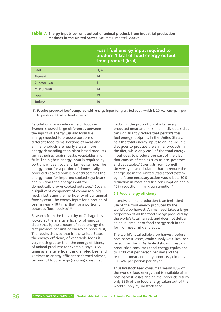|                | Fossil fuel energy input required to<br>produce 1 kcal of food energy output<br>from product (kcal) |
|----------------|-----------------------------------------------------------------------------------------------------|
| <b>Beef</b>    | [1] 40                                                                                              |
| Pigmeat        | 14                                                                                                  |
| Chickenmeat    | $\overline{4}$                                                                                      |
| Milk (liquid)  | 14                                                                                                  |
| Eggs           | 39                                                                                                  |
| <b>Turkeys</b> | 10                                                                                                  |

**Table 7. Energy inputs per unit output of animal product, from industrial production** methods in the United States. Source: Pimentel, 2006<sup>95</sup>

[1]. Feedlot-produced beef compared with energy input for grass-fed beef, which is 20 kcal energy input to produce 1 kcal of food energy.<sup>95</sup>

Calculations on a wide range of foods in Sweden showed large differences between the inputs of energy (usually fossil fuel energy) needed to produce portions of different food items. Portions of meat and animal products are nearly always more energy demanding than plant-based products such as pulses, grains, pasta, vegetables and fruit. The highest energy input is required by portions of beef, cod and farmed salmon. The energy input for a portion of domestically produced cooked pork is over three times the energy input for imported cooked soya beans and 5.5 times the energy input for domestically grown cooked potatoes.<sup>96</sup> Soya is a significant component of commercial pig feed, illustrating the inefficiency of our animal food system. The energy input for a portion of beef is nearly 10 times that for a portion of potatoes (both cooked).96

Research from the University of Chicago has looked at the energy efficiency of various diets (that is, the amount of food energy the diet provides per unit of energy to produce it). The results showed that in the United States the energy efficiency of vegetable foods is very much greater than the energy efficiency of animal products; for example, soya is 65 times as energy efficient as grain-fed beef and 73 times as energy efficient as farmed salmon, per unit of food energy (calories) consumed.<sup>77</sup>

Reducing the proportion of intensively produced meat and milk in an individual's diet can significantly reduce that person's fossil fuel energy footprint. In the United States, half the total energy input to an individual's diet goes to produce the animal products in the diet, while only 20% of the total energy input goes to produce the part of the diet that consists of staples such as rice, potatoes and vegetables.<sup>5</sup> Scientists from Cornell University have calculated that to reduce the energy use in the United States food system by half, one necessary action would be a 50% reduction in meat and fish consumption and a 40% reduction in milk consumption.<sup>5</sup>

#### **6.5 Food energy efficiency**

Intensive animal production is an inefficient use of the food energy produced by the world's crop harvest. Animal feed takes a large proportion of all the food energy produced by the world's total harvest, and does not deliver an equal amount of food energy back in the form of meat, milk and eggs.

The world's total edible crop harvest, before post-harvest losses, could supply 4600 kcal per person per day.1, 7 As Table 8 shows, livestock production consumes food energy equivalent to 1700 kcal per person per day and the resultant meat and dairy products yield only 500 kcal per person per day.<sup>1, 7</sup>

Thus livestock feed consumes nearly 43% of the world's food energy that is available after post-harvest losses and animal products return only 29% of the food energy taken out of the world supply by livestock feed.<sup>1, 7</sup>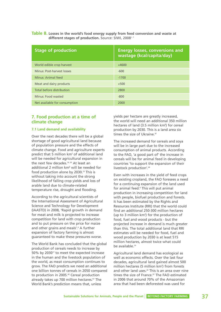| Table 8. Losses in the world's food energy supply from feed conversion and waste at |  |
|-------------------------------------------------------------------------------------|--|
| different stages of production. Source: SIWI, 2008 <sup>1,7</sup>                   |  |

| <b>Stage of production</b>    | <b>Energy losses, conversions and</b><br>wastage (kcal/capita/day) |
|-------------------------------|--------------------------------------------------------------------|
| World edible crop harvest     | $+4600$                                                            |
| Minus: Post-harvest losses    | $-600$                                                             |
| Minus: Animal feed            | $-1700$                                                            |
| Meat and dairy products       | $+500$                                                             |
| Total before distribution     | 2800                                                               |
| Minus: Food wasted            | $-800$                                                             |
| Net available for consumption | 2000                                                               |

# **7. Food production at a time of climate change**

# **7.1 Land demand and availability**

Over the next decades there will be a global shortage of good agricultural land because of population pressure and the effects of climate change. Food and agriculture experts predict that 5 million km<sup>2</sup> of additional land will be needed for agricultural expansion in the next few decades.<sup>19, 20</sup> At least an additional 2 million km**<sup>2</sup>** will be needed for food production alone by 2030.<sup>19</sup> This is without taking into account the strong likelihood of falling crop yields and loss of arable land due to climate-related temperature rise, drought and flooding.

According to the agricultural scientists of the International Assessment of Agricultural Science and Technology for Development (IAASTD) in 2008, 'Rapid growth in demand for meat and milk is projected to increase competition for land with crop production and to put pressure on the price for maize and other grains and meals'.<sup>4</sup> A further expansion of factory farming is almost guaranteed to make these pressures worse.

The World Bank has concluded that the global production of cereals needs to increase by 50% by 2030<sup>17</sup> to meet the expected increase in the human and the livestock population of the world, as meat consumption continues to grow. The FAO predicts we need an additional one billion tonnes of cereals in 2050 compared to production in 2005.<sup>40</sup> Cereal production already takes up 700 million hectares.<sup>97</sup> The World Bank's prediction means that, unless

yields per hectare are greatly increased, the world will need an additional 350 million hectares of land (3.5 million km**<sup>2</sup>** ) for cereal production by 2030. This is a land area six times the size of Ukraine.<sup>97</sup>

The increased demand for cereals and soya will be in large part due to the increased consumption of animal products. According to the FAO, 'a good part of' the increase in cereals will be for animal feed in developing countries 'to support the expansion of their livestock production'.40

Even with increases in the yield of feed crops on existing cropland, the FAO foresees a need for a continuing expansion of the land used for animal feed.<sup>6</sup> This will put animal production in increasing competition for land with people, biofuel production and forests. It has been estimated by the Rights and Resources Institute (RRI) that the world could find an additional 250-300 million hectares (up to 3 million km2 ) for the production of food, fuel and wood products - but the projected increase in demand is much greater than this. The total additional land that RRI estimates will be needed for food, fuel and wood production by 2030 is at least 515 million hectares, almost twice what could be available.<sup>19</sup>

Agricultural land demand has ecological as well as economic effects. Over the last four decades, agricultural land gained almost 500 million hectares (5 million km<sup>2</sup>) from forests and other land uses.<sup>20</sup> This is an area over nine times the size of France.<sup>97</sup> The FAO estimated in 2006 that around 70% of the Amazonian area that had been deforested was used for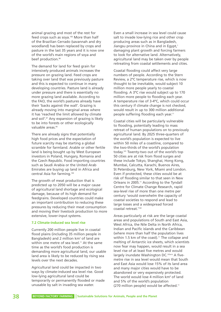animal grazing and most of the rest for feed crops such as soya.<sup>1(6)</sup> More than half of the Brazilian Cerrado (savannah and dry woodland) has been replaced by crops and pasture in the last 35 years and it is now one of the world's main regions of soya and beef production.<sup>98</sup>

The demand for land for feed grain for intensively produced animals increases the pressure on grazing land. Feed crops are taking over land that was previously pasture and this is expected to continue in many developing countries. Pasture land is already under pressure and there is essentially no more grazing land available. According to the FAO, the world's pastures already have their 'backs against the wall'. Grazing is already moving into marginal areas where it has 'reached the limit allowed by climate and soil'.<sup>67</sup> Any expansion of grazing is likely to be into forests or other ecologically valuable areas.<sup>99</sup>

There are already signs that potentially high food prices and the expectation of future scarcity may be starting a global scramble for farmland. Arable or other fertile land is being bought up by West European investors in Poland, Hungary, Romania and the Czech Republic. Food importing countries such as Saudi Arabia or the United Arab Emirates are buying up land in Africa and central Asia for farming.<sup>100</sup>

The growth of meat production that is predicted up to 2050 will be a major cause of agricultural land shortage and ecological damage, because of its high demand for feedgrains. Developed countries could make an important contribution to reducing these pressures by reducing their meat consumption and moving their livestock production to more extensive, lower-input systems.

#### **7.2 Climate-induced sea level rise**

Currently 200 million people live in coastal flood plains (including 35 million people in Bangladesh) and 2 million km<sup>2</sup> of land are within one metre of sea level.<sup>11</sup> At the same time as the world's food production is demanding more agricultural land, our usable land area is likely to be reduced by rising sea levels over the next decades.

Agricultural land could be impacted in two ways by climate-induced sea level rise. Good low-lying agricultural land could be temporarily or permanently flooded or made unusable by salt in invading sea water.

Even a small increase in sea level could cause salt to invade low-lying rice and other crop producing areas such as in Bangladesh, Jiangsu province in China and in Egypt,<sup>1</sup> damaging plant growth and forcing farmers to look for alternative land. Alternatively, agricultural land may be taken over by people retreating from coastal settlements and cities.

Coastal flooding could affect very large numbers of people. According to the Stern Review, a 2ºC temperature rise, which is now thought to be inevitable, would subject 10 million more people yearly to coastal flooding. A 3ºC rise would subject up to 170 million more people to flooding each year. A temperature rise of 3-4ºC, which could occur this century if climate change is not checked, would result in up to 300 million additional people suffering flooding each year.<sup>11</sup>

Coastal cities will be particularly vulnerable to flooding, potentially leading to mass retreat of human populations on to previously agricultural land. By 2025 three-quarters of the world's population is expected to live within 50 miles of a coastline, compared to the two-thirds of the world's population today.101 Twenty-two out of the world's top 50 cities are at risk from flood surges and these include Tokyo, Shanghai, Hong Kong, Mumbai, Calcutta, Karachi, Buenos Aires, St Petersburg, New York, Miami and London. Even if protected, these cities would be at risk of flooding similar to that seen in New Orleans in 2005.<sup>11</sup> According to the Tyndall Centre for Climate Change Research, rapid sea-level rise of more than one metre per century 'would overwhelm the capacity of coastal societies to respond and lead to large losses and a widespread forced coastal retreat.'102

Areas particularly at risk are the large coastal areas and populations of South and East Asia, West Africa, the Nile Delta in North Africa, Indian and Pacific islands and the Caribbean (where more than half the population lives within 1.5 km of the coast).<sup>11</sup> The collapse and melting of Antarctic ice sheets, which scientists now fear may happen, would result in a sea level rise of at least five metres and would largely inundate Washington DC.103a-b A fivemetre rise in sea level would mean that South and East Asia would lose 15% of its land area and many major cities would have to be abandoned or very expensively protected. The world would lose 4 million km**<sup>2</sup>** of land and 5% of the world's population (270 million people) would be affected.11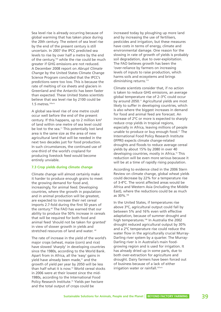Sea level rise is already occurring because of global warming that has taken place during the 20th century. The extent of sea level rise by the end of the present century is still uncertain. In 2007 the IPCC predicted sea levels to rise by over half a metre by the end of the century,<sup>104</sup> while the rise could be much greater if GHG emissions are not reduced. A December 2008 report on *Abrupt Climate Change* by the United States Climate Change Science Program concluded that the IPCC's predictions were too low. This is because the rate of melting of ice sheets and glaciers in Greenland and the Antarctic has been faster than expected. These United States scientists believe that sea level rise by 2100 could be 1.5 metres.105a-b

A global sea-level rise of one metre could occur well before the end of the present century. If this happens, up to 2 million km**<sup>2</sup>** of land within one metre of sea level could be lost to the sea.<sup>11</sup> This potentially lost land area is the same size as the area of new agricultural land that will be needed in the next two decades just for food production. In such circumstances, the continued use of one-third of the world's cropland for producing livestock feed would become entirely unviable.

### **7.3 Crop yields during climate change**

Climate change will almost certainly make it harder to produce enough grains to meet the growing demand for food and, increasingly, for animal feed. Developing countries, where the growth in population and in animal production will be greatest, are expected to increase their net cereal imports 2.7-fold during the first 50 years of the century.40 The FAO has warned that our ability to produce the 50% increase in cereals that will be required for both food and animal feed 'should not be taken for granted' in view of slower growth in yields and stretched resources of land and water. 40

The rate of increase in the yield of the world's major crops (wheat, maize (corn) and rice) have slowed 'sharply' in developing countries since the 1980s, according to the World Bank. Apart from in Africa, all the 'easy' gains in yield have already been made,<sup>31</sup> and the growth of yield per year by 2050 will be less than half what it is now. <sup>15</sup> World cereal stocks in 2006 were at their lowest since the mid-1980s, according to the International Food Policy Research Institute.<sup>15</sup> Yields per hectare and the total output of crops could be

increased today by ploughing up more land and by increasing the use of fertilisers, pesticides and irrigation, but these measures have costs in terms of energy, climate and environmental damage. One reason for the slowing in rate of growth of yields is probably soil degradation, due to over-exploitation. The FAO believes growth has been the 'over-reliance by farmers on increasing levels of inputs to raise production, which harms soils and ecosystems and brings diminishing returns.'15

Climate scientists consider that, if no action is taken to reduce GHG emissions, an average global temperature rise of 2–3ºC could occur by around 2050.<sup>11</sup> Agricultural yields are most likely to suffer in developing countries, which is also where the biggest increases in demand for food and animal feed are forecast. An increase of 2ºC or more is expected to sharply reduce crop yields in tropical regions, especially in Africa, leaving millions of people unable to produce or buy enough food.<sup>11</sup> The International Food Policy Research Institute (IFPRI) expects climate change-related droughts and floods to reduce average cereal yields by about 15% by 2080 in over 40 developing countries, mostly in Africa.15 This reduction will be even more serious because it will be at a time of rapidly rising population.

According to evidence cited in the 2006 Stern Review on climate change, global wheat yields could decrease by 22% for a temperature rise of 3-4ºC. The worst affected areas would be Africa and Western Asia (including the Middle East), where the reductions could be as much as 30%.106

In the United States, if temperatures rise above 3ºC, agricultural output could fall by between 5% and 16% even with effective adaptation, because of summer drought and high temperatures.<sup>106</sup> In Australia the 2002 drought reduced agricultural output by 30% and a 2ºC temperature rise could reduce the water flow in the agriculturally crucial Murray-Darling river system by a quarter. The Murray-Darling river is in Australia's main foodgrowing region and is used for irrigation. It has already dried up in some parts, due to both over-extraction for agriculture and drought. Dairy farmers have been forced out of business because of a lack of either irrigation water or rainfall.<sup>107a-b</sup>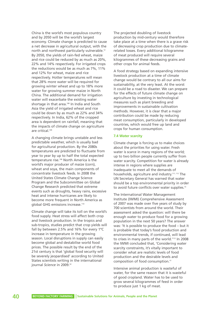China is the world's most populous country and by 2050 will be the world's largest economy. Climate change is predicted to cause a net decrease in agricultural output, with the north and northwest particularly vulnerable.<sup>12</sup> By 2050, the yields of rain-fed wheat, maize and rice could be reduced by as much as 20%, 22% and 14% respectively. For irrigated crops the reductions would be as much as 7%, 11% and 12% for wheat, maize and rice respectively. Hotter temperatures will mean that 28% more water will be required for growing winter wheat and up to 18% more water for growing summer maize in North China. The additional demand for irrigation water will exacerbate the existing water shortage in that area.<sup>108</sup> In India and South Asia the yield of irrigated wheat and rice could be down by as much as 22% and 34% respectively. In India, 62% of the cropped area is dependent on rainfall, meaning that the impacts of climate change on agriculture are critical.109

A changing climate brings unstable and less predictable weather, which is usually bad for agricultural production. By the 2080s temperatures are predicted to fluctuate from year to year by up to half the total expected temperature rise.106 North America is the world's major producer of maize (corn), wheat and soya, the main components of concentrate livestock feeds. In 2008 the United States Climate Change Science Program and the Subcommittee on Global Change Research predicted that extreme events such as droughts, heavy rains, excessive heat and intense hurricanes are likely to become more frequent in North America as global GHG emissions increase.<sup>110</sup>

Climate change will take its toll on the world's food supply. Heat stress will affect both crop and livestock production. In the tropics and sub-tropics, studies predict that crop yields will fall by between 2.5% and 16% for every 1ºC increase in temperature in the growing season. Local disruptions in supply can easily become global and destabilise world food prices. The possible result by the end of the 21st century is that 'global food security will be severely jeopardised' according to United States scientists writing in the international journal *Science* in 2009.<sup>32</sup>

The projected doubling of livestock production by mid-century would therefore take place at a time when there is a grave risk of *decreasing* crop production due to climaterelated losses. Every additional kilogramme of meat produced will require several kilogrammes of these decreasing grains and other crops for animal feeds.

A food strategy based on expanding intensive livestock production at a time of climate change would be contrary to all our aims for sustainability, at the very least. At the worst it could be a road to disaster. We can prepare for the effects of future climate change on agriculture by investing in technological measures such as plant breeding and improvements in sustainable cultivation methods. However, it is clear that a major contribution could be made by reducing meat consumption, particularly in developed countries, which would free up land and crops for human consumption.

# **7.4 Water scarcity**

Climate change is forcing us to make choices about the priorities for using water. Fresh water is scarce in many regions of the world: up to two billion people currently suffer from water scarcity. Competition for water is already intense in regions where supplies are inadequate to meet all the demands of households, agriculture and industry.111, 112 The UN Secretary General has warned that water should be a top environmental priority in order to avoid future conflicts over water supplies.<sup>13</sup>

The International Water Management Institute (IWMI) Comprehensive Assessment of 2007 was made over five years of study by 700 scientists from around the world. Their assessment asked the question: will there be enough water to produce food for a growing population in the next 50 years? The answer was: 'It is possible to produce the food – but it is probable that today's food production and environmental trends, if continued, will lead to crises in many parts of the world.'112 In 2008 the IWMI concluded that, 'Considering water scarcity constraints, it's vitally important to consider what are realistic levels of food production and the desirable levels and composition of food consumption.'7

Intensive animal production is wasteful of water, for the same reason that it is wasteful of good cropland. Water has to be used to grow several kilogrammes of feed in order to produce just 1 kg of meat.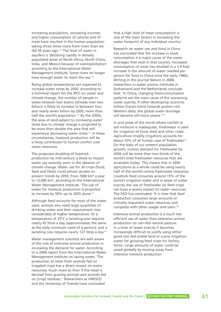Increasing populations, increasing incomes and higher consumption of calories and of meat have resulted in the human population taking three times more from rivers than we did 50 years ago.<sup>112</sup> The level of water in aquifers is 'declining rapidly in densely populated areas of North Africa, North China, India, and Mexico because of overexploitation' according to the International Water Management Institute. Some rivers no longer have enough water to reach the sea.<sup>112</sup>

Rising global temperatures are expected to increase water stress by 2050. According to a technical report for the IPCC on water and climate change, the number of people in water-stressed river basins (already over two billion) is likely to increase to between four and nearly seven billion by 2050, more than half the world's population.<sup>111</sup> By the 2050s, the area of land subject to *increasing* water stress due to climate change is projected to be more than double the area that will experience decreasing water stress.<sup>111</sup> In these circumstances, livestock production will be a likely contributor to human conflict over water resources.

The projected doubling of livestock production by mid-century is likely to impact water use severely, even in the absence of climate change. Water use for all crops (food, feed and fibre) could almost double on present trends by 2050, from 7000 km**<sup>3</sup>** a year to 13,000 km**<sup>3</sup>** , according to the International Water Management Institute.<sup>7</sup> The use of water for livestock production is projected to increase by 50% up to 2025 alone.<sup>92</sup>

Although feed accounts for most of the water used, animals also need large quantities of drinking water and their requirement rises considerably at higher temperature. At a temperature of 35ºC a lactating sow requires nearly 47 litres a day (approximately the same as the daily minimum need of a person), and a lactating cow requires nearly 127 litres a day.<sup>92</sup>

Water management scientists are well aware of the role of intensive animal production in increasing the demand for water. According to a 2008 report from the International Water Management Institute on saving water, 'The production of meat from animals fed on irrigated crops has a direct impact on water resources, much more so than if the meat is derived from grazing animals and animals fed on [crop] residues.'7 Researchers at UNESCO and the University of Twente have concluded

that a high level of meat consumption is one of the main factors in increasing the water footprint of any individual country.<sup>2</sup>

Research on water use and food in China has concluded that the increase in meat consumption is a major cause of the water shortages that exist in that country. Increased consumption of meat has resulted in a 3.4-fold increase in the amount of water needed per person for food in China since the early 1960s. Writing in the journal *Nature* in 2008, researchers in water science institutes in Switzerland and the Netherlands conclude that: 'In China, changing food-consumption patterns are the main cause of the worsening water scarcity. If other developing countries follow China's trend towards protein-rich Western diets, the global water shortage will become still more severe.<sup>'113</sup>

In arid areas of the world where rainfall or soil moisture is inadequate, freshwater is used for irrigation of food, feed and other crops. Agriculture (mostly irrigation) accounts for about 70% of all human uses of freshwater.<sup>92</sup> On the basis of our present population growth, human demand for freshwater by 2050 will be more than two-thirds of the world's total freshwater resources that are accessible today.<sup>1</sup> This means that in 2050 agriculture as a whole could be using nearly half of the world's entire freshwater resources. Livestock feed consumes around 15% of the world's irrigation water and in areas of water scarcity the use of freshwater on feed crops can have a severe impact on water resources. The FAO has concluded: 'It is clear that feed production consumes large amounts of critically important water resources and competes with other usages and users.'92

Intensive animal production is a much less efficient use of water than extensive animal production on rain-fed natural pasture. In a time of water scarcity it becomes increasingly difficult to justify using either good rain-fed arable land or scarce irrigation water for growing feed crops for factory farms. Large amounts of water could be saved globally by moving away from intensive livestock production.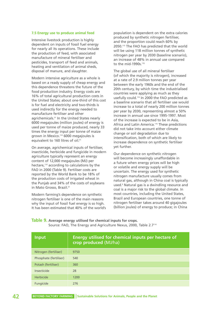#### **7.5 Energy use to produce animal feed**

Intensive livestock production is highly dependent on inputs of fossil fuel energy for nearly all its operations. These include the production of feed, with associated manufacture of mineral fertiliser and pesticides, transport of feed and animals, heating and ventilation of animal sheds, disposal of manure, and slaughter.

Modern intensive agriculture as a whole is based on a ready supply of cheap energy and this dependence threatens the future of the food production industry. Energy costs are 16% of total agricultural production costs in the United States; about one-third of this cost is for fuel and electricity and two-thirds is used indirectly for the energy needed to manufacture fertiliser and other agrichemicals.<sup>31</sup> In the United States nearly 6000 megajoules (million joules) of energy is used per tonne of maize produced, nearly 33 times the energy input per tonne of maize grown in Mexico.114 6000 megajoules is equivalent to 160 litres of oil.<sup>31</sup>

On average, agrichemical inputs of fertiliser, insecticide, herbicide and fungicide in modern agriculture typically represent an energy content of 12,000 megajoules (MJ) per hectare,114 according to calculations by the FAO in 2000 (Table 9). Fertiliser costs are reported by the World Bank to be 18% of the production costs of irrigated wheat in the Punjab and 34% of the costs of soybeans in Mato Grosso, Brazil.<sup>31</sup>

Modern farming's dependence on synthetic nitrogen fertiliser is one of the main reasons why the input of fossil fuel energy is so high. It has been estimated that 40% of the world's

population is dependent on the extra calories produced by synthetic nitrogen fertiliser, and the proportion could reach 60% by 2050.115 The FAO has predicted that the world will be using 118 million tonnes of synthetic nitrogen per year by 2030 (baseline scenario), an increase of 48% in annual use compared to the mid-1990s  $116$ 

The global use of all mineral fertiliser (of which the majority is nitrogen), increased at a rate of 2.9 million tonnes per year between the early 1960s and the end of the 20th century, by which time the industrialised countries were applying as much as they usefully could.116 In 2000 the FAO predicted as a baseline scenario that all fertiliser use would increase to a total of nearly 200 million tonnes per year by 2030, representing almost a 50% increase in annual use since 1995-1997. Most of the increase is expected to be in Asia, Africa and Latin America.<sup>116</sup> These predictions did not take into account either climate change or soil degradation due to intensification, both of which are likely to increase dependence on synthetic fertiliser yet further.

Our dependence on synthetic nitrogen will become increasingly unaffordable in a future when energy prices will be high or volatile and energy supply will be uncertain. The energy used for synthetic nitrogen manufacture usually comes from natural gas, although in China coal is typically used.<sup>6</sup> Natural gas is a dwindling resource and coal is a major risk to the global climate. In most countries, including the United States, Brazil and European countries, one tonne of nitrogen fertiliser takes around 40 gigajoules (billion joules) of energy to produce; in China

# **Table 9. Average energy utilised for chemical inputs for crops.** Source: FAO, The Energy and Agriculture Nexus, 2000, Table 2.7114

| <b>Input</b>           | Energy utilised for chemical inputs per hectare of<br>crop produced (MJ/ha) |
|------------------------|-----------------------------------------------------------------------------|
| Nitrogen (fertiliser)  | 9750                                                                        |
| Phosphate (fertiliser) | 540                                                                         |
| Potash (fertiliser)    | 360                                                                         |
| Insecticide            | 28                                                                          |
| Herbicide              | 1200                                                                        |
| Fungicide              | 276                                                                         |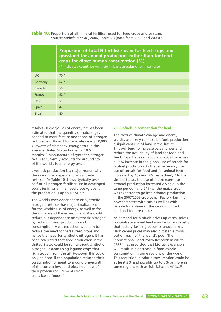**Table 10. Proportion of all mineral fertiliser used for feed crops and pasture.** Source: Steinfeld *et al.*, 2006, Table 3.3 (data from 2002 and 2003).<sup>67</sup>

|               | Proportion of total N fertiliser used for feed crops and<br>grassland for animal production, rather than for food<br>crops for direct human consumption (%)<br>(* indicates countries with significant grassland fertiliser use) |
|---------------|----------------------------------------------------------------------------------------------------------------------------------------------------------------------------------------------------------------------------------|
| UK.           | $70*$                                                                                                                                                                                                                            |
| Germany       | $62 *$                                                                                                                                                                                                                           |
| Canada        | 55                                                                                                                                                                                                                               |
| France        | $52*$                                                                                                                                                                                                                            |
| <b>USA</b>    | 51                                                                                                                                                                                                                               |
| Spain         | 42                                                                                                                                                                                                                               |
| <b>Brazil</b> | 40                                                                                                                                                                                                                               |

it takes 50 gigajoules of energy.<sup>67</sup> It has been estimated that the quantity of natural gas needed to manufacture one tonne of nitrogen fertiliser is sufficient to generate nearly 10,000 kilowatts of electricity, enough to run the average United States home for 10.5 months.117 Manufacture of synthetic nitrogen fertiliser currently accounts for around 1% of the world's total energy use.<sup>67</sup>

Livestock production is a major reason why the world is so dependent on synthetic fertiliser. As Table 10 shows, typically over half of all nitrogen fertiliser use in developed countries is for animal feed crops (globally the proportion is up to  $40\%$ ).  $34, 67$ 

The world's over-dependence on synthetic nitrogen fertiliser has major implications for the world's use of energy, as well as for the climate and the environment. We could reduce our dependence on synthetic nitrogen by reducing meat production and consumption. Meat reduction would in turn reduce the need for cereal feed crops and hence the need for synthetic nitrogen. It has been calculated that food production in the United States could be run without synthetic nitrogen, instead using legume crops that fix nitrogen from the air. However, this could only be done if the population reduced their consumption of meat to around one-eighth of the current level and obtained most of their protein requirements from plant-based foods.117

### **7.6 Biofuels in competition for land**

The facts of climate change and energy scarcity are likely to make biofuels production a significant use of land in the future. This will tend to increase cereal prices and reduce the availability of land for food and feed crops. Between 2000 and 2007 there was a 25% increase in the global use of cereals for biofuel production. In the same period, the use of cereals for food and for animal feed increased by 4% and 7% respectively.<sup>15</sup> In the United States, the use of maize (corn) for ethanol production increased 2.5-fold in the same period<sup>15</sup> and 24% of the maize crop was expected to go into ethanol production in the 2007/2008 crop year.<sup>87</sup> Factory farming now competes with cars as well as with people for a share of the world's limited land and food resources.

As demand for biofuels drives up cereal prices, concentrate animal feed may become so costly that factory farming becomes uneconomic. High cereal prices may also put staple foods out of reach of the world's poor. The International Food Policy Research Institute (IFPRI) has predicted that biofuel expansion will result in a decrease in food calorie consumption in some regions of the world. This reduction in calorie consumption could be at least 2% and possibly up to 5% or more in some regions such as Sub-Saharan Africa.<sup>35</sup>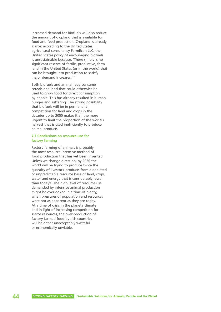Increased demand for biofuels will also reduce the amount of cropland that is available for food and feed production. Cropland is already scarce: according to the United States agricultural consultancy FarmEcon LLC, the United States policy of encouraging biofuels is unsustainable because, 'There simply is no significant reserve of fertile, productive, farm land in the United States (or in the world) that can be brought into production to satisfy major demand increases.'118

Both biofuels and animal feed consume cereals and land that could otherwise be used to grow food for direct consumption by people. This has already resulted in human hunger and suffering. The strong possibility that biofuels will be in permanent competition for land and crops in the decades up to 2050 makes it all the more urgent to limit the proportion of the world's harvest that is used inefficiently to produce animal products.

## **7.7 Conclusions on resource use for factory farming**

Factory farming of animals is probably the most resource-intensive method of food production that has yet been invented. Unless we change direction, by 2050 the world will be trying to produce twice the quantity of livestock products from a depleted or unpredictable resource base of land, crops, water and energy that is considerably lower than today's. The high level of resource use demanded by intensive animal production might be overlooked in a time of plenty, when pressures of population and resources were not as apparent as they are today. At a time of crisis in the planet's climate and in light of increasing competition for scarce resources, the over-production of factory-farmed food by rich countries will be either unacceptably wasteful or economically unviable.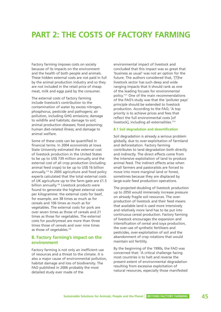# **PART 2: THE COSTS OF FACTORY FARMING**

Factory farming imposes costs on society because of its impacts on the environment and the health of both people and animals. These hidden external costs are not paid in full by the animal production industry and so they are not included in the retail price of cheap meat, milk and eggs paid by the consumer.

The external costs of factory farming include livestock's contribution to the contamination of water by excess nitrogen, phosphorus, pesticide and pathogens; air pollution, including GHG emissions; damage to wildlife and habitats; damage to soil; animal production diseases; food poisoning; human diet-related illness; and damage to animal welfare.

Some of these costs can be quantified in financial terms. In 2004 economists at Iowa State University estimated the external cost of livestock production in the United States to be up to US\$ 739 million annually and the external cost of all crop production (including animal feed crops) to be up to US\$ 16 billion annually.119 In 2005 agriculture and food policy experts calculated that the total external costs of UK agriculture up to the farm gate are £1.5 billion annually.<sup>120</sup> Livestock products were found to generate the highest external costs per kilogramme: the external costs for beef, for example, are 38 times as much as for cereals and 106 times as much as for vegetables. The external costs for pork are over seven times as those of cereals and 21 times as those for vegetables. The external costs for poultrymeat are more than three times those of cereals and over nine times as those of vegetables.<sup>120</sup>

# **8. Factory farming's impact on the environment**

Factory farming is not only an inefficient use of resources and a threat to the climate. It is also a major cause of environmental pollution, habitat damage and loss of biodiversity. The FAO published in 2006 probably the most detailed study ever made of the

environmental impact of livestock and concluded that this impact was so great that 'business as usual' was not an option for the future. The authors considered that, '[T]he livestock sector has such deep and wide ranging impacts that it should rank as one of the leading focuses for environmental policy.'121 One of the main recommendations of the FAO's study was that the 'polluter pays' principle should be extended to livestock production. According to the FAO, 'A top priority is to achieve prices and fees that reflect the full environmental costs [of livestock], including all externalities.<sup>'121</sup>

#### **8.1 Soil degradation and desertification**

Soil degradation is already a serious problem globally, due to over-exploitation of farmland and deforestation. Factory farming contributes to land degradation both directly and indirectly. The direct effects come from the intensive exploitation of land to produce animal feed. The indirect effects arise when small farmers and pastoralists are forced to move into more marginal land or forest, sometimes because they are displaced by large-scale feed production operations.

The projected doubling of livestock production up to 2050 would immensely increase pressure on already fragile soil resources. The overproduction of livestock and their feed means that available land is used more intensively and relatively more land has to be put into continuous cereal production. Factory farming of livestock encourages the expansion and intensification of cereal and soya production, the over-use of synthetic fertilisers and pesticides, over-exploitation of soil and the abandonment of crop rotations that would maintain soil fertility.

By the beginning of the 1990s, the FAO was concerned that: 'A critical challenge facing most countries is to halt and reverse the present extent of environmental degradation resulting from excessive exploitation of natural resources, especially those manifested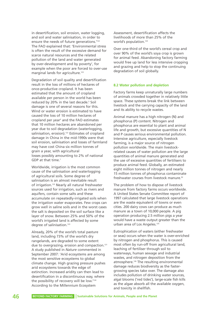in desertification, soil erosion, water logging, and soil and water salinisation, in order to ensure the needs of future generations.<sup>'122</sup> The FAO explained that: 'Environmental stress is often the result of the excessive demand for scarce natural resources and the related pollution of the land and water generated by over-development and by poverty', for example when the poor are forced to over-use marginal lands for agriculture.<sup>123</sup>

Degradation of soil quality and desertification result in the loss of millions of hectares of once-productive cropland. It has been estimated that the amount of cropland available per person in the world has been reduced by 20% in the last decade.<sup>5</sup> Soil damage is one of several reasons for this. Wind or water erosion is estimated to have caused the loss of 10 million hectares of cropland per year<sup>5</sup> and the FAO estimates that 10 million hectares are abandoned per year due to soil degradation (waterlogging, salinisation, erosion).<sup>122</sup> Estimates of cropland damage in China in the mid-1990s were that soil erosion, salinisation and losses of farmland may have cost China six million tonnes of grain a year, with agricultural losses possibly amounting to 2% of national GDP at that time.<sup>1</sup>

Worldwide, irrigation is the most common cause of the salinisation and waterlogging of agricultural soils. Some degree of salinisation is an almost inevitable result of irrigation.<sup>123</sup> Nearly all natural freshwater sources used for irrigation, such as rivers and aquifers, contain some salts and these accumulate on repeatedly-irrigated soils when the irrigation water evaporates. Few crops can grow well in saline soils and in the worst cases the salt is deposited on the soil surface like a layer of snow. Between 25% and 50% of the world's irrigated land is affected by some degree of salinisation.<sup>123</sup>

Already, 20% of the world's total pasture land, including 73% of the world's dry rangelands, are degraded to some extent due to overgrazing, erosion and compaction.<sup>121</sup> A study published in *Nature* commented in September 2007: 'Arid ecosystems are among the most sensitive ecosystems to global climate change. High grazing pressure pushes arid ecosystems towards the edge of extinction. Increased aridity can then lead to desertification in a discontinuous way, where the possibility of recovery will be low."<sup>124</sup> According to the Millennium Ecosystem

Assessment, desertification affects the livelihoods of more than 25% of the world's population.<sup>124</sup>

Over one-third of the world's cereal crop and over 90% of the world's soya crop is grown for animal feed. Abandoning factory farming would free up land for less intensive cropping and grazing and help to stop the continuing degradation of soil globally.

### **8.2 Water pollution and depletion**

Factory farms keep unnaturally large numbers of animals crowded together in relatively little space. These systems break the link between livestock and the carrying capacity of the land and its ability to recycle wastes.

Animal manure has a high nitrogen (N) and phosphorus (P) content. Nitrogen and phosphorus are essential to plant and animal life and growth, but excessive quantities of N and P causes serious environmental pollution. Intensive agriculture, especially livestock farming, is a major source of nitrogen pollution worldwide. The main livestockrelated causes of water pollution are the large quantities of animal manure generated and the use of excessive quantities of fertilisers to produce animal feed. Globally, an estimated eight million tonnes of nitrogen and nearly 15 million tonnes of phosphorus contaminate freshwater courses from livestock manure.<sup>92</sup>

The problem of how to dispose of livestock manure from factory farms occurs worldwide. A United States Senate Committee report of 1997 calculated that large livestock operations are the waste equivalent of towns or even cities. 200 dairy cows can produce as much manure as a town of 10,000 people. A pig operation producing 2.5 million pigs a year would have a waste output greater than the urban area of Los Angeles.<sup>125</sup>

Eutrophication of waters (either freshwater or seas) occurs when the water is over-enriched by nitrogen and phosphorus. This is caused most often by run-off from agricultural land, leaching of fertiliser through soil to waterways, human sewage and industrial wastes, and nitrogen deposition from the atmosphere.126 The resulting environmental damage reduces biodiversity as the fastergrowing species take over. The damage also includes pollution of drinking water sources, algal blooms ('red tides'), large-scale fish kills as the algae absorb all the available oxygen, and toxicity in shellfish.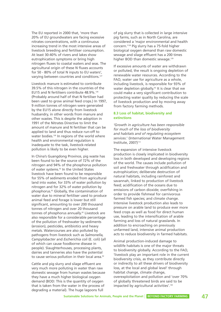The EU reported in 2000 that, 'more than 20% of EU groundwaters are facing excessive nitrates concentrations, with a continuous increasing trend in the most intensive areas of livestock breeding and fertiliser consumption. At least 30-40% of rivers and lakes show eutrophication symptoms or bring high nitrogen fluxes to coastal waters and seas. The agricultural origin of these N fluxes accounts for 50 - 80% of total N inputs to EU waters', varving between countries and conditions.<sup>127</sup>

Livestock manure is estimated to contribute 39.5% of this nitrogen in the countries of the EU15 and N fertilisers contribute 48.9%.126 (Probably around half of that N fertiliser had been used to grow animal feed crops.) In 1997, 9 million tonnes of nitrogen were generated by the EU15 alone directly from livestock husbandry, in other words from manure and other wastes. This is despite the adoption in 1991 of the Nitrates Directive to limit the amount of manure and N fertiliser that can be applied to land and thus reduce run-off to water bodies.<sup>126</sup> In regions of the world where health and environmental regulation is inadequate to the task, livestock-related pollution is likely to be even higher.

In China's Guangdong Province, pig waste has been found to be the source of 72% of the nitrogen and 94% of the phosphorus pollution of water systems.<sup>92</sup> In the United States livestock have been found to be responsible for 55% of sediments eroded from agricultural land into water, for 33% of water pollution by nitrogen and for 32% of water pollution by phosphorus.92 Globally, the contamination of water due to mineral fertiliser used to produce animal feed and forage is lower but still significant, amounting to over 200 thousand tonnes of nitrogen and over 20 thousand tonnes of phosphorus annually.<sup>92</sup> Livestock are also responsible for a considerable percentage of the pollution of freshwater by sediments (erosion), pesticides, antibiotics and heavy metals. Watercourses are also polluted by pathogens from livestock such as *Salmonella, Campylobacter* and *Escherichia coli* (E. coli) (all of which can cause foodborne disease in people). Slaughterhouses, processing plants, dairies and tanneries also have the potential to cause serious pollution in their local area.<sup>92</sup>

Cattle and pig slurry and silage effluent are very much more polluting in water than raw domestic sewage from human wastes because they have a much higher biological oxygen demand (BOD: This is the quantity of oxygen that is taken from the water in the process of degrading a material). The huge lagoons full

of pig slurry that is collected in large intensive pig farms, such as in North Carolina, are considered a 'major environmental and health concern.'128 Pig slurry has a 75-fold higher biological oxygen demand than raw domestic sewage and silage effluent has a 200 times higher BOD than domestic sewage.<sup>129</sup>

If excessive amounts of water are withdrawn or polluted, the result is ongoing depletion of renewable water resources. According to the FAO, water use for agriculture as a whole, including livestock, is responsible for 93% of water depletion globally.<sup>92</sup> It is clear that we could make a very significant contribution to protecting water quality by reducing the scale of livestock production and by moving away from factory farming methods.

# **8.3 Loss of habitat, biodiversity and extinctions**

*'Growth in agriculture has been responsible for much of the loss of biodiversity and habitats and of regulating ecosystem services*.' (International Water Management Institute, 2007)<sup>112</sup>

The expansion of intensive livestock production is closely implicated in biodiversity loss in both developed and developing regions of the world. The causes include pollution of soil and freshwater through acidification and eutrophication; deliberate destruction of natural habitats, including rainforest and savannah, linked to production of livestock feed; acidification of the oceans due to emissions of carbon dioxide; overfishing in order to provide fishmeal for carnivorous farmed fish species; and climate change. Intensive livestock production also leads to pressure on arable land to produce ever more feed crops as well as food for direct human use, leading to the intensification of arable farming and loss of natural grasslands. In addition to encroaching on previously unfarmed land, intensive animal production acts to reduce biodiversity in farmed habitats.

Animal production-induced damage to wildlife habitats is one of the major threats to biodiversity globally. According to the FAO, 'livestock play an important role in the current biodiversity crisis, as they contribute directly or indirectly to all these drivers of biodiversity loss, at the local and global level' through habitat change, climate change, overexploitation and pollution and 'over 70% of globally threatened birds are said to be impacted by agricultural activities'.<sup>130</sup>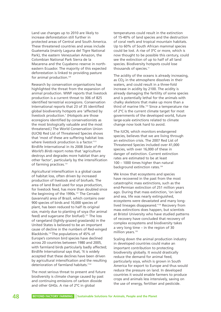Land use changes up to 2010 are likely to increase deforestation still further in protected areas of Central and South America. These threatened countries and areas include Guatemala (mainly Laguna del Tigre National Park), the eastern Venezuelan Amazon, the Colombian National Park Sierra de la Macarena and the Cuyabeno reserve in northeastern Ecuador. The majority of this expected deforestation is linked to providing pasture for animal production.<sup>130</sup>

Research by conservation organisations has highlighted the threat from the expansion of animal production. WWF reports that livestock production is a current threat to 306 of 825 identified terrestrial ecoregions. Conservation International reports that 23 of 35 identified global biodiversity hotspots are 'affected by livestock production.' (Hotspots are those ecoregions identified by conservationists as the most biologically valuable and the most threatened.) The World Conservation Union (IUCN) Red List of Threatened Species shows that 'most of these are suffering habitat loss where livestock production is a factor.<sup>'121</sup> Birdlife International in its 2008 *State of the World's Birds* report notes that 'agriculture destroys and degrades more habitat than any other factor', particularly by the intensification of farming practices.<sup>131</sup>

Agricultural intensification is a global cause of habitat loss, often driven by increased production of livestock and of biofuels. The area of land Brazil used for soya production, for livestock feed, has more than doubled since the beginning of the 1990s.<sup>131</sup> The Cerrado (savannah) area of Brazil, which contains over 900 species of birds and 10,000 species of plant, has been reduced to half its original size, mainly due to planting of soya (for animal feed) and sugarcane (for biofuel).<sup>131</sup> The loss of rangeland (lightly-grazed grasslands) in the United States is believed to be an important cause of decline in the numbers of Red-winged Blackbirds.132 The populations of 45% of Europe's common bird species have declined across 20 countries between 1980 and 2005, with farmland birds particularly badly affected; Birdlife International says that, 'It is widely accepted that these declines have been driven by agricultural intensification and the resulting deterioration of farmland habitats.<sup>'132</sup>

The most serious threat to present and future biodiversity is climate change caused by past and continuing emissions of carbon dioxide and other GHGs. A rise of 2ºC in global

temperatures could result in the extinction of 15-40% of land species and the destruction of coral reefs and tropical mountain habitats. Up to 60% of South African mammal species could be lost. A rise of 3ºC or more, which is now thought to be possible this century, could see the extinction of up to half of all land species. Biodiversity hotspots could lose thousands of species.<sup>11</sup>

The acidity of the oceans is already increasing, as  $CO<sub>2</sub>$  in the atmosphere dissolves in their waters, and could result in a three-fold increase in acidity by 2100. The acidity is already damaging the fertility of some species and is potentially lethal for the animals with chalky skeletons that make up more than a third of marine life.<sup>133</sup> Since a temperature rise of 2ºC is the current climate target for most governments of the developed world, future large-scale extinctions related to climate change now look hard to avoid.

The IUCN, which monitors endangered species, believes that we are living through an extinction crisis. The 2007 Red List of Threatened Species included over 41,000 species, with over 16,000 of these in danger of extinction. Current extinction rates are estimated to be at least 100 – 1000 times higher than natural background extinction rates.<sup>134</sup>

We know that ecosystems and species have recovered in the past from the most catastrophic mass extinctions, such as the end-Permian extinction of 251 million years ago. During that mass extinction, 'on land and sea, life was nearly extinguished, ecosystems were devastated and many longlived lineages disappeared.'135 Recovery from mass extinctions does happen, but scientists at Bristol University who have studied patterns of recovery have concluded that recovery of complex ecosystems and biodiversity takes a very long time – in the region of 30 million years.<sup>135</sup>

Scaling down the animal production industry in developed countries could make an important contribution to protecting biodiversity globally. It would drastically reduce the demand for animal feed, particularly soya, which is grown in South America for export to Europe and thus would reduce the pressure on land. In developed countries it would enable farmers to produce crops and animals less intensively, saving on the use of energy, fertiliser and pesticide.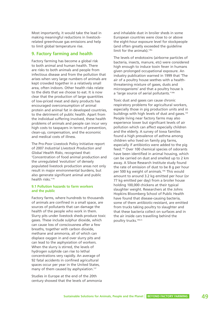Most importantly, it would take the lead in making meaningful reductions in livestockrelated greenhouse gas emissions and help to limit global temperature rise.

# **9. Factory farming and health**

Factory farming has become a global risk to both animal and human health. There are risks to both animals and people from infectious disease and from the pollution that arises when very large numbers of animals are kept crowded together in a relatively small area, often indoors. Other health risks relate to the diets that we choose to eat. It is now clear that the production of large quantities of low-priced meat and dairy products has encouraged overconsumption of animal protein and animal fat in developed countries, to the detriment of public health. Apart from the individual suffering involved, these health problems of animals and people can incur very high costs to taxpayers in terms of prevention, clean-up, compensation, and the economic and medical costs of illness.

The Pro-Poor Livestock Policy Initiative report of 2007 *Industrial Livestock Production and Global Health Risks*, recognised that: 'Concentration of food animal production and the unregulated 'evolution' of densely populated livestock production areas not only result in major environmental burdens, but also generate significant animal and public health risks.'136

#### **9.1 Pollution hazards to farm workers and the public**

Factory farms, where hundreds to thousands of animals are confined in a small space, are sources of pollutants that can damage the health of the people who work in them. Slurry pits under livestock sheds produce toxic gases. These include sulphur dioxide, which can cause loss of consciousness after a few breaths, together with carbon dioxide, methane and ammonia, all of which can displace oxygen in and over slurry pits and can lead to the asphyxiation of workers. When the slurry is stirred, the levels of hydrogen sulphide can rise to lethal concentrations very rapidly. An average of 92 fatal accidents in confined agricultural spaces occur per year in the United States, many of them caused by asphyxiation.<sup>137</sup>

Studies in Europe at the end of the 20th century showed that the levels of ammonia

and inhalable dust in broiler sheds in some European countries were close to or above the eight-hour exposure level for stockpeople (and often greatly exceeded the guideline limit for the animals).<sup>138a</sup>

The levels of endotoxins (airborne particles of bacteria, insects, manure, etc) were considered high enough to induce toxin fever in humans given prolonged occupational exposure. An industry publication warned in 1999 that 'The air of a poultry house seethes with a healththreatening mixture of gases, dusts and microoganisms' and that a poultry house is a 'large source of aerial pollutants.<sup>'138b</sup>

Toxic dust and gases can cause chronic respiratory problems for agricultural workers, especially those in pig production units and in buildings with high levels of dust and gases.<sup>139</sup> People living near factory farms may also experience lower but significant levels of air pollution which can affect especially children and the elderly. A survey of Iowa families found a high prevalence of asthma among children who lived on family pig farms, especially if antibiotics were added to the pig feed.139 Over 100 chemical species of odorants have been identified in animal housing, which can be carried on dust and smelled up to 2 km away. A Silsoe Research Institute study found the rate of emission of dust to be 8 g per hour per 500 kg weight of animals.<sup>138c</sup> This would amount to around 3.2 kg emitted per hour (or 77 kg emitted per day) from a broiler house holding 100,000 chickens at their typical slaughter weight. Researchers at the Johns Hopkins Bloomberg School of Public Health have found that disease-causing bacteria, some of them antibiotic-resistant, are emitted from trucks taking poultry to slaughter and that these bacteria collect on surfaces and in the air inside cars travelling behind the poultry trucks.140a-b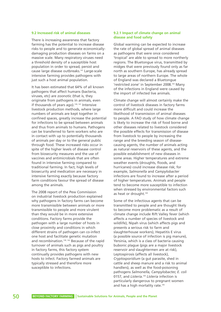#### **9.2 Increased risk of animal diseases**

There is increasing awareness that factory farming has the potential to increase disease risks to people and to generate economicallydamaging production diseases on farms on a massive scale. Many respiratory viruses need a threshold density of a susceptible host population in order to spread, persist and cause large disease outbreaks.141 Large-scale intensive farming provides pathogens with just such a host animal population.

It has been estimated that 64% of all known pathogens that affect humans (bacteria, viruses, etc) are zoonotic (that is, they originate from pathogens in animals, even if thousands of years ago).<sup>139, 141</sup> Intensive livestock production methods, where large numbers of animals are kept together in confined spaces, greatly increase the potential for infections to be spread between animals and thus from animals to humans. Pathogens can be transferred to farm workers who are in contact with up to potentially thousands of animals per day or to the general public through food. These increased risks occur in spite of the higher levels of disease control from biosecurity measures and the use of vaccines and antimicrobials that are often found in intensive farming compared to traditional farming. In fact, high levels of biosecurity and medication are necessary in intensive farming exactly because factory farm conditions favour the spread of disease among the animals.

The 2008 report of the Pew Commission on industrial livestock production explained why pathogens in factory farms can become more transmissible between animals or more transmissible to people and more virulent than they would be in more extensive conditions. Factory farms provide the pathogen with a large number of hosts in close proximity and conditions in which different strains of pathogen can co-infect one host and facilitate genetic mutation and recombination.<sup>139, 142</sup> Because of the rapid turnover of animals such as pigs and poultry in factory farms, this factory system continually provides pathogens with new hosts to infect. Factory farmed animals are typically stressed and therefore more susceptible to infections.

### **9.2.1 Impact of climate change on animal disease and food safety**

Global warming can be expected to increase the rate of global spread of animal diseases as pathogens that were once considered 'tropical' are able to spread to more northerly regions. The Bluetongue virus, transmitted by midges that were previously found only as far north as southern Europe, has already spread to large areas of northern Europe. The whole of England was declared a Bluetongue 'restricted zone' in September 2008.143 Many of the infections in England were caused by the import of infected live animals.

Climate change will almost certainly make the control of livestock diseases in factory farms more difficult and could increase the likelihood of transmission of animal diseases to people. A FAO study of how climate change is likely to increase the risk of food borne and other diseases related to livestock considered the possible effects for transmission of disease from livestock to people by increasing the range and the breeding season of diseasecausing agents, the number of animals acting as natural reservoirs of these agents, and the possible establishment of new diseases in some areas. Higher temperatures and extreme weather events (droughts, floods, and hurricanes) could increase disease risk; for example, *Salmonella* and *Campylobacter* infections are found to increase after a period of higher temperatures. Animals and people tend to become more susceptible to infection when stressed by environmental factors such as heat or drought.<sup>144</sup>

Some of the infectious agents that can be transmitted to people and are thought likely to become more problematic as a result of climate change include Rift Valley fever (which affects a number of species of livestock and wildlife), Nipah virus (which affects pigs and presents a serious risk to farm and slaughterhouse workers), Hepatitis E virus (a possible source of infection is pig manure), Yersinia, which is a class of bacteria causing bubonic plague (pigs are a major livestock reservoir and slaughtermen are at risk), Leptospirosis (affects all livestock), *Cryptosporidium* (a gut parasite, shed in cattle and sheep manure and a risk to animal handlers), as well as the food-poisoning pathogens *Salmonella, Campylobacter, E. coli* 0157, and *Listeria*. <sup>144</sup> *Listeria* infection is particularly dangerous to pregnant women and has a high mortality rate.<sup>145</sup>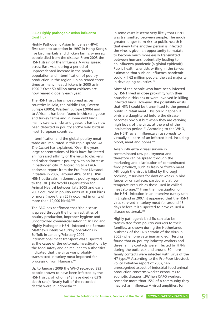# **9.2.2 Highly pathogenic avian influenza (bird flu)**

Highly Pathogenic Avian Influenza (HPAI) first came to attention in 1997 in Hong Kong's live bird markets and chicken farms, when six people died from the disease. From 2003 the H5N1 strain of the Influenza A virus spread across East Asia, during a period of unprecedented increase in the poultry population and intensification of poultry production in the region. China reared three times as many meat chickens in 2005 as in 1990.11 Over 50 billion meat chickens are now reared globally each year.

The H5N1 virus has since spread across countries in Asia, the Middle East, Eastern Europe (2005), Western Europe (2006) and to Africa. It has been found in chicken, goose and turkey farms and in some wild birds, mainly swans, chicks and geese. It has by now been detected in poultry and/or wild birds in most European countries.

Intensification and the global poultry meat trade are implicated in this rapid spread. As *The Lancet* has explained, 'Over the years, large concentrations of birds have facilitated an increased affinity of the virus to chickens and other domestic poultry, with an increase in pathogenicity.'146 According to a FAOendorsed report from the Pro-Poor Livestock Initiative in 2007, 'around 40% of the HPAI H5N1 outbreaks in domestic poultry reported to the OIE [The World Organisation for Animal Health] between late 2005 and early 2007 occurred in poultry units of 10,000 birds or more (more than 25% occurred in units of more than 10,000 birds).<sup>'136</sup>

The FAO has confirmed that 'the disease is spread through the human activities of poultry production, improper hygiene and uncontrolled commercialisation.'147 In England, Highly Pathogenic H5N1 infected the Bernard Matthews intensive turkey operations in Suffolk in January/February 2007. International meat transport was suspected as the cause of the outbreak. Investigations by the food safety and animal health authorities indicated that the virus was probably transmitted in turkey meat imported for processing from Hungary. 148

Up to January 2009 the WHO recorded 393 people known to have been infected by the H5N1 virus, of whom 248 have died (a 63% death rate). Nearly half of the recorded deaths were in Indonesia.<sup>149</sup>

In some cases it seems very likely that H5N1 was transmitted between people. The much greater longer-term risk to public health is that every time another person is infected the virus is given an opportunity to mutate to become much more easily transmitted between humans, potentially leading to an influenza pandemic (a global epidemic). Public health scientists writing in the *Lancet* estimated that such an influenza pandemic could kill 62 million people, the vast majority in developing countries.<sup>150</sup>

Most of the people who have been infected by H5N1 lived in close proximity with their household chickens or were involved in killing infected birds. However, the possibility exists that H5N1 could be transmitted to the general public in retail meat. This could happen if birds are slaughtered before the disease becomes obvious but when they are carrying high levels of the virus, at the end of the incubation period.151 According to the WHO, the H5N1 avian influenza virus spreads to virtually all parts of an infected bird, including blood, meat and bones.<sup>152</sup>

Avian influenza viruses survive in contaminated raw poultrymeat and therefore can be spread through the marketing and distribution of contaminated food products, such as fresh or frozen meat. Although the virus is killed by thorough cooking, it survives for days or weeks in bird faeces or on surfaces, particularly at low temperatures such as those used in chilled meat storage.152 From the investigation of the H5N1 infection in an intensive turkey unit in England in 2007, it appeared that the H5N1 virus survived in turkey meat for around 13 days before it is suspected to have caused a disease outbreak.<sup>148</sup>

Highly pathogenic bird flu can also be transmitted from poultry workers to their families, as shown during the Netherlands outbreak of the H7N7 strain of the virus in 2003 (when one veterinarian died). Testing found that 86 poultry industry workers and three family contacts were infected by H7N7 during the outbreak and around 30 more family contacts were infected with virus of the H7 type.153 According to the Pro-Poor Livestock Policy Initiative report of 2007, 'An unrecognised aspect of industrial food animal production concerns worker exposures to zoonotic diseases…[W]hen CAFO workers comprise more than 15% of a community they may act as [influenza A virus] amplifiers for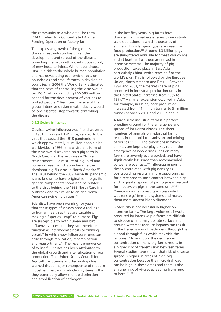the community as a whole.<sup>'136</sup> The term 'CAFO' refers to a Concentrated Animal Feeding Operation or factory farm.

The explosive growth of the globalised chickenmeat industry has driven the development and spread of the disease, providing the virus with a continuous supply of new hosts to infect. While it continues, HPAI is a risk to the whole human population and has devastating economic effects on households and small farmers in developing countries. In 2006 the World Bank estimated that the costs of controlling the virus would be US\$ 1 billion, including US\$ 500 million needed for the development of vaccines to protect people.154 Reducing the size of the global intensive chickenmeat industry would be one essential step towards controlling the disease.

#### **9.2.3 Swine influenza**

Classical swine influenza was first discovered in 1931. It was an H1N1 virus, related to the virus that caused the 1918 pandemic in which approximately 50 million people died worldwide. In 1998, a new virulent form of the virus was discovered on a pig farm in North Carolina. The virus was a "triple reassortment" – a mixture of pig, bird and human viruses, which soon became the dominant pig flu virus in North America.<sup>209</sup> The virus behind the 2009 swine flu pandemic is also known to have originated in pigs; its genetic components show it to be related to the virus behind the 1998 North Carolina outbreak and to similar Asian and North American swine flu viruses.<sup>210</sup>

Scientists have been warning for years that these types of viruses pose a real risk to human health as they are capable of making a "species jump" to humans. Pigs are susceptible to both human and bird influenza viruses and they can therefore function as intermediate hosts or "mixing vessels" in which new influenza viruses can arise through replication, recombination and reassortment.<sup>211</sup> The recent emergence of swine flu viruses has been attributed to the global growth and intensification of pig production. The United States Council for Agriculture, Science and Technology has warned that a major consequence of modern industrial livestock production systems is that they potentially allow the rapid selection and amplification of pathogens.<sup>212</sup>

In the last fifty years, pig farms have changed from small-scale farms to industrialscale operations in which thousands of animals of similar genotypes are raised for food production.213 Around 1.3 billion pigs are slaughtered annually for meat worldwide and at least half of these are raised in intensive systems. The majority of pig production takes place in East Asia, particularly China, which rears half of the world's pigs. This is followed by the European Union, North America and Brazil. Between 1994 and 2001, the market share of pigs produced in industrial production units in the United States increased from 10% to 72%.214 A similar expansion occurred in Asia; for example, in China, pork production increased from 41 million tonnes to 51 million tonnes between 2001 and 2006 alone  $214$ 

A large-scale industrial farm is a perfect breeding ground for the emergence and spread of influenza viruses. The sheer numbers of animals on industrial farms results in the rapid transmission and mixing of viruses.215, 216, 217 The conditions in which animals are kept also play a key role in the emergence of new viruses. Pigs on many farms are severely overcrowded, and have significantly less space than recommended by welfare scientists.<sup>218</sup> Influenza in pigs is closely correlated with pig density as overcrowding results in more opportunities for direct nose-to-nose contact between pigs and in greater spread of pathogens in aerosol form between pigs in the same unit.<sup>217, 219</sup> Overcrowding also results in stress which weakens pigs' immune systems and makes them more susceptible to disease.<sup>217</sup>

Biosecurity is not necessarily higher on intensive farms. The large volumes of waste produced by intensive pig farms are difficult to dispose of and may pollute surface and ground waters.216 Manure lagoons can result in the transmission of pathogens through the air and through flies which may visit the lagoons.216 In addition, the geographic concentration of many pig farms results in a higher risk of transmission between farms.<sup>217</sup> Several studies have shown that risk of disease spread is higher in areas of high pig concentration because the microviral load can be high in these areas and there is also a higher risk of viruses spreading from herd to herd. 220, 221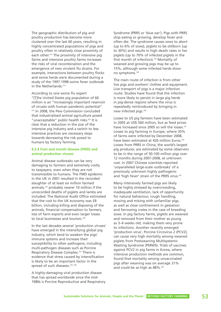The geographic distribution of pig and poultry production has become more clustered over the last 60 years, resulting in highly concentrated populations of pigs and poultry often in relatively close proximity of each other.<sup>213</sup> The proximity of intensive pig farms and intensive poultry farms increases the risks of viral recombination and the emergence of new virulent flu strains. For example, interactions between poultry flocks and swine herds were documented during a study of the 1997-1998 swine fever outbreak in the Netherlands.<sup>214</sup>

According to one swine flu expert "[T]he United States pig population of 60 million is an "increasingly important reservoir of viruses with human pandemic potential". <sup>215</sup> In 2008, the Pew Commission concluded that industrialised animal agriculture posed "unacceptable" public health risks.<sup>222</sup> It is clear that a reduction in the size of the intensive pig industry and a switch to less intensive practices are necessary steps towards decreasing the risk posed to humans by factory farming.

## **9.2.4 Foot and mouth disease (FMD) and animal production viruses**

Animal disease outbreaks can be very damaging to farmers and extremely costly to taxpayers, even when they are not transmissible to humans. The FMD epidemic in the UK in 2001 resulted in the recorded slaughter of at least six million farmed animals,155 probably nearer 10 million if the unrecorded deaths of piglets and lambs are included. The National Audit Office estimated that the cost to the UK economy was £8 billion, including killing and disposing of the animals, financial compensation to farmers, loss of farm exports and even larger losses to local businesses and tourism.<sup>156</sup>

In the last decades several 'production viruses' have emerged in the intensifying global pig industry, which tend to weaken the pigs' immune systems and increase their susceptibility to other pathogens, including multi-pathogen diseases such as Porcine Respiratory Disease Complex.<sup>157</sup> There is evidence that stress caused by intensification is likely to be an important factor in the spread of such diseases.<sup>139, 158</sup>

A highly-damaging viral production disease that has spread worldwide since the mid-1980s is Porcine Reproductive and Respiratory Syndrome (PRRS or 'blue ear'). Pigs with PRRS stop eating or growing, develop fever and often die. The syndrome causes sows to abort (up to 6% of sows), piglets to be stillborn (up to 30%) and results in high death rates in her piglets (up to 70% of infected piglets in the first month of infection).<sup>159</sup> Mortality of weaned and growing pigs may be up to 15%, although some infected herds show no symptoms.159

The main route of infection is from other live pigs and workers' clothes and equipment. Live transport of pigs is a major infection route. Studies have found that the infection is more likely to persist in large pig herds in pig-dense regions where the virus is repeatedly reintroduced by bringing in new infected pigs.<sup>160</sup>

Losses to US pig farmers have been estimated in 2005 at US\$ 560 million, but as feed prices have increased since 2005 so will the losses.<sup>161</sup> Losses to pig farming in Europe, where 35% of farms were infected by December 2008, have been estimated at 420 million Euros.<sup>162</sup> Losses from PRRS in China, the world's largest pig producer, are estimated by some observers to be in the range of 50-100 million pigs over 12 months during 2007-2008, at unknown cost. In 2007 Chinese scientists reported 'unparalleled large-scale outbreaks' of a previously unknown highly pathogenic and 'high fever' strain of the PRRS virus.<sup>163</sup>

Many intensively farmed pigs are likely to be highly stressed by overcrowding, inadequate ventilation, lack of opportunity for natural behaviour, rough handling, moving and mixing with unfamiliar pigs, as well as close confinement in gestation and farrowing crates in the case of breeding sows. In pig factory farms, piglets are weaned and removed from their mother as young as 3–4 weeks old, making them very prone to infections. Another recently emerged 'production virus', Porcine Circovirus 2 (PCV2), can cause very high mortality among weaned piglets from Postweaning Multisystemic Wasting Syndrome (PMWS). Trials of vaccines against PCV2 in pig farms in Korea, where intensive production methods are common, found that mortality among unvaccinated pigs after weaning was on average 31% and could be as high as 48%.<sup>164</sup>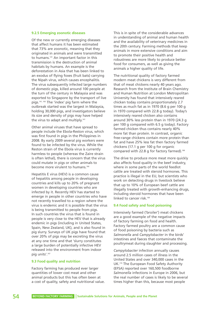#### **9.2.5 Emerging zoonotic diseases**

Of the new or currently emerging diseases that affect humans it has been estimated that 73% are zoonotic, meaning that they originated in animals and were transmitted to humans.141 An important factor in this transmission is the destruction of animal habitats by humans. An example is the deforestation in Asia that has been linked to an exodus of flying foxes (fruit bats) carrying the Nipah virus, which causes encephalitis. The virus subsequently infected large numbers of domestic pigs, killed around 100 people at the turn of the century in Malaysia and was exported to Singapore by the transport of live pigs.141, 165 The 'index' pig farm where the outbreak started was the largest in Malaysia, holding 30,000 pigs, and investigators believe its size and density of pigs may have helped the virus to adapt and multiply.<sup>141</sup>

Other animal viruses that have spread to people include the Ebola-Reston virus, which was first found in pigs in the Philippines in 2008. By early 2009 several pig workers were found to be infected by the virus. While the Reston strain of the Ebola virus is currently harmless to people (whereas the Zaire strain is often lethal), there is concern that the virus could mutate in pigs or other animals to become more virulent to humans.<sup>166</sup>

Hepatitis E virus (HEV) is a common cause of hepatitis among people in developing countries and kills up to 20% of pregnant women in developing countries who are infected by it. Recently HEV has started to emerge in people in other countries who have not recently travelled to a region where the virus is endemic and it is possible that the virus is being transmitted to people from pigs. In such countries the virus that is found in people is very close to the HEV that is already endemic in pigs (including in United States, Spain, New Zealand, UK), and is also found in pig slurry. Surveys of UK pigs have found that over 20% of pigs may be excreting the virus at any one time and that 'slurry constitutes a large burden of potentially infective HEV released into the environment from indoor pig units'.167

#### **9.3 Food quality and nutrition**

Factory farming has produced ever larger quantities of lower cost meat and other animal products but this has often been at a cost of quality, safety and nutritional value.

This is in spite of the considerable advances in understanding of animal and human health and the availability of veterinary medicines in the 20th century. Farming methods that keep animals in more extensive conditions and aim to promote their positive health and robustness are more likely to produce better food for consumers, as well as giving the animals a higher quality of life.

The nutritional quality of factory farmed modern meat chickens is very different from that of meat chickens nearly 40 years ago. Research from the Institute of Brain Chemistry and Human Nutrition at London Metropolitan University has found that intensively reared chicken today contains proportionately 2.7 times as much fat as in 1970 (8.6 g per 100 g in 1970 compared with 22.8 g today). Today's intensively reared chicken also contains around 30% less protein than in 1970 (24.3 g per 100 g compared with 6.5 g today). Factory farmed chicken thus contains nearly 40% more fat than protein. In contrast, organic free-range chickens contain more protein than fat and have 25% less fat then factory farmed chickens (17.1 g per 100 g for organic compared with 22.8 g for factory farmed).<sup>168</sup>

The drive to produce more meat more quickly also affects food quality in the beef industry, where in some parts of the world feedlot cattle are treated with steroid hormones. This practice is illegal in the EU, but scientists who work on detecting drugs in livestock believe that up to 10% of European beef cattle are illegally treated with growth-enhancing drugs, including steroid hormones that have been linked to cancer risk.<sup>169</sup>

### **9.4 Food safety and food poisoning**

Intensively farmed ('broiler') meat chickens are a good example of the negative impacts of factory farming on food and health. Factory farmed poultry are a common cause of food poisoning by bacteria such as *Salmonella* and *Campylobacter* in the birds' intestines and faeces that contaminate the poultrymeat during slaughter and processing.

*Campylobacter* infection annually causes around 2.5 million cases of illness in the United States and over 340,000 cases in the UK.170 The European Food Safety Authority (EFSA) reported over 160,500 foodborne *Salmonella* infections in Europe in 2006, but the real number of cases is likely to be several times higher than this, because most people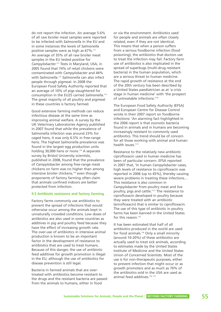do not report the infection. An average 5.6% of all raw broiler meat samples were reported to be infected with *Salmonella* in the EU and in some instances the levels of *Salmonella* positive samples were as high as 67%.<sup>171</sup> An average of 35% of all raw broiler meat samples in the EU tested positive for *Campylobacter.*<sup>171</sup> Tests in Maryland, USA, in 2005 found that 74% of retail chickens were contaminated with *Campylobacter* and 44% with *Salmonella*. <sup>172</sup> *Salmonella* can also infect people through pigmeat. In 2008 the European Food Safety Authority reported that an average of 10% of pigs slaughtered for consumption in the EU25 carried *Salmonella*. 173 The great majority of all poultry and pigmeat in these countries is factory farmed.

Good extensive farming methods can reduce infectious disease at the same time as improving animal welfare. A survey by the UK Veterinary Laboratories Agency published in 2007 found that while the prevalence of Salmonella infection was around 23% for caged hens, it was only 6.5% in free-range hens. The highest *Salmonella* prevalence was found in the largest egg production units holding 30,000 hens or more.<sup>174</sup> A separate survey by Bristol University scientists, published in 2008, found that the prevalence of *Campylobacter* among free-range meat chickens on farm was no higher than among intensive broiler chickens,<sup>170</sup> even though proponents of factory farming often claim that animals confined indoors are better protected from infection.

#### **9.5 Antibiotic resistance and factory farming**

Factory farms commonly use antibiotics to prevent the spread of infections that would otherwise occur among the animals kept in unnaturally crowded conditions. Low doses of antibiotics are also used in some countries as additives in pig and poultry feed because they have the effect of increasing growth rate. The over-use of antibiotics in intensive animal production is known to be an important factor in the development of resistance to antibiotics that are used to treat humans. Because of this danger, the use of antibiotic feed additives for growth promotion is illegal in the EU, although the use of antibiotics for disease prevention is still legal.

Bacteria in farmed animals that are overtreated with antibiotics become resistant to the drugs and the resistant bacteria are passed from the animals to humans, either in food

or via the environment. Antibiotics used for people and animals are often closely related, even if they are not identical. This means that when a person suffers from a serious foodborne infection (food poisoning), the antibiotics that doctors use to treat the infection may fail. Factory farm use of antibiotics is also implicated in the spread of superbugs (multi-drug resistant bacteria) in the human population, which are a serious threat to human medicine. The rapid growth of resistance at the end of the 20th century has been described by a United States paediatrician as at 'a crisis stage in human medicine' with 'the prospect of untreatable infections.'175

The European Food Safety Authority (EFSA) and European Centre for Disease Control wrote in their 2007 report on foodborne infections: 'An alarming fact highlighted in the 2006 report is that zoonotic bacteria found in animals and in humans are becoming increasingly resistant to commonly used antibiotics. This trend should be of concern for all those working with animal and human health issues<sup>"171</sup>

Resistance to the relatively new antibiotic ciprofloxacin used in human medicine has been of particular concern. EFSA reported in 2007 that, 'In human *Campylobacter* cases, high levels of resistance to ciprofloxacin was reported in 2006 (up to 45%), thereby causing severe problems in treating these infections… This resistance is also common in *Campylobacter* from poultry meat and live poultry, pigs and cattle.'171 The resistance to ciprofloxacin developed in poultry because they were treated with an antibiotic (enrofloxacin) that is similar to ciprofloxacin. The use of this type of antibiotic in poultry farms has been banned in the United States for this reason.<sup>175</sup>

It has been estimated that half of all antibiotics produced in the world are used for food animals.176 Only a small minority (around 10-20%) of these antibiotics are actually used to treat sick animals, according to estimates made by the United States Institute of Medicine and the United States Union of Concerned Scientists. Most of the use is for non-therapeutic purposes, either to prevent infection that might occur or as growth promoters and as much as 70% of the antibiotics sold in the USA are used as animal feed additives.174, 177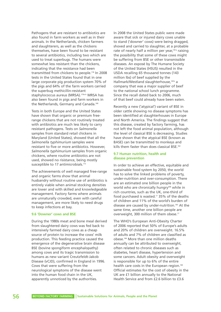Pathogens that are resistant to antibiotics are also found in farm workers as well as in their animals. In the Netherlands, chicken farmers and slaughterers, as well as the chickens themselves, have been found to be resistant to several antibiotics, including two which are used to treat superbugs. The humans were somewhat less resistant than the chickens, indicating that the resistance had been transmitted from chickens to people.178 In 2008 tests in the United States found that in one large corporate pig production system 70% of the pigs and 64% of the farm workers carried the superbug methicillin-resistant staphylococcus aureus (MRSA).<sup>179a-b</sup> MRSA has also been found in pigs and farm workers in the Netherlands, Germany and Canada.<sup>180</sup>

Tests in both Europe and the United States have shown that organic or premium freerange chickens that are not routinely treated with antibiotics are much less likely to carry resistant pathogens. Tests on *Salmonella* samples from standard retail chickens in Maryland (United States), showed that all the *Salmonella typhimurium* samples were resistant to five or more antibiotics. However, *Salmonella typhimurium* samples from organic chickens, where routine antibiotics are not used, showed no risistance, being mostly susceptible to 17 antimicrobials.<sup>172</sup>

The achievements of well managed free-range and organic farms show that animal husbandry without routine use of antibiotics is entirely viable when animal stocking densities are lower and with skilled and knowledgeable management. Factory farms where animals are unnaturally crowded, even with careful management, are more likely to need drugs to keep infections at bay.

### **9.6 'Downer' cows and BSE**

During the 1980s meat and bone meal derived from slaughtered dairy cows was fed back to intensively farmed dairy cows as a cheap source of protein to increase the cows' milk production. This feeding practice caused the emergence of the degenerative brain disease BSE (bovine spongiform encephalopathy) among cows and its tragic transmission to humans as new variant Creutzfeldt-Jakob Disease (vCJD), confirmed in England in 1996. Cows that were suffering from the neurological symptoms of the disease went into the human food chain in the UK, apparently unnoticed by the authorities.

In 2008 the United States public were made aware that sick or injured dairy cows unable to stand ('downer' cows) were being dragged, shoved and carried to slaughter, at a probable rate of nearly half a million per year,<sup>181a</sup> raising the possibility that some of these cows might be suffering from BSE or other transmissible diseases. An exposé by The Humane Society of the United States (HSUS) resulted in the USDA recalling 65 thousand tonnes (143 million lbs) of beef supplied by the Hallmark/Westland slaughterhouse,181b a company that was a major supplier of beef to the national school lunch programme. Since the recall dated back to 2006, much of that beef could already have been eaten.

Recently a new ('atypical') variant of BSE in older cattle showing no disease symptoms has been identified at slaughterhouses in Europe and North America. The findings suggest that this disease, created by factory farming, has not left the food animal population, although the level of classical BSE is decreasing. Studies have shown that the atypical BSE (known as BASE) can be transmitted to monkeys and kills them faster than does classical BSE.<sup>182</sup>

#### **9.7 Human nutrition, health and disease prevention**

In order to achieve an effective, equitable and sustainable food system by 2050, the world has to solve the linked problems of poverty, under-nutrition and over-consumption. There are an estimated one billion people in the world who are chronically hungry<sup>208</sup> while in rich countries, such as the UK, one-third of food purchased is wasted.17 35% of the deaths of children and 11% of the world's burden of disease are caused by under-nutrition.183 At the same time, another one billion people are overweight, 300 million of them obese.<sup>17</sup>

The WHO's European Anti-Obesity Charter of 2006 reported that 50% of Europe's adults and 20% of children are overweight. 16.5% of adults and 7% of children are classified as obese.184 More than one million deaths annually can be attributed to overweight, often related to chronic diseases such as diabetes, heart disease, hypertension and some cancers. Adult obesity and overweight is responsible for up to 6% of the entire health care costs in the European region.<sup>184</sup> Official estimates for the cost of obesity in the UK are £1 billion annually to the National Health Service and from £2.6 billion to £3.6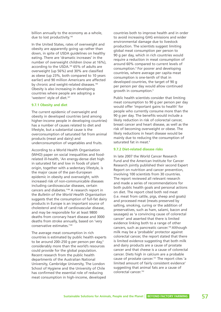billion annually to the economy as a whole, due to lost productivity.<sup>185</sup>

In the United States, rates of overweight and obesity are apparently going up rather than down, in spite of USDA guidelines on healthy eating. There are 'dramatic increases' in the number of overweight children (now at 16%), according to the USDA.186 65% of adults are overweight (up 56%) and 30% are classified as obese (up 23%, both compared to 10 years earlier) and 90 million Americans are affected by chronic and weight-related diseases.<sup>186</sup> Obesity is also increasing in developing countries where people are adopting a 'western' style of diet.<sup>187</sup>

#### **9.7.1 Obesity and diet**

The current epidemic of overweight and obesity in developed countries (and among higher-income people in developing countries) has a number of causes related to diet and lifestyle, but a substantial cause is the overconsumption of saturated fat from animal products (meat and dairy) and underconsumption of vegetables and fruits.

According to a World Health Organisation (WHO) paper on social inequalities and foodrelated ill-health, 'An energy-dense diet high in saturated fat and low in foods of plant origin, together with a sedentary lifestyle, is the major cause of the pan-European epidemic in obesity and overweight, with increased risk of non-communicable diseases including cardiovascular diseases, certain cancers and diabetes.'188 A research report in the *Bulletin of the World Health Organisation* suggests that the consumption of full-fat dairy products in Europe is an important source of cholesterol and risk of cardiovascular disease, and may be responsible for at least 9800 deaths from coronary heart disease and 3000 deaths from stroke annually, based on 'very conservative estimates.'189

The average meat consumption in rich countries is estimated by public health experts to be around 200-250 g per person per day, $9$ considerably more than the world's resources could provide for the global population. Recent research from the public health departments of the Australian National University, Cambridge University, The London School of Hygiene and the University of Chile has confirmed the essential role of reducing meat consumption in high-income, developed

countries both to improve health and in order to avoid increasing GHG emissions and wider environmental damage due to livestock production. The scientists suggest limiting global meat consumption per person to 90 g per day, which in rich countries would require a reduction in meat consumption of around 60% compared to current levels of consumption.9 For poorer and developing countries, where average per capita meat consumption is one-tenth of that in developed countries, the target of 90 g per person per day would allow continued growth in consumption.9

Public health scientists consider that limiting meat consumption to 90 g per person per day would offer 'important gains to health' for people who currently consume more than the 90 g per day. The benefits would include a likely reduction in risk of colorectal cancer, breast cancer and heart disease, as well as the risk of becoming overweight or obese. The likely reductions in heart disease would be mainly due to reducing the consumption of saturated fat in meat.<sup>9</sup>

## **9.7.2 Diet-related disease risks**

In late 2007 the World Cancer Research Fund and the American Institute for Cancer Research jointly published their second Expert Report on nutrition and cancer prevention, involving 100 scientists from 30 countries. The report reviewed all relevant research and made a series of recommendations for both public health goals and personal actions on diet. The report cited both red meat (i.e. meat from cattle, pigs, sheep and goats) and processed meat (meats preserved by salting, smoking, curing or the addition of preservatives, such as ham, salami, bacon and sausages) as 'a convincing cause of colorectal cancer' and asserted that there is limited evidence linking both to a range of other cancers, such as pancreatic cancer.190 Although milk may be a 'probable' protector against colorectal cancer, the report stated that there is limited evidence suggesting that both milk and dairy products are a cause of prostate cancer and that cheese is a cause of colorectal cancer. Diets high in calcium are a probable cause of prostate cancer. <sup>191</sup> The report cites 'a limited amount of fairly consistent evidence' suggesting that animal fats are a cause of colorectal cancer. 192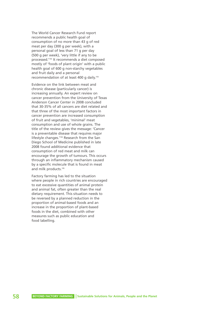The World Cancer Research Fund report recommends a public health goal of consumption of no more than 43 g of red meat per day (300 g per week), with a personal goal of less than 71 g per day (500 g per week), 'very little if any to be processed.'193 It recommends a diet composed mostly of 'foods of plant origin' with a public health goal of 600 g non-starchy vegetables and fruit daily and a personal recommendation of at least 400 g daily.<sup>193</sup>

Evidence on the link between meat and chronic disease (particularly cancer) is increasing annually. An expert review on cancer prevention from the University of Texas Anderson Cancer Center in 2008 concluded that 30-35% of all cancers are diet related and that three of the most important factors in cancer prevention are increased consumption of fruit and vegetables, 'minimal' meat consumption and use of whole grains. The title of the review gives the message: 'Cancer is a preventable disease that requires major lifestyle changes.'194 Research from the San Diego School of Medicine published in late 2008 found additional evidence that consumption of red meat and milk can encourage the growth of tumours. This occurs through an inflammatory mechanism caused by a specific molecule that is found in meat and milk products.195

Factory farming has led to the situation where people in rich countries are encouraged to eat excessive quantities of animal protein and animal fat, often greater than the real dietary requirement. This situation needs to be reversed by a planned reduction in the proportion of animal-based foods and an increase in the proportion of plant-based foods in the diet, combined with other measures such as public education and food labelling.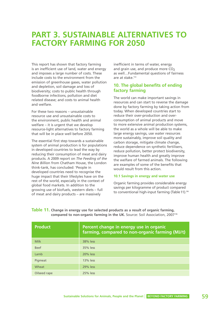# **PART 3. SUSTAINABLE ALTERNATIVES TO FACTORY FARMING FOR 2050**

This report has shown that factory farming is an inefficient use of land, water and energy and imposes a large number of costs. These include costs to the environment from the emission of greenhouse gases, water pollution and depletion, soil damage and loss of biodiversity; costs to public health through foodborne infections, pollution and diet related disease; and costs to animal health and welfare.

For these two reasons – unsustainable resource use and unsustainable costs to the environment, public health and animal welfare – it is urgent that we develop resource-light alternatives to factory farming that will be in place well before 2050.

The essential first step towards a sustainable system of animal production is for populations in developed countries to lead the way by reducing their consumption of meat and dairy products. A 2009 report on *The Feeding of the Nine Billio*n from Chatham House, the London think-tank, has concluded: 'People in developed countries need to recognise the huge impact that their lifestyles have on the rest of the world, especially in the context of global food markets. In addition to the growing use of biofuels, western diets – full of meat and dairy products – are massively

inefficient in terms of water, energy and grain use, and produce more  $CO<sub>2</sub>$ as well…Fundamental questions of fairness are at stake. $123$ 

# **10. The global benefits of ending factory farming**

The world can make important savings in resources and can start to reverse the damage done by factory farming by taking action from today. When developed countries start to reduce their over-production and overconsumption of animal products and move to more extensive animal production systems, the world as a whole will be able to make large energy savings, use water resources more sustainably, improve soil quality and carbon storage, mitigate climate change, reduce dependence on synthetic fertilisers, reduce pollution, better protect biodiversity, improve human health and greatly improve the welfare of farmed animals. The following are examples of some of the benefits that would result from this action.

## **10.1 Savings in energy and water use**

Organic farming provides considerable energy savings per kilogramme of product compared to conventional high-input farming (Table 11).<sup>196</sup>

| <b>Product</b> | Percent change in energy use in organic<br>farming, compared to non-organic farming (MJ/t) |
|----------------|--------------------------------------------------------------------------------------------|
| <b>Milk</b>    | 38% less                                                                                   |
| <b>Beef</b>    | 35% less                                                                                   |
| Lamb           | 20% less                                                                                   |
| Pigmeat        | $13%$ less                                                                                 |
| Wheat          | 29% less                                                                                   |
| Oilseed rape   | 25% less                                                                                   |

**Table 11. Change in energy use for selected products as a result of organic farming, compared to non-organic farming in the UK.** Source: Soil Association, 2007<sup>196</sup>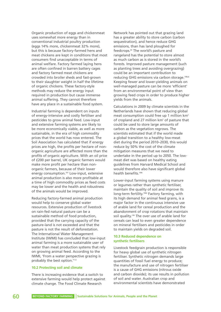Organic production of eggs and chickenmeat uses somewhat more energy than in conventional industrial poultry production (eggs 14% more, chickenmeat 32% more), but this is because factory-farmed hens and meat chickens are kept in conditions that most consumers find unacceptable in terms of animal welfare. Factory farmed laying hens are often confined in barren battery cages and factory farmed meat chickens are crowded into broiler sheds and fast-grown to their slaughter weight in half the lifetime of organic chickens. These factory-style methods may reduce the energy input required in production but cause immense animal suffering. They cannot therefore have any place in a sustainable food system.

Industrial farming is dependent on inputs of energy-intensive and costly fertiliser and pesticides to grow animal feed. Low-input and extensive farming systems are likely to be more economically viable, as well as more sustainable, in the era of high commodity prices that the world has now entered. The Soil Association has calculated that if energy prices are high, the profits per hectare of nonorganic agriculture are affected more than the profits of organic agriculture. With an oil price of £200 per barrel, UK organic farmers would make more profit per hectare than nonorganic farmers, because of their lower energy consumption.<sup>197</sup> Low-input, extensive animal production is also more profitable at a time of high commodity prices as feed costs may be lower and the health and robustness of the animals would be improved.

Reducing factory-farmed animal production would help to conserve global water resources. Extensive production of livestock on rain-fed natural pasture can be a sustainable method of food production, provided that the carrying capacity of the pasture-land is not exceeded and that the pasture is not the result of deforestation. The International Water Management Institute (IWMI) has concluded that low-input animal farming is a more sustainable user of water than meat production systems that rely on growing animal feed. According to the IWMI, 'From a water perspective grazing is probably the best option.<sup>'112</sup>

## **10.2 Protecting soil and climate**

There is increasing evidence that a switch to extensive farming would help protect against climate change. The Food Climate Research

Network has pointed out that grazing land has a greater ability to store carbon (carbon sequestration), and hence reduce GHG emissions, than has land ploughed for feedcrops.<sup>64</sup> The world's pasture and rangeland has the potential to store almost as much carbon as is stored in the world's forests. Improved pasture management (such as planting trees and avoiding overgrazing) could be an important contribution to reducing GHG emissions via carbon storage.198ab Keeping fewer and lower-yielding animals on well-managed pasture can be more 'efficient' from an environmental point of view than growing feed crops in order to produce higher yields from the animals.

Calculations in 2009 by climate scientists in the Netherlands have shown that reducing global meat consumption could free up 1 million km2 of cropland and 27 million km<sup>2</sup> of pasture that could be used to store large amounts of carbon as the vegetation regrows. The scientists estimated that if the world made a global transition to a healthy low-meat diet during the period 2010–2030, this would reduce by 50% the cost of the climate mitigation measures that we need to undertake in the period up to 2050. The lowmeat diet was based on healthy eating guidelines from Harvard Medical School and would therefore also have significant global health benefits.198c

Lower-input farming systems using manure or legumes rather than synthetic fertiliser, maintain the quality of soil and improve its long-term fertility.198d Factory farming, with its high demand for animal feed grains, is a major factor in the continuous intensive use of arable land for cereal production and the abandonment of crop rotations that maintain soil quality.<sup>199</sup> The over use of arable land for cereals can lead to even greater dependence on mineral fertilisers and pesticides in order to maintain yields on degraded soil.

## **10.3 Reduced dependence on synthetic fertilisers**

Livestock feedgrain production is responsible for heavy global use of synthetic nitrogen fertiliser. Synthetic nitrogen demands large quantities of fossil fuel energy to produce; the manufacture and use of nitrogen fertiliser is a cause of GHG emissions (nitrous oxide and carbon dioxide); its use results in pollution of soil and water. Australian crop and environmental scientists have demonstrated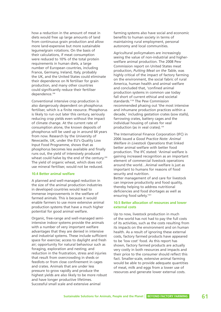how a reduction in the amount of meat in diets would free up large amounts of land from continuous grain production and allow more land-expensive but more sustainable legume/grain rotations. On the basis of their calculations, if meat consumption were reduced to 10% of the total protein requirements in human diets, a large number of European countries, including France, Germany, Ireland, Italy, probably the UK, and the United States could eliminate their dependence on N fertiliser for grain production, and many other countries could significantly reduce their fertiliser dependence.<sup>199</sup>

Conventional intensive crop production is also dangerously dependent on phosphorus fertiliser, which is a finite resource. Phosphorus is likely to run out later this century, seriously reducing crop yields even without the impact of climate change. At the current rate of consumption alone, the known deposits of phosphorus will be used up in around 64 years from now. Research by the University of Newcastle, UK, under the EU's Quality Low Input Food Programme, shows that as phosphorus becomes less available and finally runs out, the yield of intensively produced wheat could halve by the end of the century.<sup>200</sup> The yield of organic wheat, which does not use mineral fertiliser, would not be reduced.

#### **10.4 Better animal welfare**

A planned and well-managed reduction in the size of the animal production industries in developed countries would lead to immense improvements in the welfare of farmed animals. This is because it would enable farmers to use more extensive animal production systems that have a much higher potential for good animal welfare.

Organic, free-range and well-managed semiintensive indoor systems provide the animals with a number of very important welfare advantages that they are denied in intensive and industrial systems. These include sufficient space for exercise; access to daylight and fresh air; opportunity for natural behaviour such as foraging, exploration and nesting; and reduction in the frustration, stress and injuries that result from overcrowding in sheds or feedlots or from close confinement in cages and crates. Animals that are under less pressure to grow rapidly and produce the highest yields are also likely to be more robust and have longer productive lifetimes. Successful small scale and extensive animal

farming systems also have social and economic benefits to human society in terms of maintaining rural employment, personal autonomy and local communities.

Agricultural policymakers are increasingly seeing the value of non-industrial and higherwelfare animal production. The 2008 Pew Commission report on United States meat production, *Putting Meat on the Table*, was highly critical of the impact of factory farming on the environment, the social fabric of rural America, human health and animal welfare and concluded that, 'confined animal production systems in common use today fall short of current ethical and societal standards.'139 The Pew Commission recommended phasing out 'the most intensive and inhumane production practices within a decade,' including gestation crates (sow stalls), farrowing crates, battery cages and the individual housing of calves for veal production (as in veal crates).<sup>139</sup>

The International Finance Corporation (IFC) in 2006 issued a *Good Practice Note: Animal Welfare in Livestock Operations* that linked better animal welfare with better food production. The IFC stated: 'Animal welfare is gaining increased recognition as an important element of commercial livestock operations around the world…Animal welfare is just as important to humans for reasons of food security and nutrition.

Better management of and care for livestock can improve productivity and food quality, thereby helping to address nutritional deficiencies and food shortages as well as ensuring food safety.'201

## **10.5 Better allocation of resources and lower external costs**

Up to now, livestock production in much of the world has not had to pay the full costs of its activities, such as the costs resulting from its impacts on the environment and on human health. As a result of ignoring these external costs, factory farmed products have appeared to be 'low cost' food. As this report has shown, factory farmed products are actually very costly in both resources and impacts and their price to the consumer should reflect this fact. Smaller-scale, extensive animal farming would be able to provide adequate quantities of meat, milk and eggs from a lower use of resources and generate lower external costs.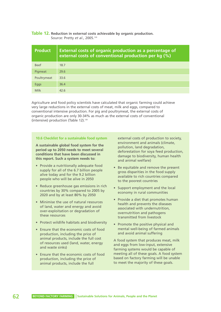# **Table 12. Reduction in external costs achievable by organic production.** Source: Pretty *et al.*, 2005.120

| <b>Product</b> | <b>External costs of organic production as a percentage of</b><br>external costs of conventional production per kg (%) |
|----------------|------------------------------------------------------------------------------------------------------------------------|
| <b>Beef</b>    | 18.7                                                                                                                   |
| Pigmeat        | 29.6                                                                                                                   |
| Poultrymeat    | 33.6                                                                                                                   |
| Eggs           | 36.4                                                                                                                   |
| Milk           | 42.6                                                                                                                   |

Agriculture and food policy scientists have calculated that organic farming could achieve very large reductions in the external costs of meat, milk and eggs, compared to conventional intensive production. For pig and poultrymeat, the external costs of organic production are only 30-34% as much as the external costs of conventional (intensive) production (Table 12).<sup>120</sup>

#### **10.6 Checklist for a sustainable food system**

**A sustainable global food system for the period up to 2050 needs to meet several conditions that have been discussed in this report. Such a system needs to:**

- Provide a nutritionally adequate food supply for all of the 6.7 billion people alive today and for the 9.2 billion people who will be alive in 2050
- Reduce greenhouse gas emissions in rich countries by 30% compared to 2005 by 2020 and by at least 80% by 2050
- Minimise the use of natural resources of land, water and energy and avoid over-exploitation or degradation of these resources
- Protect wildlife habitats and biodiversity
- Ensure that the economic costs of food production, including the price of animal products, include the full cost of resources used (land, water, energy and waste sinks)
- Ensure that the economic costs of food production, including the price of animal products, include the full

external costs of production to society, environment and animals (climate, pollution, land degradation, deforestation for soya feed production, damage to biodiversity, human health and animal welfare)

- Be equitable and remove the present gross disparities in the food supply available to rich countries compared to the poorest countries
- Support employment and the local economy in rural communities
- Provide a diet that promotes human health and prevents the diseases associated with undernutrition, overnutrition and pathogens transmitted from livestock
- Promote the positive physical and mental well-being of farmed animals and avoid animal suffering

A food system that produces meat, milk and eggs from low-input, extensive farming systems would be capable of meeting all of these goals. A food system based on factory farming will be unable to meet the majority of these goals.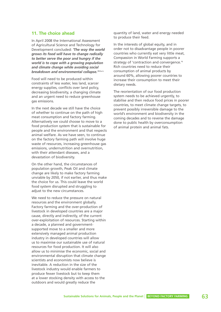# **11. The choice ahead**

In April 2008 the International Assessment of Agricultural Science and Technology for Development concluded: *'The way the world grows its food will have to change radically to better serve the poor and hungry if the world is to cope with a growing population and climate change while avoiding social breakdown and environmental collapse.'*203a-b

Food will need to be produced within constraints of less water, less land, scarcer energy supplies, conflicts over land policy, decreasing biodiversity, a changing climate and an urgent need to reduce greenhouse gas emissions.

In the next decade we still have the choice of whether to continue on the path of high meat consumption and factory farming. Alternatively we could choose to move to a food production system that is sustainable for people and the environment and that respects animal welfare. As we have seen, to continue on the factory farming path will involve huge waste of resources, increasing greenhouse gas emissions, undernutrition and overnutrition, with their attendant diseases, and a devastation of biodiversity.

On the other hand, the circumstances of population growth, Peak Oil and climate change are likely to make factory farming unviable by 2050, if not earlier, and thus make the choice for us. This could leave the world food system disrupted and struggling to adjust to the new circumstances.

We need to reduce the pressure on natural resources and the environment globally. Factory farming and the over-production of livestock in developed countries are a major cause, directly and indirectly, of the current over-exploitation of resources. Starting within a decade, a planned and governmentsupported move to a smaller and more extensively managed animal production industry in developed countries will allow us to maximise our sustainable use of natural resources for food production. It will also allow us to minimise the economic, social and environmental disruption that climate change scientists and economists now believe is inevitable. A reduction in the size of the livestock industry would enable farmers to produce fewer livestock but to keep them at a lower stocking density with access to the outdoors and would greatly reduce the

quantity of land, water and energy needed to produce their feed.

In the interests of global equity, and in order not to disadvantage people in poorer countries who currently eat very little meat, Compassion in World Farming supports a strategy of 'contraction and convergence.'<sup>9</sup> Rich countries need to reduce their consumption of animal products by around 60%, allowing poorer countries to increase their consumption to meet their dietary needs.

The reorientation of our food production system needs to be achieved urgently, to stabilise and then reduce food prices in poorer countries, to meet climate change targets, to prevent possibly irreversible damage to the world's environment and biodiversity in the coming decades and to reverse the damage done to public health by overconsumption of animal protein and animal fats.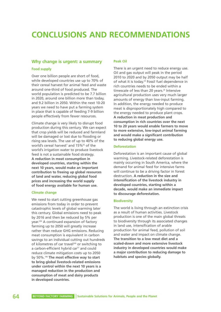# **CONCLUSIONS AND RECOMMENDATIONS**

# **Why change is urgent: a summary**

#### **Food supply**

Over one billion people are short of food, while developed countries use up to 70% of their cereal harvest for animal feed and waste around one-third of food produced. The world population is predicted to be 7.7 billion in 2020, around one billion more than today, and 9.2 billion in 2050. Within the next 10-20 years we need to have put a farming system in place that is capable of feeding 7-9 billion people effectively from fewer resources.

Climate change is very likely to disrupt food production during this century. We can expect that crop yields will be reduced and farmland will be damaged or lost due to flooding or rising sea levels. The use of up to 40% of the world's cereal harvest<sup>7</sup> and 15%<sup>92</sup> of the world's irrigation water to produce livestock feed is not a sustainable food strategy. **A reduction in meat consumption in developed countries, starting within the next 10 years, would make an important contribution to freeing up global resources of land and water, reducing global food prices and increasing the world supply of food energy available for human use.** 

#### **Climate change**

We need to start cutting greenhouse gas emissions from today in order to prevent catastrophic levels of global warming later this century. Global emissions need to peak by 2016 and then be reduced by 5% per year. <sup>204</sup> A continued expansion of factory farming up to 2050 will greatly increase rather than reduce GHG emissions. Reducing meat consumption is equivalent in carbon savings to an individual cutting out hundreds of kilometres of car travel<sup>205</sup> or switching to a carbon-efficient hybrid car $\overline{r}$  and could reduce climate mitigation costs up to 2050 by 50%.198 **The most effective way to start to bring global livestock-related emissions under control within the next 10 years is a managed reduction in the production and consumption of meat and dairy products in developed countries.** 

#### **Peak Oil**

There is an urgent need to reduce energy use. Oil and gas output will peak in the period 2010 to 2020 and by 2050 output may be half of what it is today.<sup>24</sup> Fossil fuel dependence in rich countries needs to be ended within a timescale of less than 20 years.<sup>26</sup> Intensive agricultural production uses very much larger amounts of energy than low-input farming. In addition, the energy needed to produce meat is disproportionately high compared to the energy needed to produce plant crops. **A reduction in meat production and consumption in rich countries over the next 10 to 20 years would enable farmers to move to more extensive, low-input animal farming and would make a significant contribution to reducing global energy use.** 

#### **Deforestation**

Deforestation is an important cause of global warming. Livestock-related deforestation is mainly occurring in South America, where the demand for animal feed for intensive farms will continue to be a driving factor in forest destruction. **A reduction in the size and intensification of the livestock industry in developed countries, starting within a decade, would make an immediate impact to discourage deforestation.** 

# **Biodiversity**

The world is living through an extinction crisis as a result of human activities. Livestock production is one of the main global threats to biodiversity through its associated changes in land use, intensification of arable production for animal feed, pollution of soil and water and impact on climate change. **The transition to a low meat diet and a scaled-down and more extensive livestock industry in developed countries would make a major contribution to reducing damage to habitats and species globally.**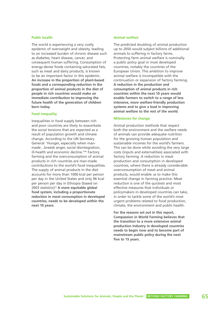### **Public health**

The world is experiencing a very costly epidemic of overweight and obesity, leading to an increased burden of chronic disease such as diabetes, heart disease, cancer, and consequent human suffering. Consumption of energy-dense foods containing saturated fats, such as meat and dairy products, is known to be an important factor in this epidemic. **An increase in the proportion of plant-based foods and a corresponding reduction in the proportion of animal products in the diet of people in rich countries would make an immediate contribution to improving the future health of the generation of children born today.** 

#### **Food inequality**

Inequalities in food supply between rich and poor countries are likely to exacerbate the social tensions that are expected as a result of population growth and climate change. According to the UN Secretary General: 'Hunger, especially when manmade…breeds anger, social disintegration, ill-health and economic decline.<sup>'206</sup> Factory farming and the overconsumption of animal products in rich countries are man-made contributions to the world's food inequalities. The supply of animal products in the diet accounts for more than 1000 kcal per person per day in the United States and only 96 kcal per person per day in Ethiopia (based on 2003 statistics)10 **A more equitable global food system, including a proportionate reduction in meat consumption in developed countries, needs to be developed within the next 10 years.**

#### **Animal welfare**

The predicted doubling of animal production up to 2050 would subject billions of additional animals to suffering in factory farms. Protecting farm animal welfare is nominally a public policy goal in most developed countries, notably the countries of the European Union. This ambition to improve animal welfare is incompatible with the continuation or expansion of factory farming. **A reduction in the production and consumption of animal products in rich countries within the next 10 years would enable farmers to switch to a range of less intensive, more welfare-friendly production systems and to give a lead in improving animal welfare to the rest of the world.** 

#### **Milestones for change**

Animal production methods that respect both the environment and the welfare needs of animals can provide adequate nutrition for the growing human population and sustainable incomes for the world's farmers. This can be done while avoiding the very large costs (inputs and externalities) associated with factory farming. A reduction in meat production and consumption in developed countries, where there is already considerable overconsumption of meat and animal products, would enable us to make this essential change in farming practice. Meat reduction is one of the quickest and most effective measures that individuals or policymakers in developed countries can take, in order to tackle some of the world's most urgent problems related to food production, climate, the environment and public health.

**For the reasons set out in this report, Compassion in World Farming believes that the transition to a more extensive animal production industry in developed countries needs to begin now and to become part of mainstream public policy during the next five to 15 years.**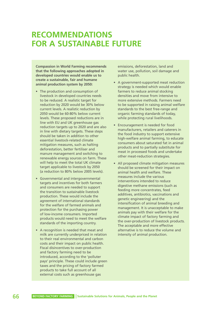# **RECOMMENDATIONS FOR A SUSTAINABLE FUTURE**

**Compassion in World Farming recommends that the following approaches adopted in developed countries would enable us to create a sustainable, fair and humane animal production system by 2050:**

- The production and consumption of livestock in developed countries needs to be reduced. A realistic target for reduction by 2020 would be 30% below current levels. A realistic reduction by 2050 would be 60-80% below current levels. These proposed reductions are in line with EU and UK greenhouse gas reduction targets up to 2020 and are also in line with dietary targets. These steps should be taken in addition to other essential livestock-related climate mitigation measures, such as halting deforestation, better fertiliser and manure management and switching to renewable energy sources on farm. These will help to meet the total UK climate target applicable to livestock by 2050 (a reduction to 80% below 2005 levels).
- Governmental and intergovernmental targets and incentives for both farmers and consumers are needed to support the transition to sustainable livestock production. These would include the agreement of international standards for the welfare of farmed animals and protection for the purchasing power of low-income consumers. Imported products would need to meet the welfare standards of the importing country.
- A recognition is needed that meat and milk are currently underpriced in relation to their real environmental and carbon costs and their impact on public health. Fiscal disincentives to over-production and factory farming need to be introduced, according to the 'polluter pays' principle. These could include green taxes and the pricing of factory farmed products to take full account of all external costs such as greenhouse gas

emissions, deforestation, land and water use, pollution, soil damage and public health.

- A government-supported meat reduction strategy is needed which would enable farmers to reduce animal stocking densities and move from intensive to more extensive methods. Farmers need to be supported in raising animal welfare standards to the best free-range and organic farming standards of today, while protecting rural livelihoods.
- Encouragement is needed for food manufacturers, retailers and caterers in the food industry to support extensive high-welfare animal farming, to educate consumers about saturated fat in animal products and to partially substitute for meat in processed foods and undertake other meat-reduction strategies.
- All proposed climate mitigation measures should be screened for their impact on animal health and welfare. These measures include the various interventions intended to reduce digestive methane emissions (such as feeding more concentrates, feed additives, antibiotics, vaccinations and genetic engineering) and the intensification of animal breeding and management. It is unacceptable to make animals pay with their welfare for the climate impact of factory farming and the over-production of livestock products. The acceptable and more effective alternative is to reduce the volume and intensity of animal production.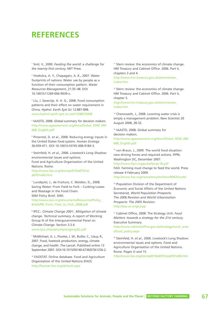# **REFERENCES**

<sup>1</sup> Smil, V., 2000. *Feeding the world: a challenge for the twenty-first century.* MIT Press.

<sup>2</sup> Hoekstra, A. Y., Chapagain, A. K., 2007. Water footprints of nations: Water use by people as a function of their consumption pattern. *Water Resources Management*, 21:35–48. DOI 10.1007/s11269-006-9039-x.

<sup>3</sup> Liu, J. Savenije, H. H. G., 2008. Food consumption patterns and their effect on water requirement in China. *Hydrol. Earth Syst Sci* 12:887-898. www.hydrol-earth-syst-sci.net/12/887/2008

<sup>4</sup> IAASTD, 2008. Global summary for decision makers. http://www.agassessment.org/docs/Global\_SDM\_060 608\_English.pdf

<sup>5</sup> Pimentel, D. *et al.*, 2008. Reducing energy inputs in the United States food system. *Human Ecology* 36:459-471. DOI 10.1007/s10745-008-9184-3.

<sup>6</sup> Steinfeld, H. *et al.*, 2006. *Livestock's Long Shadow: environmental issues and options.* Food and Agriculture Organisation of the United Nations. Rome. http://www.fao.org/docrep/010/a0701e/ a0701e00.htm

<sup>7</sup> Lundqvist, J., de Fraiture, C. Molden, D., 2008. Saving Water: From Field to Fork – Curbing Losses and Wastage in the Food Chain. SIWI Policy Brief. SIWI. http://www.siwi.org/documents/Resources/Policy\_ Briefs/PB\_From\_Filed\_to\_Fork\_2008.pdf

<sup>8</sup> IPCC.: *Climate Change 2001:. Mitigation of climate change. Technical summary.* A report of Working Group III of the Intergovernmental Panel on Climate Change. Section 3.3.4. www.ipcc.ch/pub/un/syreng/wg3ts.pdf

<sup>9</sup> McMichael, A. J., Powles, J. W., Butler, C., Uauy, R., 2007. Food, livestock production, energy, climate change, and health. The Lancet. Published online 13 September 2007. DOI:10.1015/S0140-6736(07)61256-2.

<sup>10</sup> FAOSTAT. Online database. Food and Agriculture Organisation of the United Nations (FAO). http://faostat.fao.org/default.aspx

<sup>11</sup> Stern review: the economics of climate change. HM Treasury and Cabinet Office. 2006. Part II, chapters 3 and 4.

http://www.hm-treasury.gov.uk/sternreview\_ index.htm

<sup>12</sup> Stern review: the economics of climate change. HM Treasury and Cabinet Office. 2006. Part II, chapter 5.

http://www.hm-treasury.gov.uk/sternreview\_ index.htm

<sup>13</sup> Chenoweth, J., 2008. Looming water crisis is simply a management problem. New Scientist 20 August 2008, 28-32.

<sup>14</sup> IAASTD, 2008. Global summary for decision makers.

http://www.agassessment.org/docs/Global\_SDM\_060 608\_English.pdf

<sup>15</sup> von Braun, J., 2009. The world food situation: new driving forces and required actions. IFPRI, Washington DC, December 2007.

http://www.ifpri.org/pubs/fpr/pr18.pdf

FAO. Farming must change to feed the world. Press release 4 February 2009. http://www.fao.org/news/story/en/item/9962/icode/

<sup>16</sup> Population Division of the Department of Economic and Social Affairs of the United Nations Secretariat, *World Population Prospects: The 2006 Revision and World Urbanization Prospects: The 2005 Revision*. http://esa.un.org/unpp

<sup>17</sup> Cabinet Office, 2008. The Strategy Unit. *Food Matters: towards a strategy for the 21st century.* Executive Summary.

http://www.cabinetoffice.gov.uk/strategy/work\_area s/food\_policy.aspx

<sup>18</sup> Steinfeld, H. *et al.*, 2006. Livestock's Long Shadow: environmental issues and options. Food and Agriculture Organisation of the United Nations. Rome. Pages iii and 15.

http://www.fao.org/docrep/010/a0701e/a0701e00.htm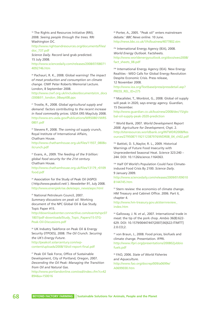<sup>19</sup> The Rights and Resources Initiative (RRI), 2008. *Seeing people through the trees.* RRI Washington DC.

http://www.rightsandresources.org/documents/files/ doc\_737.pdf

*Science Daily*. Record land grab predicted. 15 July 2008.

http://www.sciencedaily.com/releases/2008/07/08071 4092746.htm

<sup>20</sup> Pachauri, R. K., 2008. Global warning! *The impact of meat production and consumption on climate change.* CIWF Peter Roberts Memorial Lecture. London, 8 September 2008.

http://www.ciwf.org.uk/includes/documents/cm\_docs /2008/l/1\_london\_08sept08.pps

<sup>21</sup> Trostle, R., 2008. *Global agricultural supply and demand: factors contributing to the recent increase in food commodity prices.* USDA ERS May/July 2008. http://www.ers.usda.gov/Publications/WRS0801/WRS 0801.pdf

<sup>22</sup> Stevens P., 2008. *The coming oil supply crunch*, Royal Institute of International Affairs, Chatham House.

http://www.chathamhouse.org.uk/files/11937\_0808o ilcrunch.pdf

<sup>23</sup> Evans, A., 2009. T*he feeding of the 9 billion: global food security for the 21st century.* Chatham House.

http://www.chathamhouse.org.uk/files/13179\_r0109 food.pdf

<sup>24</sup> Association for the Study of Peak Oil (ASPO) ( http://www.peakoil.net/ ). *Newsletter 91*, July 2008. http://www.energiekrise.de/e/aspo\_news/aspo.html

<sup>25</sup> National Petroleum Council, 2007. *Summary discussions on peak oil*. Working document of the NPC Global Oil & Gas Study. Topic Paper #15.

http://downloadcenter.connectlive.com/events/npc07 1807/pdf-downloads/Study\_Topic\_Papers/15-STG-Peak-Oil-Discussions.pdf

<sup>26</sup> UK Industry Taskforce on Peak Oil & Energy Security (ITPOES), 2008. *The Oil Crunch. Securing the UK's Energy Future*.

http://peakoil.solarcentury.com/wpcontent/uploads/2008/10/oil-report-final.pdf

<sup>27</sup> Peak Oil Task Force, Office of Sustainable Development, City of Portland, Oregon, 2007. *Descending the Oil Peak: Managing the Transition from Oil and Natural Gas*.

http://www.portlandonline.com/osd/index.cfm?c=42 894&a=150016

<sup>28</sup> Porter, A., 2005. "Peak oil" enters mainstream debate.' *BBC News online*. 10 June. http://news.bbc.co.uk/1/hi/business/4077802.stm

29a International Energy Agency (IEA), 2008. *World Energy Outlook*. Factsheets. http://www.worldenergyoutlook.org/docs/weo2008/ fact\_sheets\_08.pdf

29b International Energy Agency (IEA). New Energy Realities - WEO Calls for Global Energy Revolution Despite Economic Crisis. Press release, 12 November 2008.

http://www.iea.org/Textbase/press/pressdetail.asp? PRESS\_REL\_ID=275

<sup>30</sup> Macalister, T., Monbiot, G., 2008. Global oil supply will peak in 2020, says energy agency. *Guardian*, 15 December.

http://www.guardian.co.uk/business/2008/dec/15/glo bal-oil-supply-peak-2020-prediction

<sup>31</sup> World Bank, 2007. *World Development Report 2008. Agriculture for Development*, Chpt. 2. http://siteresources.worldbank.org/INTWDR2008/Res ources/27950871192112387976/WDR08\_04\_ch02.pdf

32a Battisti, D. S.,Naylor, R. L., 2009. Historical Warnings of Future Food Insecurity with Unprecedented Seasonal Heat. *Science* 323:240 – 244. DOI: 10.1126/science.1164363.

32b Half Of World's Population Could Face Climateinduced Food Crisis By 2100. *Science Daily*. 9 January 2009.

http://www.sciencedaily.com/releases/2009/01/09010 8144745.htm

<sup>33</sup> Stern review: the economics of climate change. HM Treasury and Cabinet Office. 2006. Part II, chapter 4. http://www.hm-treasury.gov.uk/sternreview\_ index.htm

<sup>34</sup> Galloway, J. N. *et al.*, 2007. International trade in meat: the tip of the pork chop. *Ambio* 36(8):622- 629. DOI: 10.1579/00447447(2007)36[622:ITIMTT] 2.0.CO;2.

<sup>35</sup> von Braun, J., 2008. Food prices, biofuels and climate change. Presentation. IFPRI. http://www.ifpri.org/presentations/200802jvbbio fuels.pdf

<sup>36</sup> FAO, 2006. *State of World Fisheries and Aquaculture*. http://www.fao.org/docrep/009/a0699e/ A0699E00.htm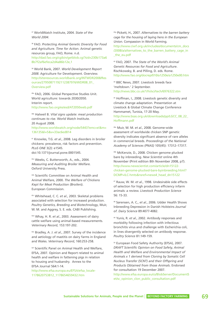<sup>37</sup> WorldWatch Institute, 2004. *State of the World 2004*.

<sup>38</sup> FAO. *Protecting Animal Genetic Diversity for Food and Agriculture. Time for Action*. Animal genetic resources group, FAO, Rome. n.d. http://dad.fao.org/cgibin/getblob.cgi?sid=230b173a6 8b7f2af6efeca2d4a86b12e,1

<sup>39</sup> World Bank, 2007. *World Development Report 2008*. Agriculture for Development. Overview. http://siteresources.worldbank.org/INTWDR2008/Res ources/27950871192112387976/WDR08\_01\_ Overview.pdf

40a FAO, 2006. Global Perspective Studies Unit. World agriculture: towards 2030/2050. Interim report. http://www.fao.org/es/esd/AT2050web.pdf

40b Halweil B. *Vital signs update: meat production continues to rise*. World Watch Institute. 20 August 2008. http://www.worldwatch.org/node/5443?emc=el&m= 136135&l=5&v=33ac6ed814

<sup>41</sup> Knowles, T.G. *et al.*, 2008. Leg disorders in broiler chickens: prevalence, risk factors and prevention. *PLoS ONE* 3(2): e1545. doi:10.1371/journal.pone.0001545.

42a Weeks, C. Butterworth, A., eds., 2004. *Measuring and Auditing Broiler Welfare.* Oxford University Press.

42b Scientific Committee on Animal Health and Animal Welfare, 2000. *The Welfare of Chickens Kept for Meat Production (Broilers*). European Commission.

42c Whitehead, C. C. *et al.*, 2003. Skeletal problems associated with selection for increased production. *Poultry Genetics, Breeding and Biotechnology*, Muir, W. M. and Aggrey, S. E. eds. CABI Publishing.

42d Whay, H. R. *et al.*, 2003. Assessment of dairy cattle welfare using animal-based measurements. *Veterinary Record*, 153:197-202.

42e Bradley, A. J. *et al.*, 2007. Survey of the incidence and aetiology of mastitis on dairy farms in England and Wales. *Veterinary Record*, 160:253-258.

42f Scientific Panel on Animal Health and Welfare, EFSA, 2007. Opinion and Report related to animal health and welfare in fattening pigs in relation to housing and husbandry. Annex to the EFSA Journal 564:1-14.

http://www.efsa.europa.eu/EFSA/efsa\_locale-1178620753812\_1178654659432.htm

42g Pickett, H., 2007. *Alternatives to the barren battery cage for the housing of laying hens in the European Union.* Compassion in World Farming. http://www.ciwf.org.uk/includes/documents/cm\_docs /2008/a/alternatives\_to\_the\_barren\_battery\_cage\_in \_the\_eu.pdf

<sup>43</sup> FAO, 2007. *The State of the World's Animal Genetic Resources for Food and Agriculture*. Rischkowsky, B. and Pilling, D. eds. Rome. http://www.fao.org/docrep/010/a1250e/a1250e00.htm

<sup>44</sup> BBC News, 2007. Livestock breeds face 'meltdown.' 2 September. http://news.bbc.co.uk/1/hi/sci/tech/6976322.stm

<sup>45</sup> Hoffman, I., 2008. Livestock genetic diversity and climate change adaptation. Presentation at Livestock & Global Climate Change Conference Hammamet, Tunisia, 17-20 May. http://www.bsas.org.uk/downloads/pp/LGCC\_08\_22\_ Hoffmann.pdf

46a Muir, W. M. *et al.*, 2008. Genome-wide assessment of worldwide chicken SNP genetic diversity indicates significant absence of rare alleles in commercial breeds. *Proceedings of the National Academy of Sciences (PNAS)* 105(45): 17312–17317.

46b McKenzie, D., 2008. Chicken genome plucked bare by inbreeding. *New Scientist* online 4th November (Print edition 8th November 2008, p7). http://www.newscientist.com/article/dn15122 chicken-genome-plucked-bare-byinbreeding.html? DCMP=ILC-hmts&nsref=news4\_head\_dn15122

<sup>47</sup> Rauw, W. M. *et al.*, 1998. Undesirable side effects of selection for high production efficiency infarm animals: a review. *Livestock Production Science* 56: 15-33.

<sup>48</sup> Sørensen, A. C., *et al.*, 2006. Udder Health Shows Inbreeding Depression in Danish Holsteins *Journal of. Dairy Science* 89:4077-4082.

<sup>49</sup> Yunis, R. *et al.*, 2002. Antibody responses and morbidity following infection with infectious bronchitis virus and challenge with Escherichia coli, in lines divergently selected on antibody response. *Poultry Science* 81:149-159.

<sup>50</sup> European Food Safety Authority (EFSA), 2007. *DRAFT Scientific Opinion on Food Safety, Animal Health and Welfare and Environmental Impact of Animals x 1 derived from Cloning by Somatic Cell Nucleus Transfer (SCNT) and their Offspring and Products Obtained from those Animals*. Endorsed for consultation 19 December 2007.

http://www.efsa.europa.eu/cs/BlobServer/DocumentS et/sc\_opinion\_clon\_public\_consultation.pdf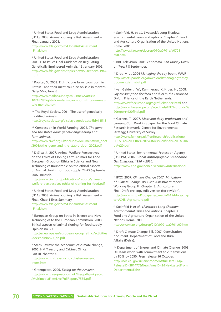<sup>51</sup> United States Food and Drug Administration (FDA), 2008. Animal cloning: a Risk Assessment – Final. January 2008.

http://www.fda.gov/cvm/CloneRiskAssessment \_Final.htm

<sup>52</sup> United States Food and Drug Administration, 2009. FDA Issues Final Guidance on Regulating Genetically Engineered Animals. 15 January 2009. http://www.fda.gov/bbs/topics/news/2009/new01944. html

<sup>53</sup> Poulter, S., 2008. Eight 'clone farm' cows born in Britain - and their meat could be on sale in months. *Daily Mail*, June 6.

http://www.mailonsunday.co.uk/news/article-1024578/Eight-clone-farm-cows-born-Britain--meatsale-months.html

<sup>54a</sup> The Royal Society, 2001. The use of genetically modified animals.

http://royalsociety.org/displaypagedoc.asp?id=11513

54b Compassion in World Farming, 2002. *The gene and the stable door: genetic engineering and farm animals*.

http://www.ciwf.org.uk/includes/documents/cm\_docs /2008/t/the\_gene\_and\_the\_stable\_door\_2002.pdf

<sup>55</sup> D'Silva, J., 2007. Animal Welfare Perspectives on the Ethics of Cloning Farm Animals for Food. European Group on Ethics in Science and New Technologies Roundtable on the ethical aspects of Animal cloning for food supply. 24-25 September 2007. Brussels.

http://www.ciwf.org/publications/reports/animalwelfare-perspectives-ethics-of-cloning-for-food.pdf

<sup>56</sup> United States Food and Drug Administration (FDA), 2008. Animal cloning: a Risk Assessment – Final. Chap 1 Exec Summary.

http://www.fda.gov/cvm/CloneRiskAssessment \_Final.htm

<sup>57</sup> European Group on Ethics in Science and New Technologies to the European Commission, 2008. Ethical aspects of animal cloning for food supply. Opinion no. 23.

http://ec.europa.eu/european\_group\_ethics/activities /docs/opinion23\_en.pdf

<sup>58</sup> Stern Review: the economics of climate change, 2006. HM Treasury and Cabinet Office. Part III, chapter 7. http://www.hm-treasury.gov.uk/sternreview\_

index.htm

<sup>59</sup> Greenpeace, 2006. *Eating up the Amazon*. http://www.greenpeace.org.uk/files/pdfs/migrated /MultimediaFiles/Live/FullReport/7555.pdf

<sup>60</sup> Steinfeld, H. *et al.*, Livestock's Long Shadow: environmental issues and options. Chapter 2. Food and Agriculture Organisation of the United Nations. Rome. 2006.

http://www.fao.org/docrep/010/a0701e/a0701 e00.htm

<sup>61</sup> BBC Television, 2008. *Panorama. Can Money Grow on Trees?* 8 September.

<sup>62</sup> Dros, M. J., 2004 *Managing the soy boom*. WWF. http://assets.panda.org/downloads/managingthesoy boomenglish\_nbvt.pdf

<sup>63</sup> van Gelder, J. W., Kammeraat, K.,Kroes, H., 2008. *Soy consumption for feed and fuel in the European Union*. Friends of the Earth Netherlands. http://www.foeeurope.org/agrofuels/index.html and

http://www.foeeurope.org/agrofuels/FFE/Profundo% 20report%20final.pdf

<sup>64</sup> Garnett, T., 2007. *Meat and dairy production and consumption*. Working paper for the Food Climate Research Network, Centre for Environmental Strategy, University of Surrey.

http://www.fcrn.org.uk/frcnResearch/publications/ PDFs/TG%20FCRN%20livestock%20final%206%20N ov%20.pdf

<sup>65</sup> United States Environmental Protection Agency (US-EPA), 2006. *Global Anthropogenic Greenhouse Gas Emissions: 1990 – 2020*.

http://www.epa.gov/nonco2/econinv/international. html

<sup>66</sup> IPCC, 2007. *Climate Change 2007: Mitigation of Climate Change*. IPCC 4th Assessment report, Working Group III. Chapter 8, Agriculture. Final Draft pre-copy edit version (for revision). http://www.mnp.nl/ipcc/pages\_media/FAR4docs/chap ters/CH8\_Agriculture.pdf

<sup>67</sup> Steinfeld H *et al.*, *Livestock's Long Shadow: environmental issues and options*. Chapter 3. Food and Agriculture Organisation of the United Nations. Rome. 2006. http://www.fao.org/docrep/010/a0701e/a0701e00.htm

<sup>68</sup> Draft Climate Change Bill, 2007. Consultation document. Department of Food and Rural Affairs (Defra).

69a Department of Energy and Climate Change, 2008. UK leads world with commitment to cut emissions by 80% by 2050. Press release 16 October. http://nds.coi.gov.uk/environment/fullDetail.asp? ReleaseID=381477&NewsAreaID=2&NavigatedFrom Department=False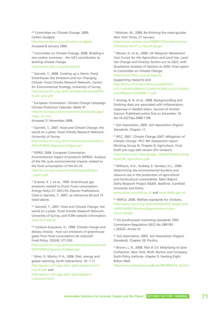69b Committee on Climate Change, 2009. *Carbon budgets*. http://www.theccc.org.uk/carbon-budgets/ Accessed 8 January 2009.

<sup>70</sup> Committee on Climate Change, 2008. *Building a low-carbon economy – the UK's contribution to tackling climate change*. http://www.theccc.org.uk/reports/

<sup>71</sup> Garnett, T., 2008. *Cooking up a Storm: Food, Greenhouse Gas Emissions and our Changing Climate*. Food Climate Research Network, Centre for Environmental Strategy, University of Surrey. http://www.fcrn.org.uk/frcnPubs/publications/PDFs /CuaS\_web.pdf

<sup>72</sup> European Commission. Climate Change Campaign. Climate Protection Calendar. Week 47.

http://ec.europa.eu/environment/climat/campaign/ index\_en.htm

Accessed 21 November 2008.

<sup>73</sup> Garnett, T., 2007. *Food and Climate Change: the world on a plate*. Food Climate Research Network, University of Surrey.

http://www.fcrn.org.uk/frcnresearch/presentations /PDFs/FCRN%20generic%20ppt.ppt

<sup>74</sup> EIPRO, 2006. European Commission. *Environmental impact of products* (EIPRO). Analysis of the life cycle environmental impacts related to the final consumption of the EU-25.

http://ec.europa.eu/environment/ipp/pdf/eipro \_report.pdf

<sup>75</sup> Kramer, K. J. *et al.*, 1999. Greenhouse gas emissions related to Dutch food consumption, *Energy Policy* 27: 203-216, Elsevier Publications. Cited in Garnett, T., 2007, as references 64 and 73 listed above.

76a Garnett, T., 2007. *Food and Climate Change: the world on a plate*. Food Climate Research Network, University of Surrey, and FCRN website information. www.fcrn.org.uk

76b Carlsson-Kanyama, A., 1998. Climate change and dietary choices - how can emissions of greenhouse gases from food consumption be reduced? Food Policy, 23(3/4): 277-293. http://www.fcrn.org.uk/frcnresearch/presentations/P

DFs/FCRN%20generic%20ppt.ppt

<sup>77</sup> Eshel, G. Martin, P. A., 2006. Diet, energy and global warming. *Earth Interactions*, 10: 1-17. http://geosci.uchicago.edu/~gidon/papers/nutri/ nutriEI.pdf and http://geosci.uchicago.edu/~gidon/papers/ nutri/nutri.html

<sup>78</sup> Bittman, M., 2008. Re-thinking the meat-guzzler. *New York Times*, 27 January. http://www.nytimes.com/2008/01/27/weekinreview/ 27bittman.html?\_r=1&oref=slogin

<sup>79</sup> Moran, D. *et al.*, 2008. *UK Marginal Abatement Cost Curves for the Agriculture and Land Use, Land-Use Change and Forestry Sectors out to 2022, with Qualitative Analysis of Options to 2050. Final report to Committee on Climate Change*. http://www.theccc.org.uk/reports/ (supporting research) and http://hmccc.s3.amazonaws.com/pdfs/SAC-CCC;%20UK%20MACC%20for%20ALULUCF;%20Fin al%20Report%202008-11.pdf

<sup>80</sup> Ametaj, B. N. *et al.*, 2008. Backgrounding and finishing diets are associated with inflammatory responses in feedlot steers. *Journal of Animal Science*. Published online first on December 19. doi:10.2527/jas.2008-1196.

<sup>81</sup> Soil Association, 2005. *Soil Association Organic Standards*. Chapter 11.

<sup>82</sup> IPCC, 2007. *Climate Change 2007: Mitigation of Climate Change*. IPCC 4th Assessment report, Working Group III. Chapter 8, Agriculture. Final Draft pre-copy edit version (for revision). http://www.mnp.nl/ipcc/pages\_media/FAR4docs/chap ters/CH8\_Agriculture.pdf

83 Williams, A.G., Audsley, E. Sandars, D.L., 2006. *Determining the environmental burdens and resource use in the production of agricultural and horticultural commodities*. Main Report. Defra Research Project IS0205. Bedford. Cranfield University and Defra.

www.silsoe.cranfield.ac.uk and www.defra.gov.uk

84a RSPCA, 2008. Welfare standards for chickens. http://www.rspca.org.uk/servlet/Satellite?pagename =RSPCA/RSPCARedirect&pg=broilerchicken resourcepage

84b EU poultrymeat marketing standards 1993. Commission Regulation (EEC) No 2891/93. L 263/22. Annex IV.

84c Soil Association, 2005. *Soil Association Organic Standards*. Chapter 20, Poultry.

<sup>85</sup> Brown, L. R., 2008. *Plan B 3.0: Mobilizing to Save Civilization*. New York: W.W. Norton and Company, Earth Policy Institute. chapter 9. Feeding Eight Billion Well.

http://www.earthpolicy.org/Books/PB3/PB3ch9\_ss5.htm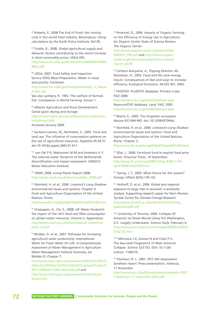86 Roberts, P., 2008 The End of Food: the coming crisis in the world food industry. Bloomsbury. Citing calculations by the Earth Policy Institute, Ref 85.

<sup>87</sup> Trostle, R., 2008. *Global agricultural supply and demand: factors contributing to the recent increase in food commodity prices*. USDA ERS. http://www.ers.usda.gov/Publications/WRS0801/WRS 0801.pdf

88 USDA, 2007. Food Safety and Inspection Service (FSIS) *Meat Preparation. Water in meat and poultry*. Factsheet.

http://www.fsis.usda.gov/Factsheets/Water\_in\_Meats /index.asp

See also Lymbery, P., 1992. The welfare of farmed fish. Compassion in World Farming. Annex 1.

89 Alberta Agriculture and Rural Development. Cereal grain drying and storage. http://www1.agric.gov.ab.ca/\$department/deptdocs. nsf/all/crop1204 Accessed January 2009.

<sup>90</sup> Gerbens-Leenes, W., Nonhebel, S., 2005. Food and land use. The influence of consumption patterns on the use of agricultural resources. Appetite 45:24-31. doi:10.1016/j.appet.2005.01.011.

91a van Oel P R, Mekonnen M M and Hoekstra A Y. *The external water footprint of the Netherlands. Quantification and impact assessment.* UNESCO-Water Education Institute

91b WWF, 2008. Living Planet Report 2008. http://assets.wwf.org.uk/downloads/lpr\_2008.pdf

<sup>92</sup> Steinfeld, H. *et al.*, 2006. *Livestock's Long Shadow: environmental issues and options*. Chapter 4. Food and Agriculture Organisation of the United Nations. Rome.

http://www.fao.org/docrep/010/a0701e/a0701e00.htm

<sup>93</sup> Chapagain, A., Orr, S., 2008. *UK Water Footprint: the impact of the UK's food and fibre consumption on global water resources*. Volume 2, Appendices. http://assets.wwf.org.uk/downloads/uk\_waterfoot print\_v2.pdf

<sup>94</sup> Molden, D. *et al.*, 2007. Pathways for increasing agricultural water productivity. International. *Water for Food, Water for Life. A Comprehensive Assessment of Water Management in Agriculture*. Water Management Institute Summary, ed. Molden D. Chapter 7.

http://www.iwmi.cgiar.org/assessment/Water%20for% 20Food%20Water%20for%20Life/Chapters/Chapter% 207%20Water%20Productivity.pdf and http://www.iwmi.cgiar.org/assessment/Publications /books.htm

95 Pimentel, D., 2006. Impacts of Organic Farming on the Efficiency of Energy Use in Agriculture: An Organic Center State of Science Review. *The Organic Center*.

http://www.organic-center.org/reportfiles/ ENERGY\_SSR.pdf and http://www.organiccenter.org/science.pest.php?action=view& report\_id=59

96 Carlsson-Kanyama, A., Pipping Ekström, M., Shanahan, H., 2003. Food and life cycle energy inputs: Consequences of diet and ways to increase efficiency. *Ecological Economic*, 44:293-307, 2003.

97 FAOSTAT. ProdSTAT database. Primary crops. FAO 2008.

http://faostat.fao.org/site/526/default.aspx ResourceSTAT database. Land. FAO. 2005. http://faostat.fao.org/site/405/default.aspx

<sup>98</sup> Marris, E., 2005. The forgotten ecosystem. *Nature* 437:944-945. doi: 10.1038/437944a.

<sup>99</sup> Steinfeld, H. *et al.*, 2006. *Livestock's Long Shadow: environmental issues and options*. Food and Agriculture Organisation of the United Nations. Rome. Chapter 2.

http://www.fao.org/docrep/010/a0701e/a0701e00.html

<sup>100</sup> Blas, J., 2008. Farmland fund to exploit food price boom. *Financial Times*, 14 September. http://www.ft.com/cms/s/0/8521d7ae-8285-11dda019-000077b07658.html

101 Swing, J. T., 2003. What future for the oceans? *Foreign Affairs* 82(5):139-152.

<sup>102</sup> Anthoff, D. *et al.*, 2006. Global and regional exposure to large rises in sea-level: a sensitivity analysis. Supporting research paper for Stern Review. Tyndall Centre for Climate Change Research. http://www.tyndall.ac.uk/publications/working\_ papers/twp96.pdf

103a University of Toronto, 2009. Collapse Of Antarctic Ice Sheet Would Likely Put Washington, D.C. Largely Underwater. *Science Daily*, February 6. http://www.sciencedaily.com/releases/2009/02/09020 5142132.htm

103b Mitrovica J X, Gomez N and Clark P U. The Sea-Level Fingerprint of West Antarctic Collapse. *Science* 323:753. DOI: 10.1126/ science. 1166510.

<sup>104</sup> Pachauri, R. J., 2007. *IPCC 4th Assessment. Synthesis report*. Press presentation, Valencia, 17 November.

http://www.ipcc.ch/pdf/presentations/valencia-2007- 11/pachauri-17-november-2007.pdf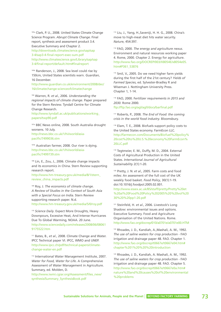105a Clark, P. U., 2008. United States Climate Change Science Program. *Abrupt Climate Change*. Final report, synthesis and assessment product 3.4. Executive Summary and Chapter 2. http://downloads.climatescience.gov/sap/sap 3-4/sap3-4-final-report-exec-sum.pdf http://www.climatescience.gov/Library/sap/sap 3-4/final-report/default.htm#finalreport

105b Randerson, J., 2008. Sea level could rise by 150cm, United States scientists warn. *Guardian*, 16 December.

http://www.guardian.co.uk/environment/2008/dec/ 16/climatechange-scienceofclimatechange

<sup>106</sup> Warren, R. *et al.*, 2006. *Understanding the regional impacts of climate change*. Paper prepared for the Stern Review. Tyndall Centre for Climate Change Research.

http://www.tyndall.ac.uk/publications/working\_ papers/twp90.pdf

107a BBC News online, 2008. South Australia drought worsens. 10 July. http://news.bbc.co.uk/1/hi/world/asiapacific/7499036.stm

107b Australian farmer, 2008. Our river is dying. http://news.bbc.co.uk/1/hi/world/asiapacific/7499739.stm

<sup>108</sup> Lin, E., Zou, J., 2006. Climate change impacts and its economics in China. Stern Review supporting research report. http://www.hm-treasury.gov.uk/media/8/1/stern\_ review\_china\_impacts.pdf

<sup>109</sup> Roy, J. *The economics of climate change. A Review of Studies in the Context of South Asia with a Special Focus on India*. Stern Review supporting research paper. N.d. http://www.hm-treasury.gov.uk/media/5/0/roy.pdf

<sup>110</sup> *Science Daily*. Expect More Droughts, Heavy Downpours, Excessive Heat, And Intense Hurricanes Due To Global Warming, NOAA. 20 June. http://www.sciencedaily.com/releases/2008/06/08061 9175522.htm

<sup>111</sup> Bates, B., *et al.*, 2008. Climate Change and Water. IPCC Technical paper VI. IPCC, WMO and UNEP. http://www.ipcc.ch/pdf/technical-papers/climatechange-water-en.pdf

<sup>112</sup> International Water Management Institute, 2007. *Water for Food, Water for Life*. A Comprehensive Assessment of Water Management in Agriculture. Summary, ed. Molden, D.

http://www.iwmi.cgiar.org/Assessment/files\_new/ synthesis/Summary\_SynthesisBook.pdf

<sup>113</sup> Liu, J., Yang, H.,Saveniji, H. H. G., 2008. China's move to high-meat diet hits water security. *Nature*, 454:397.

<sup>114</sup> FAO, 2000. *The energy and agriculture nexus*. Environment and natural resources working paper 4. Rome, 2000. Chapter 2. Energy for agriculture. http://www.fao.org/DOCREP/003/X8054E/x8054e05. htm#P361\_53876

<sup>115</sup> Smil, V., 2005. Do we need higher farm yields during the first half of the 21st century? *Yields of Farmed Species*, ed. Sylvester-Bradley R and Wiseman J. Nottingham University Press. Chapter 1, 1-14.

<sup>116</sup> FAO, 2000. F*ertilizer requirements in 2015 and 2030*. Rome 2000.

ftp://ftp.fao.org/agl/agll/docs/barfinal.pdf

<sup>117</sup> Roberts, P., 2008. *The End of Food: the coming crisis in the world food industry*. Bloomsbury.

<sup>118</sup> Elam, T. E., 2008. Biofuels support policy costs to the United States economy. FarmEcon LLC. http://farmecon.com/Documents/Biofuel%20policy% 20cost%20to%20U.S.%20economy%20FarmEcon% 20LLC.pdf

<sup>119</sup> Tegtmeier, E. M., Duffy, M. D., 2004. External Costs of Agricultural Production in the United States. *International Journal of Agricultural Sustainability* 2(1):1-20.

<sup>120</sup> Pretty, J. N. *et al.*, 2005. Farm costs and food miles: An assessment of the full cost of the UK weekly food basket. *Food Policy*, 30(1):1-19. doi:10.1016/j.foodpol.2005.02.001. http://www.essex.ac.uk/BS/staff/pretty/Pretty%20et %20al%20Food%20Policy%202005%20%20vol%20 30%20%20pp1-20.pdf

<sup>121</sup> Steinfeld, H. *et al.*, 2006. Livestock's Long Shadow: environmental issues and options. Executive Summary. Food and Agriculture Organisation of the United Nations. Rome. http://www.fao.org/docrep/010/a0701e/a0701e00.HTM

<sup>122</sup> Rhoades, J. D., Kandiah, A.,Mashali, A. M., 1992. *The use of saline waters for crop production* - FAO irrigation and drainage paper 48. FAO. Chapter 1. http://www.fao.org/docrep/t0667e/t0667e04.htm# chapter%201%20%20%20introduction

<sup>123</sup> Rhoades, J. D., Kandiah, A. Mashali, A. M., 1992. *The use of saline waters for crop production* - FAO irrigation and drainage paper 48. FAO. Chapter 5. http://www.fao.org/docrep/t0667e/t0667e0a.htm# nature%20and%20causes%20of%20environmental %20problems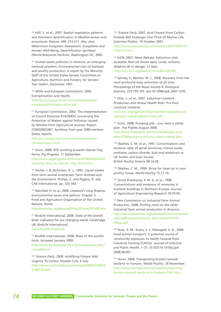<sup>124</sup> Kéfi, S. *et al.*, 2007. Spatial vegetation patterns and imminent desertification in Mediterranean arid ecosystems. *Nature*, 449: 213-217. Also cites: Millennium Ecosystem Assessment. *Ecosystems and Human Well-Being: Desertification Synthesis* (World Resources Institute, Washington DC, 2005.

<sup>125</sup> *Animal waste pollution in America: an emerging national problem. Environmental risks of livestock and poultry production*. A report by the Minority Staff of the United States Senate Committee on Agriculture, Nutrition and Forestry for Senator Tom Harkin, December 1997.

126. WHO and European Commission, 2002. Eutrophication and Health. http://ec.europa.eu/environment/water/waternitrates/pdf/eutrophication.pdf

<sup>127</sup> European Commission, 2002. The Implementation of Council Directive 91/676/EEC concerning the Protection of Waters against Pollution caused by Nitrates from Agricultural Sources. Report COM(2002)407. Synthesis from year 2000 member States reports.

http://ec.europa.eu/environment/water/waternitrates/report.html

<sup>128</sup> Anon, 2008. EDF working towards cleaner hog farms. *Pig Progress*, 11 September. http://www.pigprogress.net/home/id160266404/edf\_ working\_towards\_cleaner\_hog\_farms.html

<sup>129</sup> Archer, J. R.,Nicholson, R. J., 1992. Liquid wastes from farm animal enterprises. *Farm Animals and the Environment*, Phillips, C. and Piggins, D. eds. CAB International. pp. 325-343.

130 Steinfeld, H. et al., 2006. Livestock's Long Shadow: environmental issues and options. Chapter 5. Food and Agriculture Organisation of the United Nations. Rome.

http://www.fao.org/docrep/010/a0701e/a0701e00.htm

<sup>131</sup> BirdLife International, 2008. *State of the world's birds: indicators for our changing world*. Cambridge, UK: BirdLife International. www.birdlife.org/sowb

132 Birdlife International, 2008. State of the world's birds. Accessed January 2009.

http://www.biodiversityinfo.org/sowb/default.php? r=sowbhome

133a *Science Daily*, 2008. Acidifying Oceans Add Urgency To Carbon Dioxide Cuts. 6 July. http://www.sciencedaily.com/releases/2008/07/08070 3140716.htm

<sup>133b</sup> Science Daily, 2007. Acid Oceans From Carbon Dioxide Will Endanger One Third Of Marine Life, Scientists Predict. 19 October 2007. http://www.sciencedaily.com/releases/2007/10/07101 7102133.htm

<sup>134</sup> IUCN, 2007. News Release. Extinction crisis escalates: Red List shows apes, corals, vultures, dolphins all in danger. 12 Sept. http://cms.iucn.org/search.cfm?uNewsID=81

135 Sahney, S., Benton, M. J., 2008. Recovery from the most profound mass extinction of all time. *Proceedings of the Royal Society B*. Biological Sciences. 275:759-765. doi:10.1098/rspb.2007.1370.

<sup>136</sup> Otte, J., *et al.*, 2007. *Industrial Livestock Production and Global Health Risks*. Pro-Poor Livestock Initiative.

www.fao.org/ag/AGAinfo/projects/en/pplpi/docarc/ rep-hpai\_industrialisationrisks.pdf

<sup>137</sup> Anon, 2008. Pumping pits – you need a safety plan. The PigSite August 2008. http://www.thepigsite.com/articles/4/waste-andodor/2360/pumping-pits-you-need-a-safety-plan

138a Wathes, C. M. *et al.*, 1997. Concentrations and emission rates of aerial ammonia, nitrous oxide, methane, carbon dioxide, dust and endotoxin in UK broiler and layer houses. *British Poultry Science* 38:14-28.

138b Wathes, C. M., 1999. Strive for clean air in your poultry house. *World Poultry* 15:17-19.

138c Groot Koerkamp, P. W. G. *et al.*, 1998. Concentrations and emissions of ammonia in livestock buildings in Northern Europe. *Journal of Agricultural Engineering Research* 70:79-95.

<sup>139</sup> Pew Commission on Industrial Farm Animal Production, 2008. *Putting meat on the table: industrial farm animal production in America*. http://www.pewtrusts.org/uploadedFiles/wwwpewtr ustsorg/Reports/Industrial\_Agriculture/PCIFAP\_ FINAL.pdf

140a Rule, A. M., Evans, S. L. Silbergeld, E. K., 2008. Food animal transport: A potential source of community exposures to health hazards from industrial farming (CAFOs). *Journal of Infection and Public Health*, 1 (1): 33 DOI:10.1016/j.jiph. 2008.08.001.

140a Anon, 2008. Transporting broilers spreads bacteria to humans. *World Poultry*, 26 November. http://www.worldpoultry.net/news/transportingbroilers-spreads-bacteria-to-humans-3347.html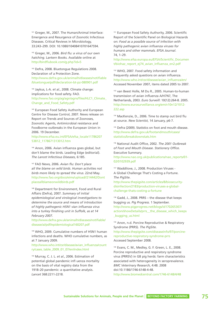141 Greger, M., 2007. The Human/Animal Interface: Emergence and Resurgence of Zoonotic Infectious Diseases. Critical Reviews in Microbiology, 33:243–299. DOI: 10.1080/10408410701647594.

<sup>142</sup> Greger, M., 2006. *Bird flu: a virus of our own hatching*. Lantern Books. Available online at http://birdflubook.com/g.php?id=5

<sup>143</sup> Defra, 2008. Bluetongue Regulations 2008. Declaration of a Protection Zone. http://www.defra.gov.uk/animalh/diseases/notifiable /bluetongue/pdf/declaration-bt-pz-080901.pdf

<sup>144</sup> Jaykus, L-A. *et al.*, 2008. Climate change: implications for food safety. FAO. http://www.fao.org/ag/agn/agns/files/HLC1\_Climate\_ Change\_and\_Food\_Safety.pdf

<sup>145</sup> European Food Safety Authority and European Centre for Disease Control, 2007. News release on Report on Trends and Sources of Zoonoses, Zoonotic Agents, Antimicrobial resistance and Foodborne outbreaks in the European Union in 2006. 19 December.

http://www.efsa.eu.int/EFSA/efsa\_locale11786207 53812\_1178671313012.htm

<sup>146</sup> Anon, 2006. Avian influenza goes global, but don't blame the birds. Leading Edge (editorial). *The Lancet Infectious Diseases*, 6:185.

<sup>147</sup> FAO News, 2006. *Avian flu: Don't place all the blame on wild birds*. *Human activities not birds more likely to spread the virus*. 22nd May. http://www.fao.org/docs/eims/upload//214442/Dont placeallblameonwildbirds.pdf

<sup>148</sup> Department for Environment, Food and Rural Affairs (Defra), 2007. *Summary of initial epidemiological and virological investigations to determine the source and means of introduction of highly pathogenic H5N1 vian influenza virus into a turkey finishing unit in Suffolk, as at 14 February 2007*.

http://www.defra.gov.uk/animalh/diseases/notifiable/ disease/ai/pdf/epidemiological160207.pdf

<sup>149</sup> WHO, 2009. Cumulative numbers of H5N1 human infections and deaths. WHO cumulative numbers, as at 7 January 2009.

http://www.who.int/csr/disease/avian\_influenza/count ry/cases\_table\_2009\_01\_07/en/index.html

<sup>150</sup> Murray, C. J. L. *et al.*, 2006. Estimation of potential global pandemic infl uenza mortality on the basis of vital registry data from the 1918–20 pandemic: a quantitative analysis. *Lancet* 368:2211-2218.

<sup>151</sup> European Food Safety Authority, 2006. Scientific Report of the Scientific Panel on Biological Hazards on: *Food as a possible source of infection with highly pathogenic avian influenza viruses for humans and other mammals. EFSA Journal*. 74, 1–29.

http://www.efsa.europa.eu/EFSA/Scientific\_Documen t/biohaz\_report\_ej74\_avian\_influenza\_en2.pdf

<sup>152</sup> WHO, 2007. Food safety information and frequently asked questions on avian influenza. http://www.who.int/csr/disease/avian\_influenza/en/ Accessed November 2007, items dated 2005 to 2007.

<sup>153</sup> van Beest Holle, M Du R., 2005. Human-to-human transmission of avian influenza A/H7N7, The Netherlands, 2003. *Euro Surveill*: 10(12):264-8. 2005. http://www.eurosurveillance.org/em/v10n12/1012- 222.asp

<sup>154</sup> MacKenzie, D., 2006. Time to stamp out bird flu at source. *New Scientist*, 14 January, p6-7.

<sup>155</sup> Defra (2009). Statistics on foot and mouth disease. http://www.defra.gov.uk/footandmouth/cases/ statistics/breakdownstats.htm

<sup>156</sup> National Audit Office, 2002. *The 2001 Outbreak of Foot and Mouth Disease. Stationery Office*. Executive Summary.

http://www.nao.org.uk/publications/nao\_reports/01- 02/0102939.pdf

<sup>157</sup> Waddilove, J., 2008. Production Viruses -A Global Challenge That's Costing a Fortune. *The PigSite*.

http://www.thepigsite.com/articles/8/biosecuritydisinfection/2183/production-viruses-a-globalchallenge-thats-costing-a-fortune

<sup>158</sup> Gadd, J., 2008. PRRS – the disease that keeps bugging us. *Pig Progress*. 1 September. http://www.pigprogress.net/blogs/id170265307/ action/showDetails/prrs\_the\_disease\_which\_keeps \_bugging\_us.html

<sup>159</sup> Anon, n.d. Porcine Reproductive & Respiratory Syndrome (PRRS). *The PigSite.* http://www.thepigsite.com/diseaseinfo/97/porcinereproductive-respiratory-syndrome-prrs Accessed September 2008.

<sup>160</sup> Evans, C. M., Medley, G. F. Green, L. E., 2008. Porcine reproductive and respiratory syndrome virus (PRRSV) in GB pig herds: farm characteristics associated with heterogeneity in seroprevalence. *BMC Veterinary Research*, 4:48. 2008 doi:10.1186/1746-6148-4-48. http://www.biomedcentral.com/1746-6148/4/48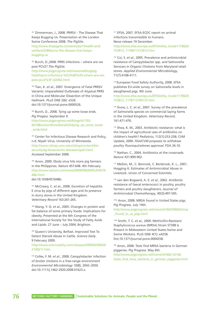<sup>161</sup> Zimmerman, J., 2008. PRRSV - The Disease That Keeps Bugging Us. Presentation at the London Swine Conference 2008. *The PigSite*. http://www.thepigsite.com/articles/1/health-andwelfare/2286/prrsv-the-disease-that-keepsbugging-us

<sup>162</sup> Burch, D.,2008. PRRS infections – where are we post PCV2? *The PigSite*.

http://www.pigprogress.net/news/weblog/pighealth/prrs-infections-%E2%80%93-where-are-wepost-pcv2%3F-id2402.html

<sup>163</sup> Tian, K. et al., 2007. Emergence of Fatal PRRSV Variants: Unparalleled Outbreaks of Atypical PRRS in China and Molecular Dissection of the Unique Hallmark. *PLoS ONE* 2(6): e526. doi:10.1371/journal.pone.0000526.

164 Burch, D., 2008. Tying up some loose ends. *Pig Progess*. September 9. http://www.pigprogress.net/blogs/id1702- 66108/action/showDetails/tidying\_up\_some\_loose \_ends.html

165 Center for Infectious Disease Research and Policy, n.d. Nipah Virus. University of Minnesota. http://www.cidrap.umn.edu/cidrap/content/bio security/ag-biosec/anim-disease/nipah.html Accessed September 2008.

<sup>166</sup> Anon, 2009. Ebola virus hits more pig farmers in the Philippines. *Nature* 457:648. 4th February. http://www.nature.com/news/2009/090204/full/4576 48b.html

doi:10.1038/457648b.

<sup>167</sup> McCreary, C. *et al.*, 2008. Excretion of hepatitis E virus by pigs of different ages and its presence in slurry stores in the United Kingdom. *Veterinary Record* 163:261-265.

<sup>168</sup> Wang, Y. Q. *et al.*, 2005. Changes in protein and fat balance of some primary foods: implications for obesity. Presented at the 6th Congress of the International Society for the Study of Fatty Acids and Lipids. 27 June – July 2004, Brighton.

169 Queen's University, Belfast. Improved Test To Detect Steroid Abuse In Cattle. *Science Daily*. 9 February 2009.

http://www.sciencedaily.com/releases/2009/02/09020 2140211.htm

<sup>170</sup> Colles, F. M. *et al.*, 2008. Campylobacter infection of broiler chickens in a free-range environment *Environmental Microbiology* 10(8), 2042–2050. doi:10.1111/j.1462-2920.2008.01623.x.

171 EFSA, 2007. EFSA-ECDC report on animal infections transmissible to humans. News release 19 December. http://www.efsa.europa.eu/EFSA/efsa\_locale1178620

753812\_1178671313012.htm

<sup>172</sup> Cui, S. *et al.*, 2005. Prevalence and antimicrobial resistance of Campylobacter spp. and Salmonella Serovars in Organic Chickens from Maryland retail stores. *Applied Environmental Microbiology*, 71(7):4108-4111.

173 European Food Safety Authority, 2008. EFSA publishes EU-wide survey on Salmonella levels in slaughtered pigs. 9th June. http://www.efsa.europa.eu/EFSA/efsa\_locale1178620 753812\_1178713190137.htm

<sup>174</sup> Snow, L. C. *et al.*, 2007. Survey of the prevalence of *Salmonella* species on commercial laying farms in the United Kingdom. *Veterinary Record*, 161:471-476.

175 Shea, K. M., 2003. Antibiotic resistance: what is the impact of agricultural uses of antibiotics on children's health? *Pediatrics*, 112(1):253-258; CVM Update, 2000. *FDA/CVM proposes to withdraw poultry fluoroquinolones approval*. FDA 26.10.

<sup>176</sup> Nathan, C., 2004. Antibiotics at the crossroads. *Nature* 431:899-902.

<sup>177</sup> Mellon, M., C. Benrook, C. Benbrook, K. L., 2001. Hogging It. Estimates of Antimicrobial Abuse in Livestock. Union of Concerned Scientists.

<sup>178</sup> van den Bogaard, A. E. *et al.*, 2002. Antibiotic resistance of faecal enterococci in poultry, poultry farmers and poultry slaughterers. *Journal of Antimicrobial Chemotherapy*, 49(3):497-505.

179a Anon, 2008. MRSA found in United States pigs. *Pig Progress*. July 14th.

http://www.pigprogress.net/news/id160259602/mrsa \_found\_in\_us\_pigs.html

179b Smith, T. C. *et al.*, 2009. Methicillin-Resistant Staphylococcus aureus (MRSA) Strain ST398 Is Present in Midwestern United States Swine and Swine Workers. PLoS ONE 4(1): e4258. Doi:10.1371/journal.pone.0004258.

180 Anon, 2008. Tests find MRSA bacteria in German piggeries. *Pig Progress*. May 6th. http://www.pigprogress.net/home/id1602-52106 /tests\_find\_mrsa\_bacteria\_in\_german\_piggeries.html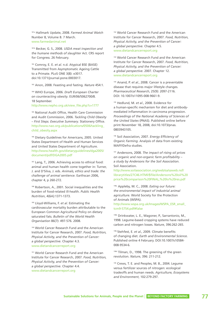181a Hallmark Update, 2008. *Farmed Animal Watch* Number 8, Volume 8. 7 March. www.farmedanimal.net

181b Becker, G. S., 2008. *USDA meat inspection and the humane methods of slaughter* Act. CRS report for Congress. 26 February.

<sup>182</sup> Comroy, E. E. *et al.* n.d. Atypical BSE (BASE) Transmitted from Asymptomatic Ageing Cattle to a Primate. PLoS ONE 3(8): e3017. doi:10.1371/journal.pone.0003017.

<sup>183</sup> Anon, 2008. Feasting and fasting. *Nature* 454:1.

<sup>184</sup> WHO Europe, 2006. *Draft European Charter on counteracting obesity*. EUR/06/5062700/8. 18 September.

http://www.nepho.org.uk/view\_file.php?c=1777

<sup>185</sup> National Audit Office, Health Care Commission and Audit Commission, 2006. *Tackling Child Obesity – First Steps. Executive Summary*. Stationery Office. http://www.nao.org.uk/publications/0506/tackling\_ child\_obesity.aspx

<sup>186</sup> Dietary Guidelines for Americans, 2005. United States Department of Health and Human Services and United States Department of Agriculture. http://www.health.gov/dietaryguidelines/dga2005/ document/pdf/DGA2005.pdf

<sup>187</sup> Lang, T., 2006. Achieving access to ethical food: animal and human health come together in: Turner, J. and D'Silva, J. eds. *Animals, ethics and trade: the challenge of animal sentience*. Earthscan 2006, chapter 4, p 260-272.

188 Robertson, A., 2001. Social inequalities and the burden of food-related ill-health. *Public Health Nutrition*, 4(6A):1371-1373.

<sup>189</sup> Lloyd-Williams, F. *et al.* Estimating the cardiovascular mortality burden attributable to the European Common Agricultural Policy on dietary saturated fats. *Bulletin of the World Health Organisation* 86(7): 497-576. 2008.

<sup>190</sup> World Cancer Research Fund and the American Institute for Cancer Research, 2007. *Food, Nutrition, Physical Activity, and the Prevention of Cancer: a global perspective*. Chapter 4.3. www.dietandcancerreport.org

191 World Cancer Research Fund and the American Institute for Cancer Research, 2007. *Food, Nutrition, Physical Activity, and the Prevention of Cancer: a global perspective*. Chapter 4.4. www.dietandcancerreport.org

<sup>192</sup> World Cancer Research Fund and the American Institute for Cancer Research, 2007. *Food, Nutrition, Physical Activity, and the Prevention of Cancer: a global perspective*. Chapter 4.5. www.dietandcancerreport.org

<sup>193</sup> World Cancer Research Fund and the American Institute for Cancer Research, 2007. *Food, Nutrition, Physical Activity, and the Prevention of Cancer: a global perspective*. 2007. Chapter 12. www.dietandcancerreport.org

<sup>194</sup> Anand, P. *et al.*, 2008. Cancer is a preventable disease that requires major lifestyle changes. *Pharmaceutical Research*, 25(9): 2097-2116. DOI: 10.1007/s11095-008-9661-9.

<sup>195</sup> Hedlund, M. *et al.*, 2008. Evidence for a human-specific mechanism for diet and antibodymediated inflammation in carcinoma progression. *Proceedings of the National Academy of Sciences of the United States* (PNAS). Published online before print November 18, 2008, doi:10.1073/pnas. 0803943105.

<sup>196</sup> Soil Association, 2007. *Energy Efficiency of Organic Farming*. Analysis of data from existing MAFF/Defra studies.

<sup>197</sup> Andersons, 2008. *The impact of rising oil prices on organic and non-organic farm profitability – a study by Andersons for the Soil Association*. Soil Association.

http://www.soilassociation.org/web/sa/saweb.nsf/ librarytitles/27C46.HTMl/\$file/Andersons%20oil%20 price%20comparison%20FINAL,%20lo%20res.pdf

198a Appleby, M. C., 2008. *Eating our future: the environmental impact of industrial animal agriculture.* World Society for the Protection of Animals (WSPA).

http://www.wspa.org.uk/Images/WSPA\_ESR\_small\_ tcm9-5754.pdf#false

198b Drinkwater, L. E., Wagoner, P., Sarrantonio, M., 1998. Legume-based cropping systems have reduced carbon and nitrogen losses. *Nature*, 396:262-265.

198c Stehfest, E. *et al.*, 2009. Climate benefits of changing diet. *Earth and Environmental Science*. Published online 4 February. DOI:10.1007/s10584- 008-9534-6.

198d Tilman, D., 1998. The greening of the green revolution. *Nature*, 396: 211-212.

199 Crews, T. E. and Peoples, M. B., 2004. Legume versus fertilizer sources of nitrogen: ecological tradeoffs and human needs. *Agriculture, Ecosystems and Environment*, 102:279-297.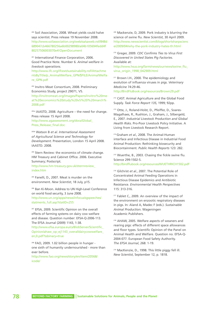<sup>200</sup> Soil Association, 2008. Wheat yields could halve says scientist. Press release 19 November 2008. http://www.soilassociation.org/web/sa/saweb.nsf/848d 689047cb466780256a6b00298980/a04b105694fedd4f 80257506003070e4!OpenDocument

<sup>201</sup> International Finance Corporation, 2006. Good Practice Note. Number 6. *Animal welfare in livestock operations*.

http://www.ifc.org/ifcext/sustainability.nsf/Attachme ntsByTitle/p\_AnimalWelfare\_GPN/\$FILE/AnimalWelfa re\_GPN.pdf

<sup>202</sup> Invitro Meat Consortium, 2008. Preliminary Economics Study, project 29071, V5. http://invitromeat.org/images/Papers/invitro%20me at%20economics%20study%20v5%20%20march% 2008.pdf

203a IAASTD, 2008. Agriculture – the need for change. Press release 15 April 2008. http://www.agassessment.org/docs/Global\_ Press\_Release\_final.doc

203b Watson B *et al. International Assessment of Agricultural Science and Technology for Development*. Presentation, London 15 April 2008. IAASTD. 2008.

<sup>204</sup> Stern Review: the economics of climate change. HM Treasury and Cabinet Office. 2006. Executive Summary; Postscript.

http://www.hm-treasury.gov.uk/sternreview\_ index.htm

205 Fanelli, D., 2007. Meat is murder on the environment. *New Scientist*, 18 July, p15.

<sup>206</sup> Ban Ki-Moon. Address to UN High-Level Conference on world food security, 3 June 2008. http://www.un.org/apps/news/infocus/sgspeeches/ statments\_full.asp?statID=255

207 EFSA, 2009. Scientific Opinion on the overall effects of farming systems on dairy cow welfare and disease. Question number: EFSA-Q-2006-113. The EFSA Journal (2009) 1143, 1-38.

http://www.efsa.europa.eu/cs/BlobServer/Scientific\_ Opinion/ahaw\_op\_ej1143\_overalldairycowwelfare\_ en,0.pdf?ssbinary=true

<sup>208</sup> FAO, 2009. 1.02 billion people in hunger one sixth of humanity undernourished - more than ever before.

http://www.fao.org/news/story/en/item/20568/ icode/

<sup>209</sup> Mackenzie, D, 2009. Pork industry is blurring the science of swine flu. *New Scientist*, 30 April 2009. http://www.newscientist.com/blogs/shortsharpscienc e/2009/04/why-the-pork-industry-hates-th.html

<sup>210</sup> Greger, 2009. *CDC Confirms Ties to Virus First Discovered in United States Pig Factories*. Available at: http://www.hsus.org/farm/news/ournews/swine\_flu\_

virus\_origin\_1998\_042909.html

<sup>211</sup> Brown I.H., 2000. The epidemiology and evolution of influenza viruses in pigs. *Veterinary Medicine* 74:29-46.

http://BirdFluBook.org/resources/Brown29.pdf

<sup>212</sup> CAST. Animal Agriculture and the Global Food Supply. *Task Force Report 135,* 1999; 92pp.

<sup>213</sup> Otte, J., Roland-Holst, D., Pfeiffer, D., Soares-Magalhaes, R., Rushton, J., Graham, J., Silbergeld, E., 2007. *Industrial Livestock Production and Global Health Risks*. Pro-Poor Livestock Policy Initiative. A Living from Livestock Research Report.

214 Graham *et al.*, 2008. The Animal-Human interface and Infectious Disease in Industrial Food Animal Production: Rethinking biosecurity and Biocontainment. *Public Health Reports* 123: 282.

<sup>215</sup> Wuerthe, B., 2003. Chasing the fickle swine flu. Science 299:1502-5.

http://birdflubook.org/resources/WUETHRICH1502.pdf

<sup>216</sup> Gilchrist et al., 2007. The Potential Role of Concentrated Animal Feeding Operations in Infectious Disease Epidemics and Antibiotic Resistance. *Environmental Health Perspectives* 115: 313-316.

<sup>217</sup> Fablet C., 2009. An overview of the impact of the environment on enzootic respiratory diseases in pigs. In: Aland A, Madec F (eds.). *Sustainable Animal Production*. Wageningen Academic Publishers.

<sup>218</sup> AHAW, 2005. Welfare aspects of weaners and rearing pigs: effects of different space allowances and floor types. Scientific Opinion of the Panel on Animal Health and Welfare. Question no. EFSA-Q-2004-077. European Food Safety Authority. *The EFSA Journal*, 268: 1-19.

<sup>219</sup> MacKenzie, D., 1998. This little piggy fell ill. *New Scientist*, September 12, p. 1818.

**78 BEYOND FACTORY FARMING** Sustainable Solutions for Animals, People and the Planet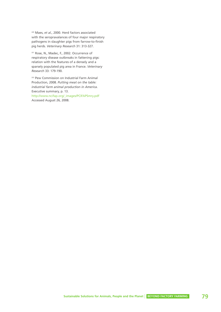<sup>220</sup> Maes, *et al.*, 2000. Herd factors associated with the seropravalances of four major respiratory pathogens in slaughter pigs from farrow-to-finish pig herds. *Veterinary Research* 31: 313-327.

<sup>221</sup> Rose, N., Madec, F., 2002. Occurrence of respiratory disease outbreaks in fattening pigs: relation with the features of a densely and a sparsely populated pig area in France. *Veterinary Research* 33: 179-190.

<sup>222</sup> Pew Commission on Industrial Farm Animal Production, 2008. *Putting meat on the table: industrial farm animal production in America*. Executive summary, p. 13. http://www.ncifap.org/\_images/PCIFAPSmry.pdf Accessed August 26, 2008.